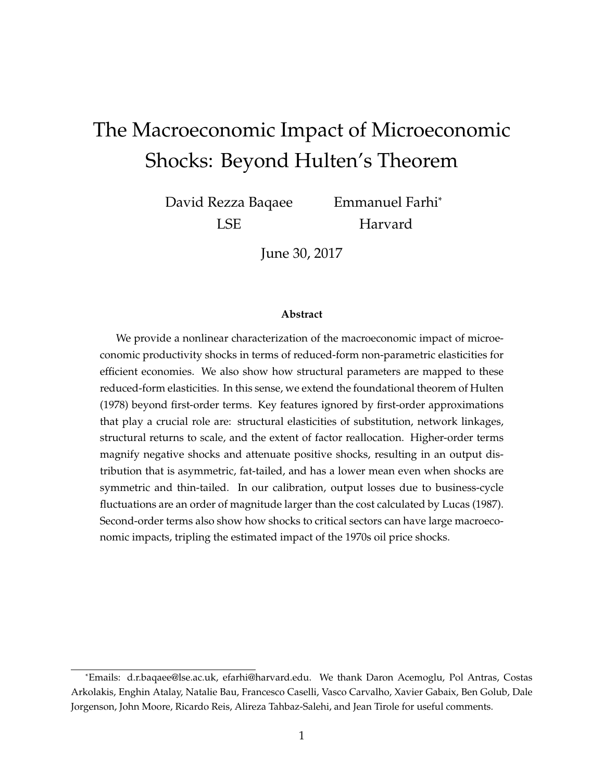# <span id="page-0-0"></span>The Macroeconomic Impact of Microeconomic Shocks: Beyond Hulten's Theorem

David Rezza Baqaee LSE

Emmanuel Farhi<sup>∗</sup> Harvard

June 30, 2017

#### **Abstract**

We provide a nonlinear characterization of the macroeconomic impact of microeconomic productivity shocks in terms of reduced-form non-parametric elasticities for efficient economies. We also show how structural parameters are mapped to these reduced-form elasticities. In this sense, we extend the foundational theorem of [Hulten](#page-44-0) [\(1978\)](#page-44-0) beyond first-order terms. Key features ignored by first-order approximations that play a crucial role are: structural elasticities of substitution, network linkages, structural returns to scale, and the extent of factor reallocation. Higher-order terms magnify negative shocks and attenuate positive shocks, resulting in an output distribution that is asymmetric, fat-tailed, and has a lower mean even when shocks are symmetric and thin-tailed. In our calibration, output losses due to business-cycle fluctuations are an order of magnitude larger than the cost calculated by [Lucas](#page-45-0) [\(1987\)](#page-45-0). Second-order terms also show how shocks to critical sectors can have large macroeconomic impacts, tripling the estimated impact of the 1970s oil price shocks.

<sup>∗</sup>Emails: d.r.baqaee@lse.ac.uk, efarhi@harvard.edu. We thank Daron Acemoglu, Pol Antras, Costas Arkolakis, Enghin Atalay, Natalie Bau, Francesco Caselli, Vasco Carvalho, Xavier Gabaix, Ben Golub, Dale Jorgenson, John Moore, Ricardo Reis, Alireza Tahbaz-Salehi, and Jean Tirole for useful comments.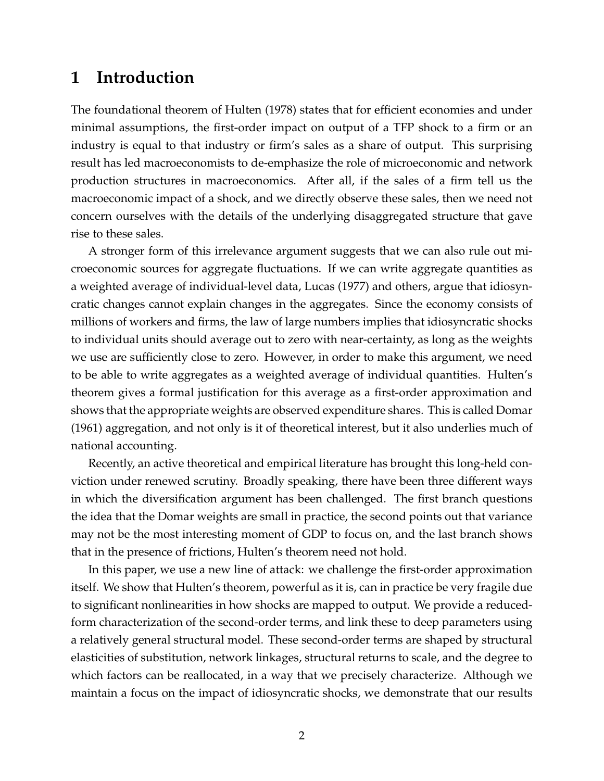# **1 Introduction**

The foundational theorem of [Hulten](#page-44-0) [\(1978\)](#page-44-0) states that for efficient economies and under minimal assumptions, the first-order impact on output of a TFP shock to a firm or an industry is equal to that industry or firm's sales as a share of output. This surprising result has led macroeconomists to de-emphasize the role of microeconomic and network production structures in macroeconomics. After all, if the sales of a firm tell us the macroeconomic impact of a shock, and we directly observe these sales, then we need not concern ourselves with the details of the underlying disaggregated structure that gave rise to these sales.

A stronger form of this irrelevance argument suggests that we can also rule out microeconomic sources for aggregate fluctuations. If we can write aggregate quantities as a weighted average of individual-level data, [Lucas](#page-45-1) [\(1977\)](#page-45-1) and others, argue that idiosyncratic changes cannot explain changes in the aggregates. Since the economy consists of millions of workers and firms, the law of large numbers implies that idiosyncratic shocks to individual units should average out to zero with near-certainty, as long as the weights we use are sufficiently close to zero. However, in order to make this argument, we need to be able to write aggregates as a weighted average of individual quantities. Hulten's theorem gives a formal justification for this average as a first-order approximation and shows that the appropriate weights are observed expenditure shares. This is called [Domar](#page-44-1) [\(1961\)](#page-44-1) aggregation, and not only is it of theoretical interest, but it also underlies much of national accounting.

Recently, an active theoretical and empirical literature has brought this long-held conviction under renewed scrutiny. Broadly speaking, there have been three different ways in which the diversification argument has been challenged. The first branch questions the idea that the Domar weights are small in practice, the second points out that variance may not be the most interesting moment of GDP to focus on, and the last branch shows that in the presence of frictions, Hulten's theorem need not hold.

In this paper, we use a new line of attack: we challenge the first-order approximation itself. We show that Hulten's theorem, powerful as it is, can in practice be very fragile due to significant nonlinearities in how shocks are mapped to output. We provide a reducedform characterization of the second-order terms, and link these to deep parameters using a relatively general structural model. These second-order terms are shaped by structural elasticities of substitution, network linkages, structural returns to scale, and the degree to which factors can be reallocated, in a way that we precisely characterize. Although we maintain a focus on the impact of idiosyncratic shocks, we demonstrate that our results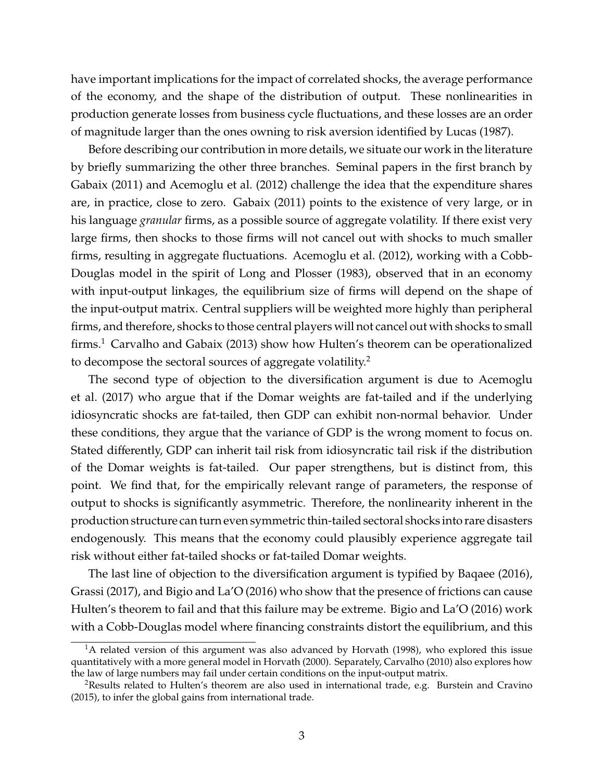have important implications for the impact of correlated shocks, the average performance of the economy, and the shape of the distribution of output. These nonlinearities in production generate losses from business cycle fluctuations, and these losses are an order of magnitude larger than the ones owning to risk aversion identified by [Lucas](#page-45-0) [\(1987\)](#page-45-0).

Before describing our contribution in more details, we situate our work in the literature by briefly summarizing the other three branches. Seminal papers in the first branch by [Gabaix](#page-44-2) [\(2011\)](#page-44-2) and [Acemoglu et al.](#page-43-0) [\(2012\)](#page-43-0) challenge the idea that the expenditure shares are, in practice, close to zero. [Gabaix](#page-44-2) [\(2011\)](#page-44-2) points to the existence of very large, or in his language *granular* firms, as a possible source of aggregate volatility. If there exist very large firms, then shocks to those firms will not cancel out with shocks to much smaller firms, resulting in aggregate fluctuations. [Acemoglu et al.](#page-43-0) [\(2012\)](#page-43-0), working with a Cobb-Douglas model in the spirit of [Long and Plosser](#page-45-2) [\(1983\)](#page-45-2), observed that in an economy with input-output linkages, the equilibrium size of firms will depend on the shape of the input-output matrix. Central suppliers will be weighted more highly than peripheral firms, and therefore, shocks to those central players will not cancel out with shocks to small firms.<sup>[1](#page-0-0)</sup> [Carvalho and Gabaix](#page-44-3) [\(2013\)](#page-44-3) show how Hulten's theorem can be operationalized to decompose the sectoral sources of aggregate volatility.<sup>[2](#page-0-0)</sup>

The second type of objection to the diversification argument is due to [Acemoglu](#page-43-1) [et al.](#page-43-1) [\(2017\)](#page-43-1) who argue that if the Domar weights are fat-tailed and if the underlying idiosyncratic shocks are fat-tailed, then GDP can exhibit non-normal behavior. Under these conditions, they argue that the variance of GDP is the wrong moment to focus on. Stated differently, GDP can inherit tail risk from idiosyncratic tail risk if the distribution of the Domar weights is fat-tailed. Our paper strengthens, but is distinct from, this point. We find that, for the empirically relevant range of parameters, the response of output to shocks is significantly asymmetric. Therefore, the nonlinearity inherent in the production structure can turn even symmetric thin-tailed sectoral shocks into rare disasters endogenously. This means that the economy could plausibly experience aggregate tail risk without either fat-tailed shocks or fat-tailed Domar weights.

The last line of objection to the diversification argument is typified by [Baqaee](#page-43-2) [\(2016\)](#page-43-2), [Grassi](#page-44-4) [\(2017\)](#page-44-4), and [Bigio and La'O](#page-43-3) [\(2016\)](#page-43-3) who show that the presence of frictions can cause Hulten's theorem to fail and that this failure may be extreme. [Bigio and La'O](#page-43-3) [\(2016\)](#page-43-3) work with a Cobb-Douglas model where financing constraints distort the equilibrium, and this

 $1A$  related version of this argument was also advanced by [Horvath](#page-44-5) [\(1998\)](#page-44-5), who explored this issue quantitatively with a more general model in [Horvath](#page-44-6) [\(2000\)](#page-44-6). Separately, [Carvalho](#page-44-7) [\(2010\)](#page-44-7) also explores how the law of large numbers may fail under certain conditions on the input-output matrix.

<sup>&</sup>lt;sup>2</sup>Results related to Hulten's theorem are also used in international trade, e.g. [Burstein and Cravino](#page-44-8) [\(2015\)](#page-44-8), to infer the global gains from international trade.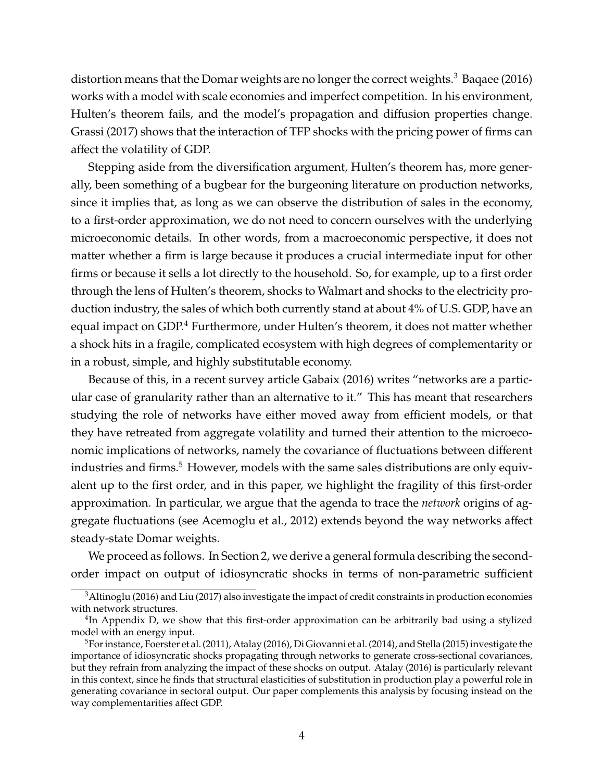distortion means that the Domar weights are no longer the correct weights. $3$  [Baqaee](#page-43-2) [\(2016\)](#page-43-2) works with a model with scale economies and imperfect competition. In his environment, Hulten's theorem fails, and the model's propagation and diffusion properties change. [Grassi](#page-44-4) [\(2017\)](#page-44-4) shows that the interaction of TFP shocks with the pricing power of firms can affect the volatility of GDP.

Stepping aside from the diversification argument, Hulten's theorem has, more generally, been something of a bugbear for the burgeoning literature on production networks, since it implies that, as long as we can observe the distribution of sales in the economy, to a first-order approximation, we do not need to concern ourselves with the underlying microeconomic details. In other words, from a macroeconomic perspective, it does not matter whether a firm is large because it produces a crucial intermediate input for other firms or because it sells a lot directly to the household. So, for example, up to a first order through the lens of Hulten's theorem, shocks to Walmart and shocks to the electricity production industry, the sales of which both currently stand at about 4% of U.S. GDP, have an equal impact on GDP.<sup>[4](#page-0-0)</sup> Furthermore, under Hulten's theorem, it does not matter whether a shock hits in a fragile, complicated ecosystem with high degrees of complementarity or in a robust, simple, and highly substitutable economy.

Because of this, in a recent survey article [Gabaix](#page-44-9) [\(2016\)](#page-44-9) writes "networks are a particular case of granularity rather than an alternative to it." This has meant that researchers studying the role of networks have either moved away from efficient models, or that they have retreated from aggregate volatility and turned their attention to the microeconomic implications of networks, namely the covariance of fluctuations between different industries and firms.<sup>[5](#page-0-0)</sup> However, models with the same sales distributions are only equivalent up to the first order, and in this paper, we highlight the fragility of this first-order approximation. In particular, we argue that the agenda to trace the *network* origins of aggregate fluctuations (see [Acemoglu et al., 2012\)](#page-43-0) extends beyond the way networks affect steady-state Domar weights.

We proceed as follows. In Section [2,](#page-5-0) we derive a general formula describing the secondorder impact on output of idiosyncratic shocks in terms of non-parametric sufficient

<sup>&</sup>lt;sup>3</sup>[Altinoglu](#page-43-4) [\(2016\)](#page-43-4) and [Liu](#page-45-3) [\(2017\)](#page-45-3) also investigate the impact of credit constraints in production economies with network structures.

<sup>&</sup>lt;sup>4</sup>In Appendix [D,](#page-63-0) we show that this first-order approximation can be arbitrarily bad using a stylized model with an energy input.

<sup>&</sup>lt;sup>5</sup> For instance, [Foerster et al.](#page-44-10) [\(2011\)](#page-44-10), [Atalay](#page-43-5) [\(2016\)](#page-43-5), [Di Giovanni et al.](#page-44-11) [\(2014\)](#page-44-11), and [Stella](#page-45-4) [\(2015\)](#page-45-4) investigate the importance of idiosyncratic shocks propagating through networks to generate cross-sectional covariances, but they refrain from analyzing the impact of these shocks on output. [Atalay](#page-43-5) [\(2016\)](#page-43-5) is particularly relevant in this context, since he finds that structural elasticities of substitution in production play a powerful role in generating covariance in sectoral output. Our paper complements this analysis by focusing instead on the way complementarities affect GDP.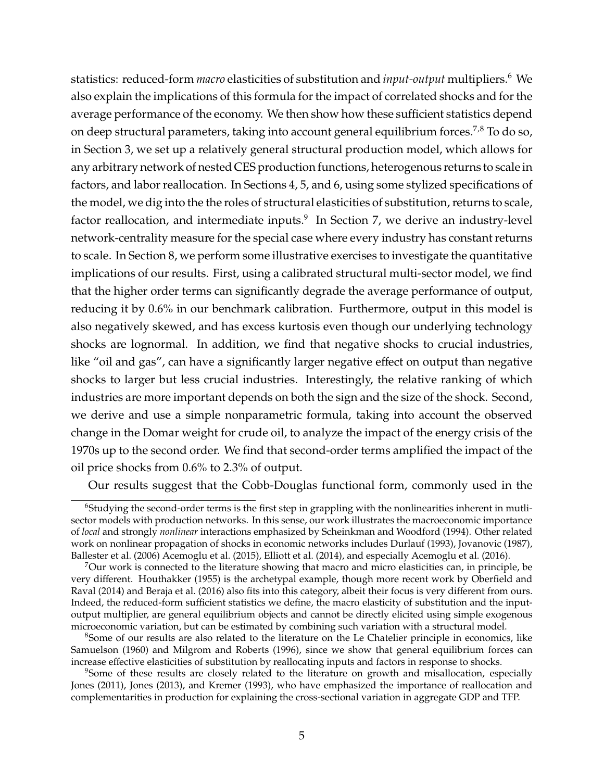statistics: reduced-form *macro* elasticities of substitution and *input-output* multipliers.[6](#page-0-0) We also explain the implications of this formula for the impact of correlated shocks and for the average performance of the economy. We then show how these sufficient statistics depend on deep structural parameters, taking into account general equilibrium forces.[7](#page-0-0),[8](#page-0-0) To do so, in Section [3,](#page-16-0) we set up a relatively general structural production model, which allows for any arbitrary network of nested CES production functions, heterogenous returns to scale in factors, and labor reallocation. In Sections [4,](#page-17-0) [5,](#page-21-0) and [6,](#page-23-0) using some stylized specifications of the model, we dig into the the roles of structural elasticities of substitution, returns to scale, factor reallocation, and intermediate inputs.<sup>[9](#page-0-0)</sup> In Section [7,](#page-25-0) we derive an industry-level network-centrality measure for the special case where every industry has constant returns to scale. In Section [8,](#page-33-0) we perform some illustrative exercises to investigate the quantitative implications of our results. First, using a calibrated structural multi-sector model, we find that the higher order terms can significantly degrade the average performance of output, reducing it by 0.6% in our benchmark calibration. Furthermore, output in this model is also negatively skewed, and has excess kurtosis even though our underlying technology shocks are lognormal. In addition, we find that negative shocks to crucial industries, like "oil and gas", can have a significantly larger negative effect on output than negative shocks to larger but less crucial industries. Interestingly, the relative ranking of which industries are more important depends on both the sign and the size of the shock. Second, we derive and use a simple nonparametric formula, taking into account the observed change in the Domar weight for crude oil, to analyze the impact of the energy crisis of the 1970s up to the second order. We find that second-order terms amplified the impact of the oil price shocks from 0.6% to 2.3% of output.

Our results suggest that the Cobb-Douglas functional form, commonly used in the

<sup>8</sup>Some of our results are also related to the literature on the Le Chatelier principle in economics, like [Samuelson](#page-45-8) [\(1960\)](#page-45-8) and [Milgrom and Roberts](#page-45-9) [\(1996\)](#page-45-9), since we show that general equilibrium forces can increase effective elasticities of substitution by reallocating inputs and factors in response to shocks.

<sup>9</sup>Some of these results are closely related to the literature on growth and misallocation, especially [Jones](#page-45-10) [\(2011\)](#page-45-10), [Jones](#page-45-11) [\(2013\)](#page-45-11), and [Kremer](#page-45-12) [\(1993\)](#page-45-12), who have emphasized the importance of reallocation and complementarities in production for explaining the cross-sectional variation in aggregate GDP and TFP.

<sup>&</sup>lt;sup>6</sup>Studying the second-order terms is the first step in grappling with the nonlinearities inherent in mutlisector models with production networks. In this sense, our work illustrates the macroeconomic importance of *local* and strongly *nonlinear* interactions emphasized by [Scheinkman and Woodford](#page-45-5) [\(1994\)](#page-45-5). Other related work on nonlinear propagation of shocks in economic networks includes [Durlauf](#page-44-12) [\(1993\)](#page-44-12), [Jovanovic](#page-45-6) [\(1987\)](#page-45-6), [Ballester et al.](#page-43-6) [\(2006\)](#page-43-6) [Acemoglu et al.](#page-43-7) [\(2015\)](#page-43-7), [Elliott et al.](#page-44-13) [\(2014\)](#page-44-13), and especially [Acemoglu et al.](#page-43-8) [\(2016\)](#page-43-8).

 $7$ Our work is connected to the literature showing that macro and micro elasticities can, in principle, be very different. [Houthakker](#page-44-14) [\(1955\)](#page-44-14) is the archetypal example, though more recent work by [Oberfield and](#page-45-7) [Raval](#page-45-7) [\(2014\)](#page-45-7) and [Beraja et al.](#page-43-9) [\(2016\)](#page-43-9) also fits into this category, albeit their focus is very different from ours. Indeed, the reduced-form sufficient statistics we define, the macro elasticity of substitution and the inputoutput multiplier, are general equilibrium objects and cannot be directly elicited using simple exogenous microeconomic variation, but can be estimated by combining such variation with a structural model.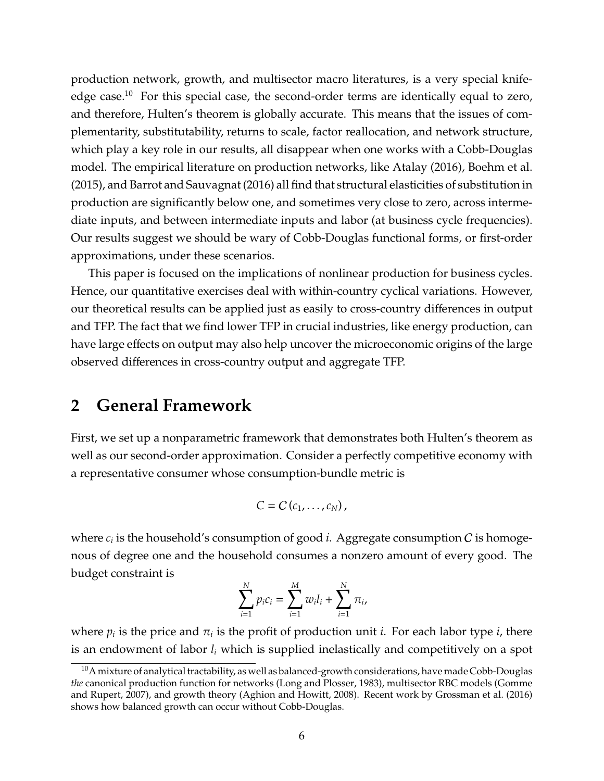production network, growth, and multisector macro literatures, is a very special knife-edge case.<sup>[10](#page-0-0)</sup> For this special case, the second-order terms are identically equal to zero, and therefore, Hulten's theorem is globally accurate. This means that the issues of complementarity, substitutability, returns to scale, factor reallocation, and network structure, which play a key role in our results, all disappear when one works with a Cobb-Douglas model. The empirical literature on production networks, like [Atalay](#page-43-5) [\(2016\)](#page-43-5), [Boehm et al.](#page-43-10) [\(2015\)](#page-43-10), and [Barrot and Sauvagnat](#page-43-11) [\(2016\)](#page-43-11) all find that structural elasticities of substitution in production are significantly below one, and sometimes very close to zero, across intermediate inputs, and between intermediate inputs and labor (at business cycle frequencies). Our results suggest we should be wary of Cobb-Douglas functional forms, or first-order approximations, under these scenarios.

This paper is focused on the implications of nonlinear production for business cycles. Hence, our quantitative exercises deal with within-country cyclical variations. However, our theoretical results can be applied just as easily to cross-country differences in output and TFP. The fact that we find lower TFP in crucial industries, like energy production, can have large effects on output may also help uncover the microeconomic origins of the large observed differences in cross-country output and aggregate TFP.

### <span id="page-5-0"></span>**2 General Framework**

First, we set up a nonparametric framework that demonstrates both Hulten's theorem as well as our second-order approximation. Consider a perfectly competitive economy with a representative consumer whose consumption-bundle metric is

$$
C=C(c_1,\ldots,c_N),
$$

where  $c_i$  is the household's consumption of good *i*. Aggregate consumption C is homogenous of degree one and the household consumes a nonzero amount of every good. The budget constraint is

$$
\sum_{i=1}^{N} p_i c_i = \sum_{i=1}^{M} w_i l_i + \sum_{i=1}^{N} \pi_i,
$$

where  $p_i$  is the price and  $\pi_i$  is the profit of production unit *i*. For each labor type *i*, there is an endowment of labor *l<sup>i</sup>* which is supplied inelastically and competitively on a spot

 $10A$  mixture of analytical tractability, as well as balanced-growth considerations, have made Cobb-Douglas *the* canonical production function for networks [\(Long and Plosser, 1983\)](#page-45-2), multisector RBC models [\(Gomme](#page-44-15) [and Rupert, 2007\)](#page-44-15), and growth theory [\(Aghion and Howitt, 2008\)](#page-43-12). Recent work by [Grossman et al.](#page-44-16) [\(2016\)](#page-44-16) shows how balanced growth can occur without Cobb-Douglas.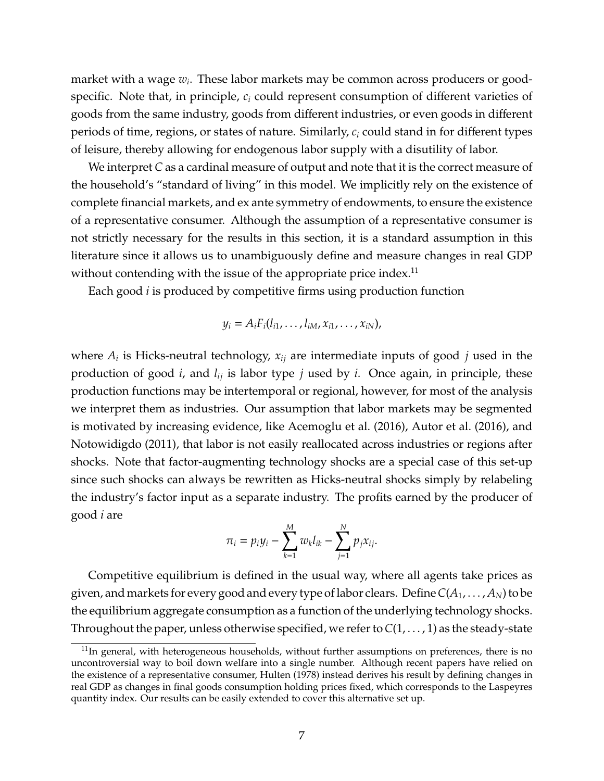market with a wage *w<sup>i</sup>* . These labor markets may be common across producers or goodspecific. Note that, in principle,  $c_i$  could represent consumption of different varieties of goods from the same industry, goods from different industries, or even goods in different periods of time, regions, or states of nature. Similarly, *c<sup>i</sup>* could stand in for different types of leisure, thereby allowing for endogenous labor supply with a disutility of labor.

We interpret *C* as a cardinal measure of output and note that it is the correct measure of the household's "standard of living" in this model. We implicitly rely on the existence of complete financial markets, and ex ante symmetry of endowments, to ensure the existence of a representative consumer. Although the assumption of a representative consumer is not strictly necessary for the results in this section, it is a standard assumption in this literature since it allows us to unambiguously define and measure changes in real GDP without contending with the issue of the appropriate price index. $^{11}$  $^{11}$  $^{11}$ 

Each good *i* is produced by competitive firms using production function

$$
y_i = A_i F_i(l_{i1},\ldots,l_{iM},x_{i1},\ldots,x_{iN}),
$$

where *A<sup>i</sup>* is Hicks-neutral technology, *xij* are intermediate inputs of good *j* used in the production of good *i*, and *lij* is labor type *j* used by *i*. Once again, in principle, these production functions may be intertemporal or regional, however, for most of the analysis we interpret them as industries. Our assumption that labor markets may be segmented is motivated by increasing evidence, like [Acemoglu et al.](#page-43-13) [\(2016\)](#page-43-13), [Autor et al.](#page-43-14) [\(2016\)](#page-43-14), and [Notowidigdo](#page-45-13) [\(2011\)](#page-45-13), that labor is not easily reallocated across industries or regions after shocks. Note that factor-augmenting technology shocks are a special case of this set-up since such shocks can always be rewritten as Hicks-neutral shocks simply by relabeling the industry's factor input as a separate industry. The profits earned by the producer of good *i* are

$$
\pi_i = p_i y_i - \sum_{k=1}^M w_k l_{ik} - \sum_{j=1}^N p_j x_{ij}.
$$

Competitive equilibrium is defined in the usual way, where all agents take prices as given, and markets for every good and every type of labor clears. Define*C*(*A*1, . . . , *AN*) to be the equilibrium aggregate consumption as a function of the underlying technology shocks. Throughout the paper, unless otherwise specified, we refer to *C*(1, . . . , 1) as the steady-state

 $11$ In general, with heterogeneous households, without further assumptions on preferences, there is no uncontroversial way to boil down welfare into a single number. Although recent papers have relied on the existence of a representative consumer, [Hulten](#page-44-0) [\(1978\)](#page-44-0) instead derives his result by defining changes in real GDP as changes in final goods consumption holding prices fixed, which corresponds to the Laspeyres quantity index. Our results can be easily extended to cover this alternative set up.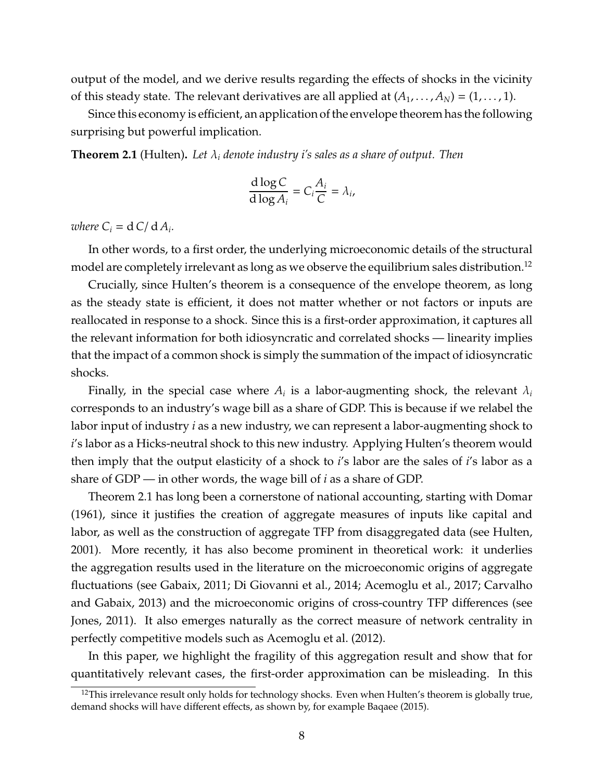output of the model, and we derive results regarding the effects of shocks in the vicinity of this steady state. The relevant derivatives are all applied at  $(A_1, \ldots, A_N) = (1, \ldots, 1)$ .

Since this economy is efficient, an application of the envelope theorem has the following surprising but powerful implication.

<span id="page-7-0"></span>**Theorem 2.1** (Hulten). Let  $\lambda_i$  denote industry i's sales as a share of output. Then

$$
\frac{\mathrm{d}\log C}{\mathrm{d}\log A_i} = C_i \frac{A_i}{C} = \lambda_i,
$$

*where*  $C_i = dC/dA_i$ .

In other words, to a first order, the underlying microeconomic details of the structural model are completely irrelevant as long as we observe the equilibrium sales distribution.<sup>[12](#page-0-0)</sup>

Crucially, since Hulten's theorem is a consequence of the envelope theorem, as long as the steady state is efficient, it does not matter whether or not factors or inputs are reallocated in response to a shock. Since this is a first-order approximation, it captures all the relevant information for both idiosyncratic and correlated shocks — linearity implies that the impact of a common shock is simply the summation of the impact of idiosyncratic shocks.

Finally, in the special case where  $A_i$  is a labor-augmenting shock, the relevant  $\lambda_i$ corresponds to an industry's wage bill as a share of GDP. This is because if we relabel the labor input of industry *i* as a new industry, we can represent a labor-augmenting shock to *i*'s labor as a Hicks-neutral shock to this new industry. Applying Hulten's theorem would then imply that the output elasticity of a shock to *i*'s labor are the sales of *i*'s labor as a share of GDP — in other words, the wage bill of *i* as a share of GDP.

Theorem [2.1](#page-7-0) has long been a cornerstone of national accounting, starting with [Domar](#page-44-1) [\(1961\)](#page-44-1), since it justifies the creation of aggregate measures of inputs like capital and labor, as well as the construction of aggregate TFP from disaggregated data (see [Hulten,](#page-44-17) [2001\)](#page-44-17). More recently, it has also become prominent in theoretical work: it underlies the aggregation results used in the literature on the microeconomic origins of aggregate fluctuations (see [Gabaix, 2011;](#page-44-2) [Di Giovanni et al., 2014;](#page-44-11) [Acemoglu et al., 2017;](#page-43-1) [Carvalho](#page-44-3) [and Gabaix, 2013\)](#page-44-3) and the microeconomic origins of cross-country TFP differences (see [Jones, 2011\)](#page-45-10). It also emerges naturally as the correct measure of network centrality in perfectly competitive models such as [Acemoglu et al.](#page-43-0) [\(2012\)](#page-43-0).

In this paper, we highlight the fragility of this aggregation result and show that for quantitatively relevant cases, the first-order approximation can be misleading. In this

 $12$ This irrelevance result only holds for technology shocks. Even when Hulten's theorem is globally true, demand shocks will have different effects, as shown by, for example [Baqaee](#page-43-15) [\(2015\)](#page-43-15).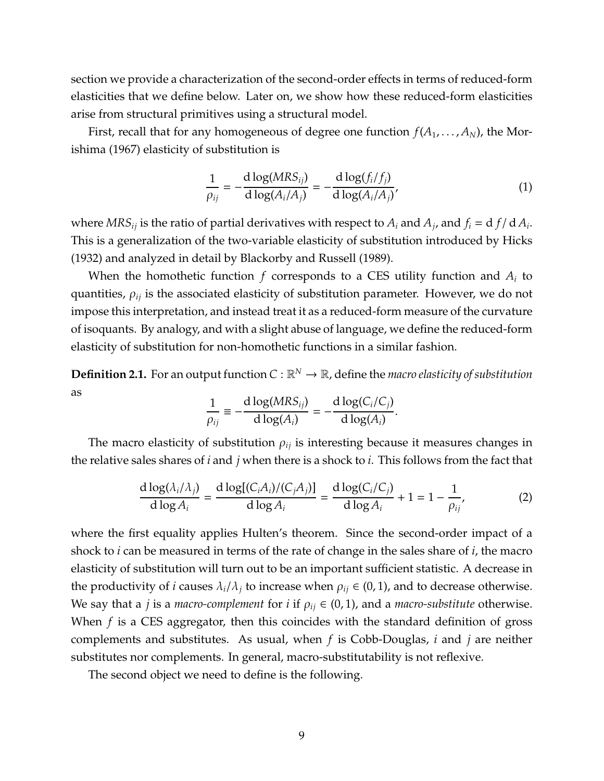section we provide a characterization of the second-order effects in terms of reduced-form elasticities that we define below. Later on, we show how these reduced-form elasticities arise from structural primitives using a structural model.

First, recall that for any homogeneous of degree one function  $f(A_1, \ldots, A_N)$ , the [Mor](#page-45-14)[ishima](#page-45-14) [\(1967\)](#page-45-14) elasticity of substitution is

$$
\frac{1}{\rho_{ij}} = -\frac{d \log(MRS_{ij})}{d \log(A_i/A_j)} = -\frac{d \log(f_i/f_j)}{d \log(A_i/A_j)},
$$
(1)

where  $MRS_{ij}$  is the ratio of partial derivatives with respect to  $A_i$  and  $A_j$ , and  $f_i = \mathrm{d} f/\,\mathrm{d}\,A_i$ . This is a generalization of the two-variable elasticity of substitution introduced by [Hicks](#page-44-18) [\(1932\)](#page-44-18) and analyzed in detail by [Blackorby and Russell](#page-43-16) [\(1989\)](#page-43-16).

When the homothetic function *f* corresponds to a CES utility function and *A<sup>i</sup>* to quantities, ρ*ij* is the associated elasticity of substitution parameter. However, we do not impose this interpretation, and instead treat it as a reduced-form measure of the curvature of isoquants. By analogy, and with a slight abuse of language, we define the reduced-form elasticity of substitution for non-homothetic functions in a similar fashion.

**Definition 2.1.** For an output function  $C : \mathbb{R}^N \to \mathbb{R}$ , define the *macro elasticity of substitution* as

<span id="page-8-0"></span>
$$
\frac{1}{\rho_{ij}} \equiv -\frac{d \log(MRS_{ij})}{d \log(A_i)} = -\frac{d \log(C_i/C_j)}{d \log(A_i)}.
$$

The macro elasticity of substitution  $\rho_{ij}$  is interesting because it measures changes in the relative sales shares of *i* and *j* when there is a shock to *i*. This follows from the fact that

$$
\frac{d \log(\lambda_i/\lambda_j)}{d \log A_i} = \frac{d \log[(C_i A_i)/(C_j A_j)]}{d \log A_i} = \frac{d \log(C_i/C_j)}{d \log A_i} + 1 = 1 - \frac{1}{\rho_{ij}},
$$
(2)

where the first equality applies Hulten's theorem. Since the second-order impact of a shock to *i* can be measured in terms of the rate of change in the sales share of *i*, the macro elasticity of substitution will turn out to be an important sufficient statistic. A decrease in the productivity of *i* causes  $\lambda_i/\lambda_j$  to increase when  $\rho_{ij} \in (0,1)$ , and to decrease otherwise. We say that a *j* is a *macro-complement* for *i* if  $\rho_{ij} \in (0,1)$ , and a *macro-substitute* otherwise. When *f* is a CES aggregator, then this coincides with the standard definition of gross complements and substitutes. As usual, when *f* is Cobb-Douglas, *i* and *j* are neither substitutes nor complements. In general, macro-substitutability is not reflexive.

The second object we need to define is the following.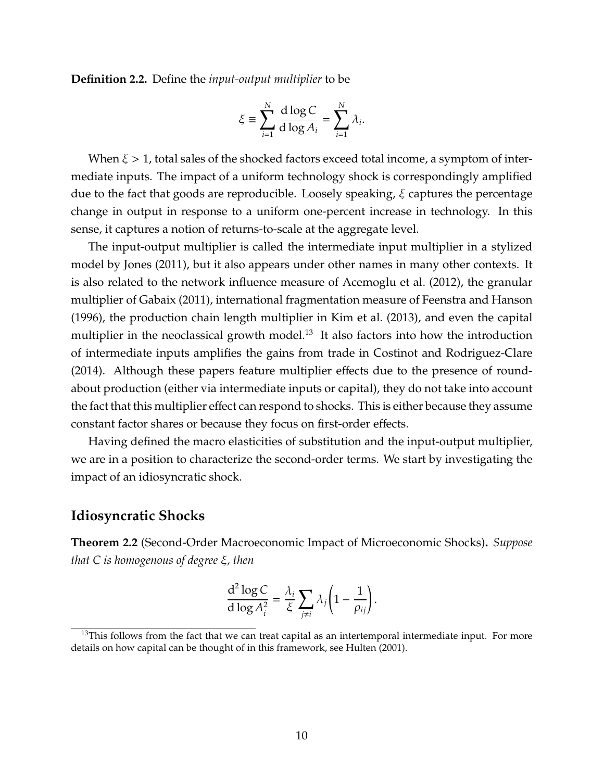**Definition 2.2.** Define the *input-output multiplier* to be

$$
\xi \equiv \sum_{i=1}^N \frac{d \log C}{d \log A_i} = \sum_{i=1}^N \lambda_i.
$$

When  $\xi > 1$ , total sales of the shocked factors exceed total income, a symptom of intermediate inputs. The impact of a uniform technology shock is correspondingly amplified due to the fact that goods are reproducible. Loosely speaking, ξ captures the percentage change in output in response to a uniform one-percent increase in technology. In this sense, it captures a notion of returns-to-scale at the aggregate level.

The input-output multiplier is called the intermediate input multiplier in a stylized model by [Jones](#page-45-10) [\(2011\)](#page-45-10), but it also appears under other names in many other contexts. It is also related to the network influence measure of [Acemoglu et al.](#page-43-0) [\(2012\)](#page-43-0), the granular multiplier of [Gabaix](#page-44-2) [\(2011\)](#page-44-2), international fragmentation measure of [Feenstra and Hanson](#page-44-19) [\(1996\)](#page-44-19), the production chain length multiplier in [Kim et al.](#page-45-15) [\(2013\)](#page-45-15), and even the capital multiplier in the neoclassical growth model.<sup>[13](#page-0-0)</sup> It also factors into how the introduction of intermediate inputs amplifies the gains from trade in [Costinot and Rodriguez-Clare](#page-44-20) [\(2014\)](#page-44-20). Although these papers feature multiplier effects due to the presence of roundabout production (either via intermediate inputs or capital), they do not take into account the fact that this multiplier effect can respond to shocks. This is either because they assume constant factor shares or because they focus on first-order effects.

Having defined the macro elasticities of substitution and the input-output multiplier, we are in a position to characterize the second-order terms. We start by investigating the impact of an idiosyncratic shock.

#### **Idiosyncratic Shocks**

<span id="page-9-0"></span>**Theorem 2.2** (Second-Order Macroeconomic Impact of Microeconomic Shocks)**.** *Suppose that C is homogenous of degree* ξ*, then*

$$
\frac{\mathrm{d}^2\log C}{\mathrm{d}\log A_i^2} = \frac{\lambda_i}{\xi} \sum_{j\neq i} \lambda_j \left(1 - \frac{1}{\rho_{ij}}\right).
$$

<sup>&</sup>lt;sup>13</sup>This follows from the fact that we can treat capital as an intertemporal intermediate input. For more details on how capital can be thought of in this framework, see [Hulten](#page-44-17) [\(2001\)](#page-44-17).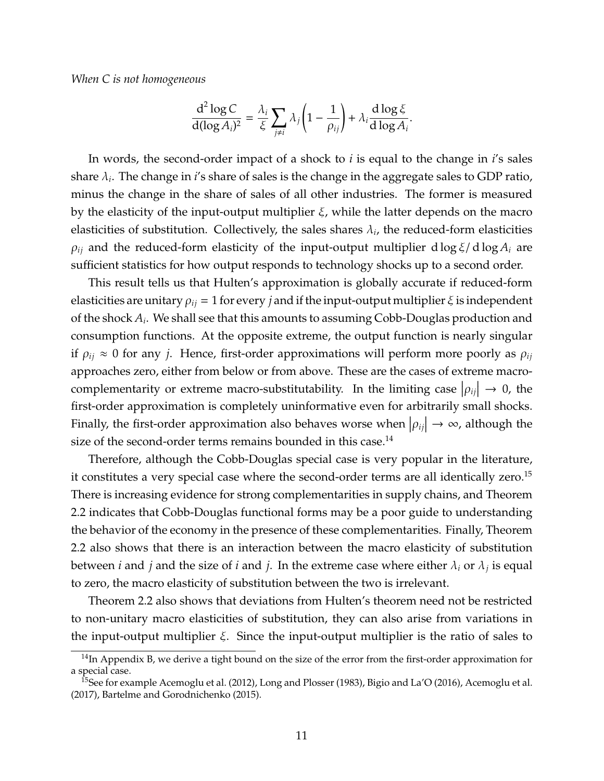*When C is not homogeneous*

$$
\frac{d^2 \log C}{d(\log A_i)^2} = \frac{\lambda_i}{\xi} \sum_{j \neq i} \lambda_j \left(1 - \frac{1}{\rho_{ij}}\right) + \lambda_i \frac{d \log \xi}{d \log A_i}.
$$

In words, the second-order impact of a shock to *i* is equal to the change in *i*'s sales share  $\lambda_i$ . The change in *i'*s share of sales is the change in the aggregate sales to GDP ratio, minus the change in the share of sales of all other industries. The former is measured by the elasticity of the input-output multiplier  $\xi$ , while the latter depends on the macro elasticities of substitution. Collectively, the sales shares  $\lambda_i$ , the reduced-form elasticities  $\rho_{ij}$  and the reduced-form elasticity of the input-output multiplier d log  $\xi$  d log  $A_i$  are sufficient statistics for how output responds to technology shocks up to a second order.

This result tells us that Hulten's approximation is globally accurate if reduced-form elasticities are unitary  $\rho_{ij} = 1$  for every *j* and if the input-output multiplier  $\xi$  is independent of the shock *A<sup>i</sup>* . We shall see that this amounts to assuming Cobb-Douglas production and consumption functions. At the opposite extreme, the output function is nearly singular if  $\rho_{ij} \approx 0$  for any *j*. Hence, first-order approximations will perform more poorly as  $\rho_{ij}$ approaches zero, either from below or from above. These are the cases of extreme macrocomplementarity or extreme macro-substitutability. In the limiting case  $|\rho_{ij}| \to 0$ , the first-order approximation is completely uninformative even for arbitrarily small shocks. Finally, the first-order approximation also behaves worse when  $|\rho_{ij}| \to \infty$ , although the size of the second-order terms remains bounded in this case.<sup>[14](#page-0-0)</sup>

Therefore, although the Cobb-Douglas special case is very popular in the literature, it constitutes a very special case where the second-order terms are all identically zero.<sup>[15](#page-0-0)</sup> There is increasing evidence for strong complementarities in supply chains, and Theorem [2.2](#page-9-0) indicates that Cobb-Douglas functional forms may be a poor guide to understanding the behavior of the economy in the presence of these complementarities. Finally, Theorem [2.2](#page-9-0) also shows that there is an interaction between the macro elasticity of substitution between *i* and *j* and the size of *i* and *j*. In the extreme case where either  $\lambda_i$  or  $\lambda_j$  is equal to zero, the macro elasticity of substitution between the two is irrelevant.

Theorem [2.2](#page-9-0) also shows that deviations from Hulten's theorem need not be restricted to non-unitary macro elasticities of substitution, they can also arise from variations in the input-output multiplier  $\xi$ . Since the input-output multiplier is the ratio of sales to

<sup>&</sup>lt;sup>14</sup>In Appendix [B,](#page-59-0) we derive a tight bound on the size of the error from the first-order approximation for a special case.

<sup>&</sup>lt;sup>15</sup>See for example [Acemoglu et al.](#page-43-1) [\(2012\)](#page-43-0), [Long and Plosser](#page-45-2) [\(1983\)](#page-45-2), [Bigio and La'O](#page-43-3) [\(2016\)](#page-43-3), Acemoglu et al. [\(2017\)](#page-43-1), [Bartelme and Gorodnichenko](#page-43-17) [\(2015\)](#page-43-17).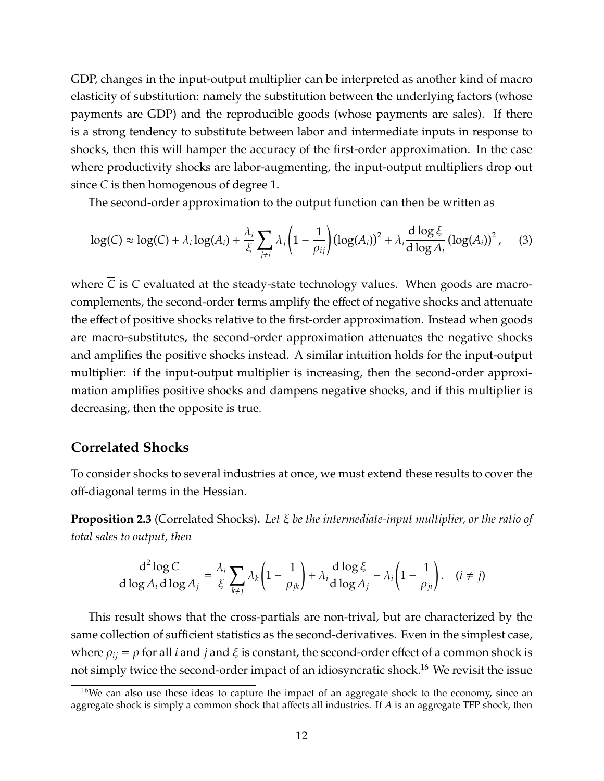GDP, changes in the input-output multiplier can be interpreted as another kind of macro elasticity of substitution: namely the substitution between the underlying factors (whose payments are GDP) and the reproducible goods (whose payments are sales). If there is a strong tendency to substitute between labor and intermediate inputs in response to shocks, then this will hamper the accuracy of the first-order approximation. In the case where productivity shocks are labor-augmenting, the input-output multipliers drop out since *C* is then homogenous of degree 1.

The second-order approximation to the output function can then be written as

$$
\log(C) \approx \log(\overline{C}) + \lambda_i \log(A_i) + \frac{\lambda_i}{\xi} \sum_{j \neq i} \lambda_j \left(1 - \frac{1}{\rho_{ij}}\right) (\log(A_i))^2 + \lambda_i \frac{d \log \xi}{d \log A_i} (\log(A_i))^2, \quad (3)
$$

where  $\overline{C}$  is  $C$  evaluated at the steady-state technology values. When goods are macrocomplements, the second-order terms amplify the effect of negative shocks and attenuate the effect of positive shocks relative to the first-order approximation. Instead when goods are macro-substitutes, the second-order approximation attenuates the negative shocks and amplifies the positive shocks instead. A similar intuition holds for the input-output multiplier: if the input-output multiplier is increasing, then the second-order approximation amplifies positive shocks and dampens negative shocks, and if this multiplier is decreasing, then the opposite is true.

### **Correlated Shocks**

To consider shocks to several industries at once, we must extend these results to cover the off-diagonal terms in the Hessian.

**Proposition 2.3** (Correlated Shocks)**.** *Let* ξ *be the intermediate-input multiplier, or the ratio of total sales to output, then*

$$
\frac{d^2 \log C}{d \log A_i d \log A_j} = \frac{\lambda_i}{\xi} \sum_{k \neq j} \lambda_k \left(1 - \frac{1}{\rho_{jk}}\right) + \lambda_i \frac{d \log \xi}{d \log A_j} - \lambda_i \left(1 - \frac{1}{\rho_{ji}}\right). \quad (i \neq j)
$$

This result shows that the cross-partials are non-trival, but are characterized by the same collection of sufficient statistics as the second-derivatives. Even in the simplest case, where  $\rho_{ij} = \rho$  for all *i* and *j* and  $\xi$  is constant, the second-order effect of a common shock is not simply twice the second-order impact of an idiosyncratic shock.[16](#page-0-0) We revisit the issue

<sup>&</sup>lt;sup>16</sup>We can also use these ideas to capture the impact of an aggregate shock to the economy, since an aggregate shock is simply a common shock that affects all industries. If *A* is an aggregate TFP shock, then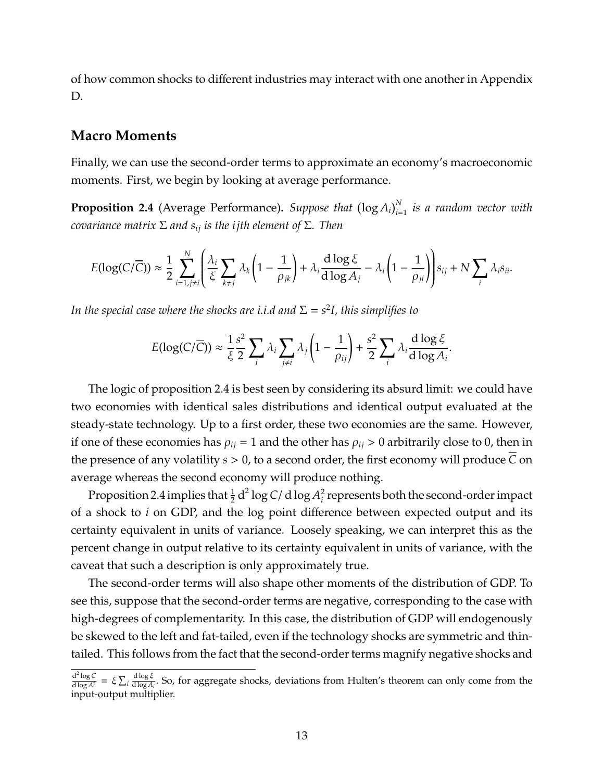of how common shocks to different industries may interact with one another in Appendix [D.](#page-63-0)

#### **Macro Moments**

Finally, we can use the second-order terms to approximate an economy's macroeconomic moments. First, we begin by looking at average performance.

<span id="page-12-0"></span>**Proposition 2.4** (Average Performance). Suppose that  $(\log A_i)_{i=1}^N$  is a random vector with *covariance matrix* Σ *and sij is the ijth element of* Σ*. Then*

$$
E(\log(C/\overline{C})) \approx \frac{1}{2} \sum_{i=1, j\neq i}^{N} \left( \frac{\lambda_i}{\xi} \sum_{k\neq j} \lambda_k \left( 1 - \frac{1}{\rho_{jk}} \right) + \lambda_i \frac{d \log \xi}{d \log A_j} - \lambda_i \left( 1 - \frac{1}{\rho_{ji}} \right) \right) s_{ij} + N \sum_i \lambda_i s_{ii}.
$$

*In the special case where the shocks are i.i.d and* Σ = *s* 2 *I, this simplifies to*

$$
E(\log(C/\overline{C})) \approx \frac{1}{\xi} \frac{s^2}{2} \sum_i \lambda_i \sum_{j \neq i} \lambda_j \left(1 - \frac{1}{\rho_{ij}}\right) + \frac{s^2}{2} \sum_i \lambda_i \frac{d \log \xi}{d \log A_i}.
$$

The logic of proposition [2.4](#page-12-0) is best seen by considering its absurd limit: we could have two economies with identical sales distributions and identical output evaluated at the steady-state technology. Up to a first order, these two economies are the same. However, if one of these economies has  $\rho_{ij} = 1$  and the other has  $\rho_{ij} > 0$  arbitrarily close to 0, then in the presence of any volatility *s* > 0, to a second order, the first economy will produce *C* on average whereas the second economy will produce nothing.

Proposition [2.4](#page-12-0) implies that  $\frac{1}{2}$  d<sup>2</sup> log *C*/ d log  $A_i^2$  $\frac{2}{i}$  represents both the second-order impact of a shock to *i* on GDP, and the log point difference between expected output and its certainty equivalent in units of variance. Loosely speaking, we can interpret this as the percent change in output relative to its certainty equivalent in units of variance, with the caveat that such a description is only approximately true.

The second-order terms will also shape other moments of the distribution of GDP. To see this, suppose that the second-order terms are negative, corresponding to the case with high-degrees of complementarity. In this case, the distribution of GDP will endogenously be skewed to the left and fat-tailed, even if the technology shocks are symmetric and thintailed. This follows from the fact that the second-order terms magnify negative shocks and

 $rac{d^2 \log C}{d \log A^2} = \xi \sum_i \frac{d \log \xi}{d \log A}$  $\frac{d \log \mathcal{E}}{d \log A_i}$ . So, for aggregate shocks, deviations from Hulten's theorem can only come from the input-output multiplier.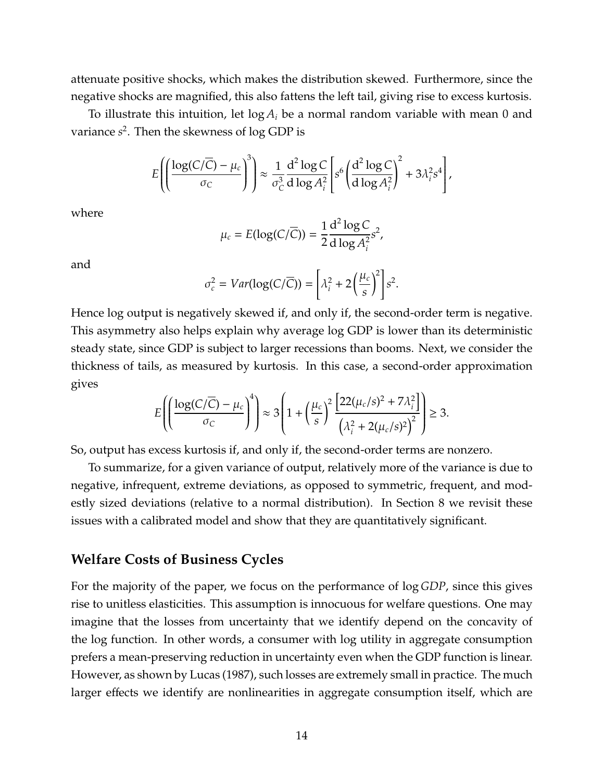attenuate positive shocks, which makes the distribution skewed. Furthermore, since the negative shocks are magnified, this also fattens the left tail, giving rise to excess kurtosis.

To illustrate this intuition, let log *A<sup>i</sup>* be a normal random variable with mean 0 and variance *s* 2 . Then the skewness of log GDP is

$$
E\left(\left(\frac{\log(C/\overline{C})-\mu_c}{\sigma_C}\right)^3\right) \approx \frac{1}{\sigma_C^3} \frac{d^2 \log C}{d \log A_i^2} \left[s^6 \left(\frac{d^2 \log C}{d \log A_i^2}\right)^2 + 3\lambda_i^2 s^4\right],
$$

where

$$
\mu_c = E(\log(C/\overline{C})) = \frac{1}{2} \frac{d^2 \log C}{d \log A_i^2} s^2,
$$

and

$$
\sigma_c^2 = Var(log(C/\overline{C})) = \left[\lambda_i^2 + 2\left(\frac{\mu_c}{s}\right)^2\right]s^2.
$$

Hence log output is negatively skewed if, and only if, the second-order term is negative. This asymmetry also helps explain why average log GDP is lower than its deterministic steady state, since GDP is subject to larger recessions than booms. Next, we consider the thickness of tails, as measured by kurtosis. In this case, a second-order approximation gives

$$
E\left(\left(\frac{\log(C/\overline{C})-\mu_c}{\sigma_C}\right)^4\right) \approx 3\left(1+\left(\frac{\mu_c}{s}\right)^2\frac{\left[22(\mu_c/s)^2+7\lambda_i^2\right]}{\left(\lambda_i^2+2(\mu_c/s)^2\right)^2}\right) \geq 3.
$$

So, output has excess kurtosis if, and only if, the second-order terms are nonzero.

To summarize, for a given variance of output, relatively more of the variance is due to negative, infrequent, extreme deviations, as opposed to symmetric, frequent, and modestly sized deviations (relative to a normal distribution). In Section [8](#page-33-0) we revisit these issues with a calibrated model and show that they are quantitatively significant.

### **Welfare Costs of Business Cycles**

For the majority of the paper, we focus on the performance of log *GDP*, since this gives rise to unitless elasticities. This assumption is innocuous for welfare questions. One may imagine that the losses from uncertainty that we identify depend on the concavity of the log function. In other words, a consumer with log utility in aggregate consumption prefers a mean-preserving reduction in uncertainty even when the GDP function is linear. However, as shown by [Lucas](#page-45-0) [\(1987\)](#page-45-0), such losses are extremely small in practice. The much larger effects we identify are nonlinearities in aggregate consumption itself, which are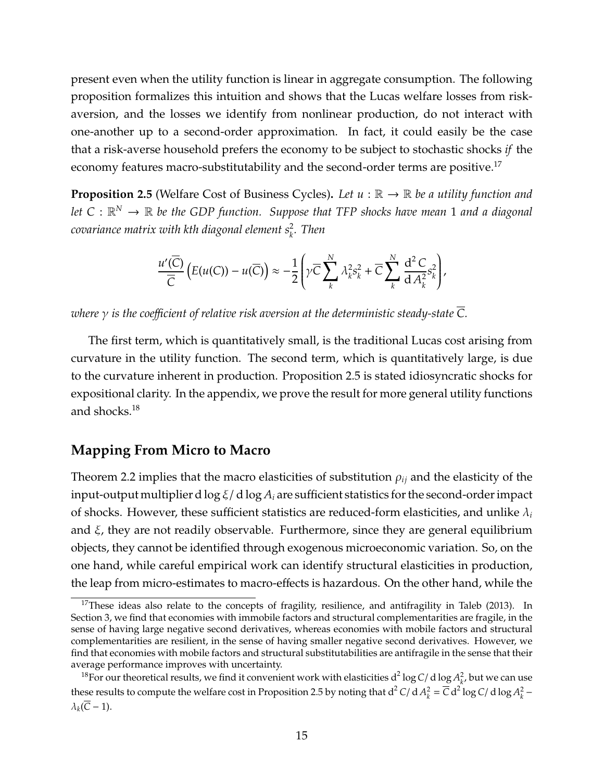present even when the utility function is linear in aggregate consumption. The following proposition formalizes this intuition and shows that the Lucas welfare losses from riskaversion, and the losses we identify from nonlinear production, do not interact with one-another up to a second-order approximation. In fact, it could easily be the case that a risk-averse household prefers the economy to be subject to stochastic shocks *if* the economy features macro-substitutability and the second-order terms are positive.<sup>[17](#page-0-0)</sup>

<span id="page-14-0"></span>**Proposition 2.5** (Welfare Cost of Business Cycles)**.** *Let u* : R → R *be a utility function and* let  $C: \mathbb{R}^N \to \mathbb{R}$  be the GDP function. Suppose that TFP shocks have mean 1 and a diagonal *covariance matrix with kth diagonal element s*<sup>2</sup> *k . Then*

$$
\frac{u'(\overline{C})}{\overline{C}}\left(E(u(C))-u(\overline{C})\right)\approx -\frac{1}{2}\left(\gamma\overline{C}\sum_{k}^{N}\lambda_{k}^{2}s_{k}^{2}+\overline{C}\sum_{k}^{N}\frac{d^{2}C}{dA_{k}^{2}}s_{k}^{2}\right),
$$

*where*  $\gamma$  *is the coefficient of relative risk aversion at the deterministic steady-state*  $\overline{C}$ *.* 

The first term, which is quantitatively small, is the traditional Lucas cost arising from curvature in the utility function. The second term, which is quantitatively large, is due to the curvature inherent in production. Proposition [2.5](#page-14-0) is stated idiosyncratic shocks for expositional clarity. In the appendix, we prove the result for more general utility functions and shocks.[18](#page-0-0)

### **Mapping From Micro to Macro**

Theorem [2.2](#page-9-0) implies that the macro elasticities of substitution  $\rho_{ij}$  and the elasticity of the input-output multiplier d  $\log \xi/d \log A_i$  are sufficient statistics for the second-order impact of shocks. However, these sufficient statistics are reduced-form elasticities, and unlike λ*<sup>i</sup>* and  $\xi$ , they are not readily observable. Furthermore, since they are general equilibrium objects, they cannot be identified through exogenous microeconomic variation. So, on the one hand, while careful empirical work can identify structural elasticities in production, the leap from micro-estimates to macro-effects is hazardous. On the other hand, while the

<sup>&</sup>lt;sup>17</sup>These ideas also relate to the concepts of fragility, resilience, and antifragility in [Taleb](#page-45-16) [\(2013\)](#page-45-16). In Section [3,](#page-16-0) we find that economies with immobile factors and structural complementarities are fragile, in the sense of having large negative second derivatives, whereas economies with mobile factors and structural complementarities are resilient, in the sense of having smaller negative second derivatives. However, we find that economies with mobile factors and structural substitutabilities are antifragile in the sense that their average performance improves with uncertainty.

<sup>&</sup>lt;sup>18</sup>For our theoretical results, we find it convenient work with elasticities  $d^2 \log C / d \log A_{k'}^2$  but we can use these results to compute the welfare cost in Proposition [2.5](#page-14-0) by noting that  $d^2 C/dA_k^2 = \overline{C} d^2 \log C/d \log A_k^2$  $\lambda_k(\overline{C}-1)$ .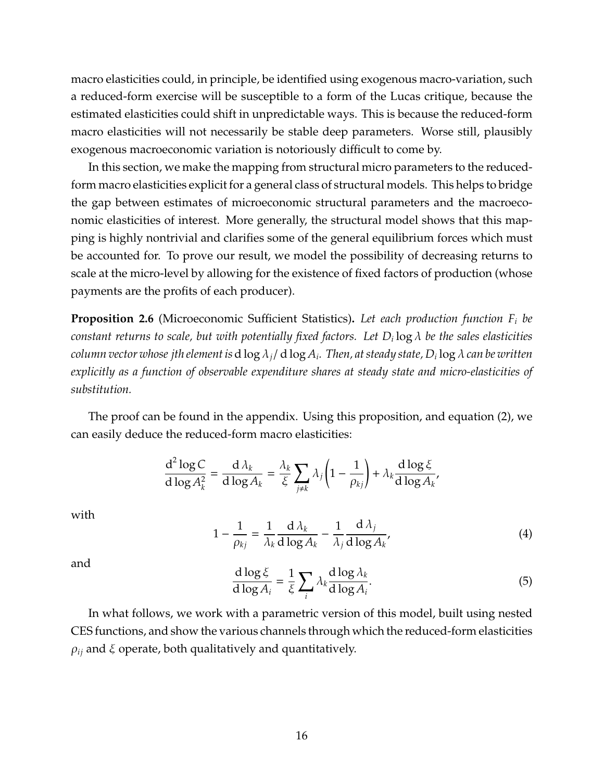macro elasticities could, in principle, be identified using exogenous macro-variation, such a reduced-form exercise will be susceptible to a form of the Lucas critique, because the estimated elasticities could shift in unpredictable ways. This is because the reduced-form macro elasticities will not necessarily be stable deep parameters. Worse still, plausibly exogenous macroeconomic variation is notoriously difficult to come by.

In this section, we make the mapping from structural micro parameters to the reducedform macro elasticities explicit for a general class of structural models. This helps to bridge the gap between estimates of microeconomic structural parameters and the macroeconomic elasticities of interest. More generally, the structural model shows that this mapping is highly nontrivial and clarifies some of the general equilibrium forces which must be accounted for. To prove our result, we model the possibility of decreasing returns to scale at the micro-level by allowing for the existence of fixed factors of production (whose payments are the profits of each producer).

**Proposition 2.6** (Microeconomic Sufficient Statistics)**.** *Let each production function F<sup>i</sup> be constant returns to scale, but with potentially fixed factors. Let D<sup>i</sup>* log λ *be the sales elasticities column vector whose jth element is* d log λ*j*/ d log *A<sup>i</sup> . Then, at steady state, D<sup>i</sup>* log λ *can be written explicitly as a function of observable expenditure shares at steady state and micro-elasticities of substitution.*

The proof can be found in the appendix. Using this proposition, and equation [\(2\)](#page-8-0), we can easily deduce the reduced-form macro elasticities:

$$
\frac{d^2 \log C}{d \log A_k^2} = \frac{d \lambda_k}{d \log A_k} = \frac{\lambda_k}{\xi} \sum_{j \neq k} \lambda_j \left( 1 - \frac{1}{\rho_{kj}} \right) + \lambda_k \frac{d \log \xi}{d \log A_k},
$$

with

$$
1 - \frac{1}{\rho_{kj}} = \frac{1}{\lambda_k} \frac{d \lambda_k}{d \log A_k} - \frac{1}{\lambda_j} \frac{d \lambda_j}{d \log A_k'},
$$
 (4)

and

$$
\frac{d \log \xi}{d \log A_i} = \frac{1}{\xi} \sum_i \lambda_k \frac{d \log \lambda_k}{d \log A_i}.
$$
 (5)

In what follows, we work with a parametric version of this model, built using nested CES functions, and show the various channels through which the reduced-form elasticities  $\rho_{ij}$  and  $\xi$  operate, both qualitatively and quantitatively.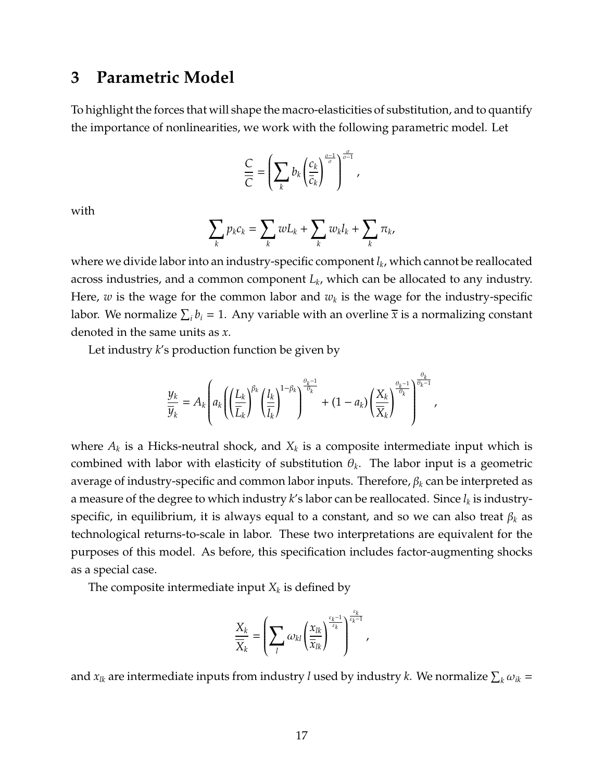# <span id="page-16-0"></span>**3 Parametric Model**

To highlight the forces that will shape the macro-elasticities of substitution, and to quantify the importance of nonlinearities, we work with the following parametric model. Let

$$
\frac{C}{\overline{C}} = \left(\sum_{k} b_k \left(\frac{c_k}{\overline{c}_k}\right)^{\frac{\sigma-1}{\sigma}}\right)^{\frac{\sigma}{\sigma-1}},
$$

with

$$
\sum_{k} p_k c_k = \sum_{k} w L_k + \sum_{k} w_k l_k + \sum_{k} \pi_k,
$$

where we divide labor into an industry-specific component *l<sup>k</sup>* , which cannot be reallocated across industries, and a common component *L<sup>k</sup>* , which can be allocated to any industry. Here, *w* is the wage for the common labor and *w<sup>k</sup>* is the wage for the industry-specific labor. We normalize  $\sum_i b_i = 1$ . Any variable with an overline  $\bar{x}$  is a normalizing constant denoted in the same units as *x*.

Let industry *k*'s production function be given by

$$
\frac{y_k}{\overline{y}_k}=A_k\left(a_k\left(\left(\frac{L_k}{\overline{L}_k}\right)^{\beta_k}\left(\frac{l_k}{\overline{l}_k}\right)^{1-\beta_k}\right)^{\frac{\theta_k-1}{\theta_k}}+(1-a_k)\left(\frac{X_k}{\overline{X}_k}\right)^{\frac{\theta_k-1}{\theta_k}}\right)^{\frac{\theta_k}{\theta_k-1}},
$$

where *A<sup>k</sup>* is a Hicks-neutral shock, and *X<sup>k</sup>* is a composite intermediate input which is combined with labor with elasticity of substitution  $\theta_k$ . The labor input is a geometric average of industry-specific and common labor inputs. Therefore, β*<sup>k</sup>* can be interpreted as a measure of the degree to which industry *k*'s labor can be reallocated. Since *l<sup>k</sup>* is industryspecific, in equilibrium, it is always equal to a constant, and so we can also treat β*<sup>k</sup>* as technological returns-to-scale in labor. These two interpretations are equivalent for the purposes of this model. As before, this specification includes factor-augmenting shocks as a special case.

The composite intermediate input *X<sup>k</sup>* is defined by

$$
\frac{X_k}{\overline{X}_k} = \left(\sum_l \omega_{kl} \left(\frac{x_{lk}}{\overline{x}_{lk}}\right)^{\frac{\varepsilon_k-1}{\varepsilon_k}}\right)^{\frac{\varepsilon_k}{\varepsilon_k-1}},
$$

and  $x_{lk}$  are intermediate inputs from industry *l* used by industry *k*. We normalize  $\sum_k \omega_{ik} =$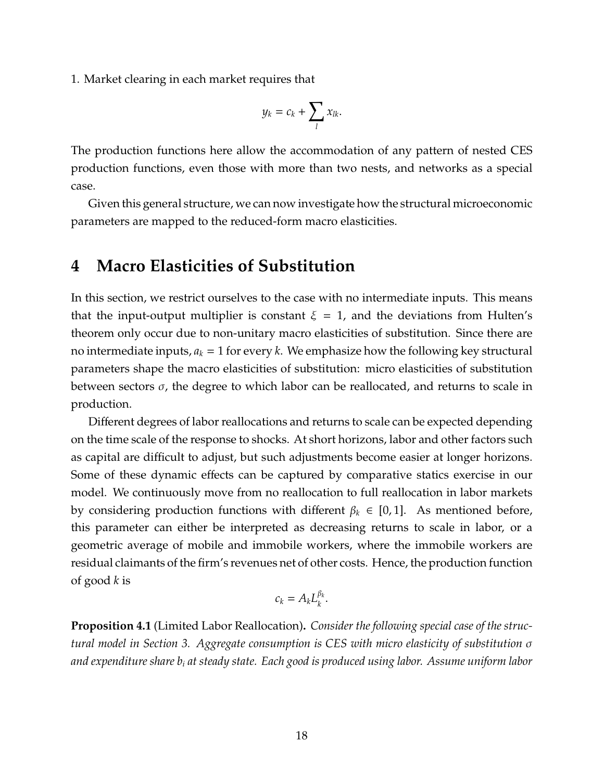1. Market clearing in each market requires that

$$
y_k = c_k + \sum_l x_{lk}.
$$

The production functions here allow the accommodation of any pattern of nested CES production functions, even those with more than two nests, and networks as a special case.

Given this general structure, we can now investigate how the structural microeconomic parameters are mapped to the reduced-form macro elasticities.

### <span id="page-17-0"></span>**4 Macro Elasticities of Substitution**

In this section, we restrict ourselves to the case with no intermediate inputs. This means that the input-output multiplier is constant  $\xi = 1$ , and the deviations from Hulten's theorem only occur due to non-unitary macro elasticities of substitution. Since there are no intermediate inputs,  $a_k = 1$  for every *k*. We emphasize how the following key structural parameters shape the macro elasticities of substitution: micro elasticities of substitution between sectors  $\sigma$ , the degree to which labor can be reallocated, and returns to scale in production.

Different degrees of labor reallocations and returns to scale can be expected depending on the time scale of the response to shocks. At short horizons, labor and other factors such as capital are difficult to adjust, but such adjustments become easier at longer horizons. Some of these dynamic effects can be captured by comparative statics exercise in our model. We continuously move from no reallocation to full reallocation in labor markets by considering production functions with different  $β_k ∈ [0,1]$ . As mentioned before, this parameter can either be interpreted as decreasing returns to scale in labor, or a geometric average of mobile and immobile workers, where the immobile workers are residual claimants of the firm's revenues net of other costs. Hence, the production function of good *k* is

$$
c_k=A_kL_k^{\beta_k}.
$$

<span id="page-17-1"></span>**Proposition 4.1** (Limited Labor Reallocation)**.** *Consider the following special case of the structural model in Section [3.](#page-16-0) Aggregate consumption is CES with micro elasticity of substitution* σ *and expenditure share b<sup>i</sup> at steady state. Each good is produced using labor. Assume uniform labor*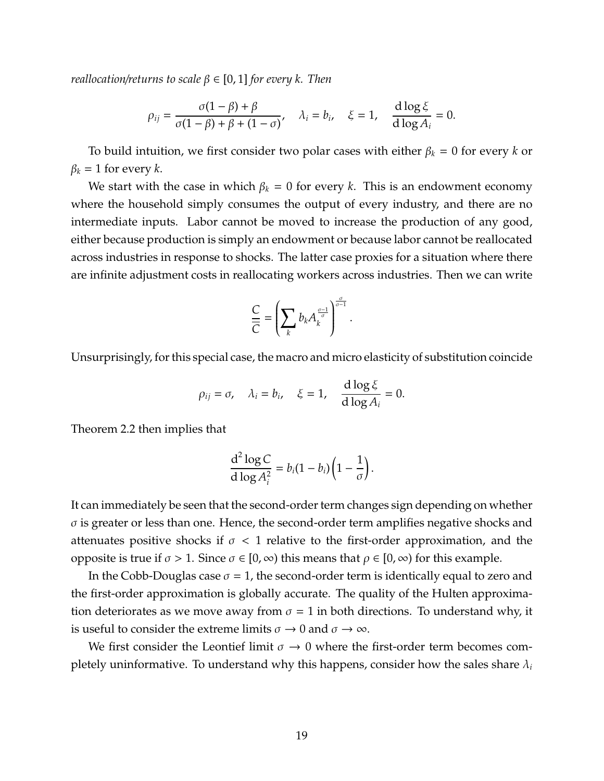*reallocation*/*returns to scale* β ∈ [0, 1] *for every k. Then*

$$
\rho_{ij} = \frac{\sigma(1-\beta) + \beta}{\sigma(1-\beta) + \beta + (1-\sigma)}, \quad \lambda_i = b_i, \quad \xi = 1, \quad \frac{d \log \xi}{d \log A_i} = 0.
$$

To build intuition, we first consider two polar cases with either  $\beta_k = 0$  for every *k* or  $\beta_k = 1$  for every *k*.

We start with the case in which  $\beta_k = 0$  for every *k*. This is an endowment economy where the household simply consumes the output of every industry, and there are no intermediate inputs. Labor cannot be moved to increase the production of any good, either because production is simply an endowment or because labor cannot be reallocated across industries in response to shocks. The latter case proxies for a situation where there are infinite adjustment costs in reallocating workers across industries. Then we can write

$$
\frac{C}{C} = \left(\sum_{k} b_{k} A_{k}^{\frac{\sigma-1}{\sigma}}\right)^{\frac{\sigma}{\sigma-1}}.
$$

Unsurprisingly, for this special case, the macro and micro elasticity of substitution coincide

$$
\rho_{ij} = \sigma, \quad \lambda_i = b_i, \quad \xi = 1, \quad \frac{\mathrm{d} \log \xi}{\mathrm{d} \log A_i} = 0.
$$

Theorem [2.2](#page-9-0) then implies that

$$
\frac{\mathrm{d}^2\log C}{\mathrm{d}\log A_i^2}=b_i(1-b_i)\bigg(1-\frac{1}{\sigma}\bigg).
$$

It can immediately be seen that the second-order term changes sign depending on whether  $\sigma$  is greater or less than one. Hence, the second-order term amplifies negative shocks and attenuates positive shocks if  $\sigma < 1$  relative to the first-order approximation, and the opposite is true if *σ* > 1. Since *σ* ∈ [0, ∞) this means that *ρ* ∈ [0, ∞) for this example.

In the Cobb-Douglas case  $\sigma = 1$ , the second-order term is identically equal to zero and the first-order approximation is globally accurate. The quality of the Hulten approximation deteriorates as we move away from  $\sigma = 1$  in both directions. To understand why, it is useful to consider the extreme limits  $\sigma \to 0$  and  $\sigma \to \infty$ .

We first consider the Leontief limit  $\sigma \to 0$  where the first-order term becomes completely uninformative. To understand why this happens, consider how the sales share  $\lambda_i$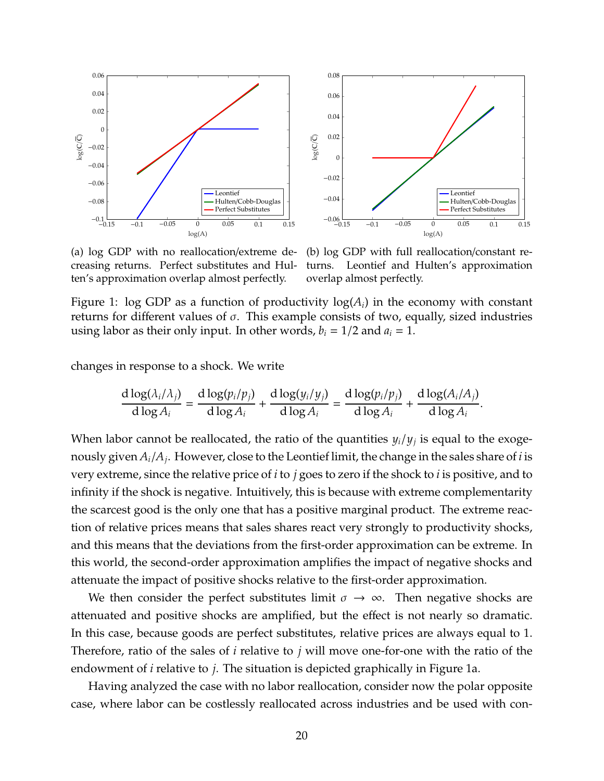<span id="page-19-0"></span>

(a) log GDP with no reallocation/extreme decreasing returns. Perfect substitutes and Hulten's approximation overlap almost perfectly.

(b) log GDP with full reallocation/constant returns. Leontief and Hulten's approximation overlap almost perfectly.

Figure 1: log GDP as a function of productivity log(*Ai*) in the economy with constant returns for different values of  $σ$ . This example consists of two, equally, sized industries using labor as their only input. In other words,  $b_i = 1/2$  and  $a_i = 1$ .

changes in response to a shock. We write

$$
\frac{d \log(\lambda_i/\lambda_j)}{d \log A_i} = \frac{d \log(p_i/p_j)}{d \log A_i} + \frac{d \log(y_i/y_j)}{d \log A_i} = \frac{d \log(p_i/p_j)}{d \log A_i} + \frac{d \log(A_i/A_j)}{d \log A_i}.
$$

When labor cannot be reallocated, the ratio of the quantities *yi*/*y<sup>j</sup>* is equal to the exogenously given *Ai*/*A<sup>j</sup>* . However, close to the Leontief limit, the change in the sales share of *i* is very extreme, since the relative price of *i* to *j* goes to zero if the shock to *i* is positive, and to infinity if the shock is negative. Intuitively, this is because with extreme complementarity the scarcest good is the only one that has a positive marginal product. The extreme reaction of relative prices means that sales shares react very strongly to productivity shocks, and this means that the deviations from the first-order approximation can be extreme. In this world, the second-order approximation amplifies the impact of negative shocks and attenuate the impact of positive shocks relative to the first-order approximation.

We then consider the perfect substitutes limit  $\sigma \to \infty$ . Then negative shocks are attenuated and positive shocks are amplified, but the effect is not nearly so dramatic. In this case, because goods are perfect substitutes, relative prices are always equal to 1. Therefore, ratio of the sales of *i* relative to *j* will move one-for-one with the ratio of the endowment of *i* relative to *j*. The situation is depicted graphically in Figure [1a.](#page-19-0)

Having analyzed the case with no labor reallocation, consider now the polar opposite case, where labor can be costlessly reallocated across industries and be used with con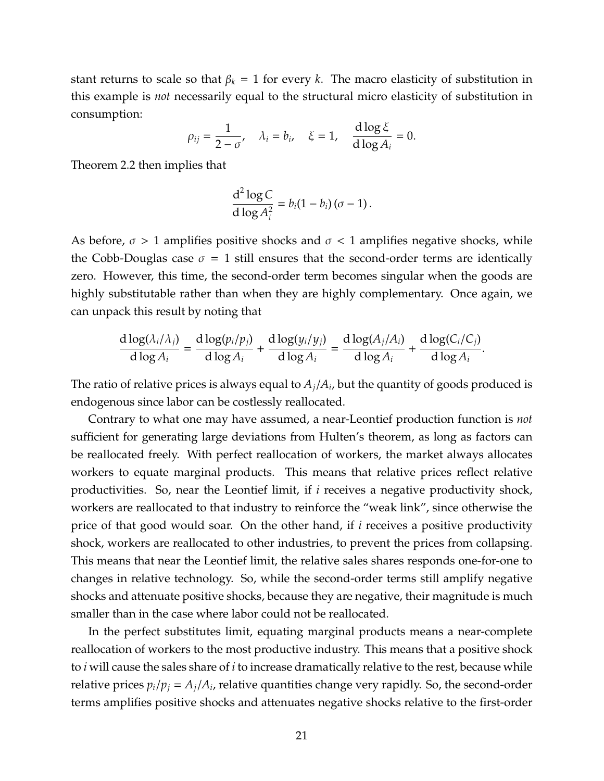stant returns to scale so that  $\beta_k = 1$  for every *k*. The macro elasticity of substitution in this example is *not* necessarily equal to the structural micro elasticity of substitution in consumption:

$$
\rho_{ij} = \frac{1}{2-\sigma'}, \quad \lambda_i = b_i, \quad \xi = 1, \quad \frac{\mathrm{d}\log\xi}{\mathrm{d}\log A_i} = 0.
$$

Theorem [2.2](#page-9-0) then implies that

$$
\frac{\mathrm{d}^2\log C}{\mathrm{d}\log A_i^2}=b_i(1-b_i)\,(\sigma-1)\,.
$$

As before,  $\sigma > 1$  amplifies positive shocks and  $\sigma < 1$  amplifies negative shocks, while the Cobb-Douglas case  $\sigma = 1$  still ensures that the second-order terms are identically zero. However, this time, the second-order term becomes singular when the goods are highly substitutable rather than when they are highly complementary. Once again, we can unpack this result by noting that

$$
\frac{d \log(\lambda_i/\lambda_j)}{d \log A_i} = \frac{d \log(p_i/p_j)}{d \log A_i} + \frac{d \log(y_i/y_j)}{d \log A_i} = \frac{d \log(A_j/A_i)}{d \log A_i} + \frac{d \log(C_i/C_j)}{d \log A_i}.
$$

The ratio of relative prices is always equal to  $A_j/A_i$ , but the quantity of goods produced is endogenous since labor can be costlessly reallocated.

Contrary to what one may have assumed, a near-Leontief production function is *not* sufficient for generating large deviations from Hulten's theorem, as long as factors can be reallocated freely. With perfect reallocation of workers, the market always allocates workers to equate marginal products. This means that relative prices reflect relative productivities. So, near the Leontief limit, if *i* receives a negative productivity shock, workers are reallocated to that industry to reinforce the "weak link", since otherwise the price of that good would soar. On the other hand, if *i* receives a positive productivity shock, workers are reallocated to other industries, to prevent the prices from collapsing. This means that near the Leontief limit, the relative sales shares responds one-for-one to changes in relative technology. So, while the second-order terms still amplify negative shocks and attenuate positive shocks, because they are negative, their magnitude is much smaller than in the case where labor could not be reallocated.

In the perfect substitutes limit, equating marginal products means a near-complete reallocation of workers to the most productive industry. This means that a positive shock to *i* will cause the sales share of *i* to increase dramatically relative to the rest, because while relative prices  $p_i/p_j = A_j/A_i$ , relative quantities change very rapidly. So, the second-order terms amplifies positive shocks and attenuates negative shocks relative to the first-order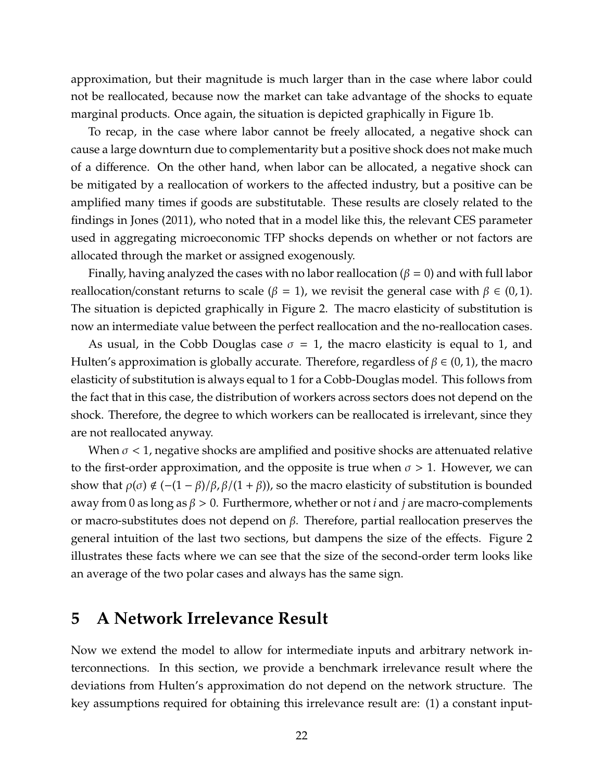approximation, but their magnitude is much larger than in the case where labor could not be reallocated, because now the market can take advantage of the shocks to equate marginal products. Once again, the situation is depicted graphically in Figure [1b.](#page-19-0)

To recap, in the case where labor cannot be freely allocated, a negative shock can cause a large downturn due to complementarity but a positive shock does not make much of a difference. On the other hand, when labor can be allocated, a negative shock can be mitigated by a reallocation of workers to the affected industry, but a positive can be amplified many times if goods are substitutable. These results are closely related to the findings in [Jones](#page-45-10) [\(2011\)](#page-45-10), who noted that in a model like this, the relevant CES parameter used in aggregating microeconomic TFP shocks depends on whether or not factors are allocated through the market or assigned exogenously.

Finally, having analyzed the cases with no labor reallocation ( $\beta = 0$ ) and with full labor reallocation/constant returns to scale ( $\beta = 1$ ), we revisit the general case with  $\beta \in (0, 1)$ . The situation is depicted graphically in Figure [2.](#page-22-0) The macro elasticity of substitution is now an intermediate value between the perfect reallocation and the no-reallocation cases.

As usual, in the Cobb Douglas case  $\sigma = 1$ , the macro elasticity is equal to 1, and Hulten's approximation is globally accurate. Therefore, regardless of  $\beta \in (0, 1)$ , the macro elasticity of substitution is always equal to 1 for a Cobb-Douglas model. This follows from the fact that in this case, the distribution of workers across sectors does not depend on the shock. Therefore, the degree to which workers can be reallocated is irrelevant, since they are not reallocated anyway.

When  $\sigma$  < 1, negative shocks are amplified and positive shocks are attenuated relative to the first-order approximation, and the opposite is true when  $\sigma > 1$ . However, we can show that  $\rho(\sigma) \notin (- (1 - \beta)/\beta, \beta/(1 + \beta))$ , so the macro elasticity of substitution is bounded away from 0 as long as β > 0. Furthermore, whether or not *i* and *j* are macro-complements or macro-substitutes does not depend on β. Therefore, partial reallocation preserves the general intuition of the last two sections, but dampens the size of the effects. Figure [2](#page-22-0) illustrates these facts where we can see that the size of the second-order term looks like an average of the two polar cases and always has the same sign.

### <span id="page-21-0"></span>**5 A Network Irrelevance Result**

Now we extend the model to allow for intermediate inputs and arbitrary network interconnections. In this section, we provide a benchmark irrelevance result where the deviations from Hulten's approximation do not depend on the network structure. The key assumptions required for obtaining this irrelevance result are: (1) a constant input-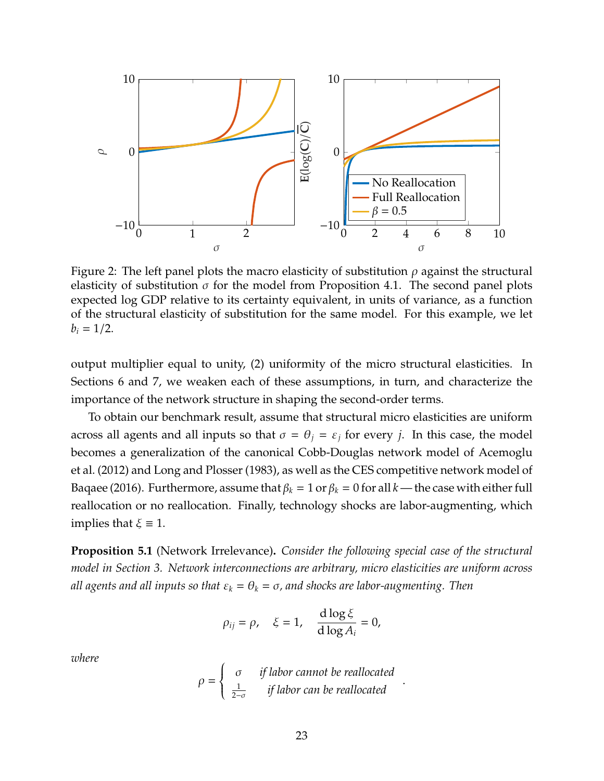<span id="page-22-0"></span>

Figure 2: The left panel plots the macro elasticity of substitution  $\rho$  against the structural elasticity of substitution  $\sigma$  for the model from Proposition [4.1.](#page-17-1) The second panel plots expected log GDP relative to its certainty equivalent, in units of variance, as a function of the structural elasticity of substitution for the same model. For this example, we let  $b_i = 1/2$ .

output multiplier equal to unity, (2) uniformity of the micro structural elasticities. In Sections [6](#page-23-0) and [7,](#page-25-0) we weaken each of these assumptions, in turn, and characterize the importance of the network structure in shaping the second-order terms.

To obtain our benchmark result, assume that structural micro elasticities are uniform across all agents and all inputs so that  $\sigma = \theta_i = \varepsilon_j$  for every *j*. In this case, the model becomes a generalization of the canonical Cobb-Douglas network model of [Acemoglu](#page-43-0) [et al.](#page-43-0) [\(2012\)](#page-43-0) and [Long and Plosser](#page-45-2) [\(1983\)](#page-45-2), as well as the CES competitive network model of [Baqaee](#page-43-2) [\(2016\)](#page-43-2). Furthermore, assume that  $\beta_k = 1$  or  $\beta_k = 0$  for all  $k$ —the case with either full reallocation or no reallocation. Finally, technology shocks are labor-augmenting, which implies that  $\xi \equiv 1$ .

<span id="page-22-1"></span>**Proposition 5.1** (Network Irrelevance)**.** *Consider the following special case of the structural model in Section [3.](#page-16-0) Network interconnections are arbitrary, micro elasticities are uniform across all agents and all inputs so that* ε*<sup>k</sup>* = θ*<sup>k</sup>* = σ*, and shocks are labor-augmenting. Then*

$$
\rho_{ij} = \rho, \quad \xi = 1, \quad \frac{\mathrm{d}\log\xi}{\mathrm{d}\log A_i} = 0,
$$

*where*

$$
\rho = \begin{cases} \sigma & \text{if labor cannot be reallocated} \\ \frac{1}{2-\sigma} & \text{if labor can be reallocated} \end{cases}
$$

.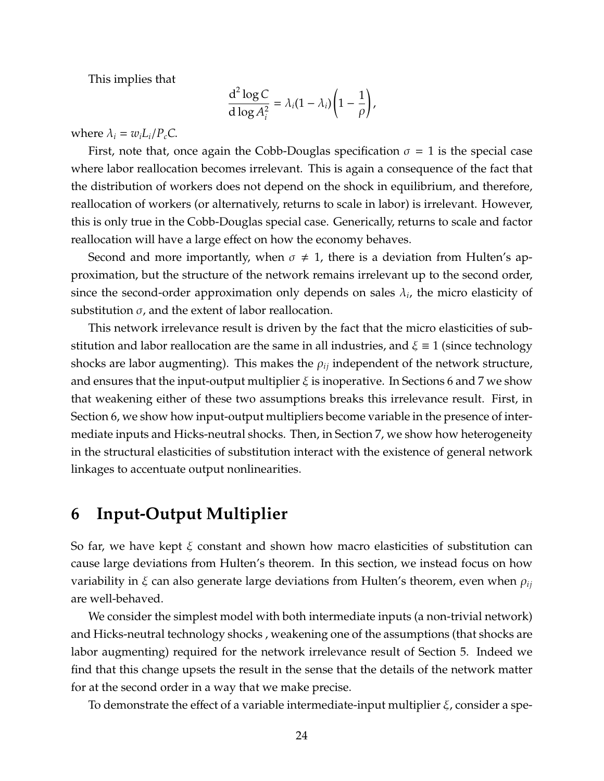This implies that

$$
\frac{\mathrm{d}^2\log C}{\mathrm{d}\log A_i^2} = \lambda_i(1-\lambda_i)\left(1-\frac{1}{\rho}\right),\,
$$

where  $\lambda_i = w_i L_i / P_c C$ .

First, note that, once again the Cobb-Douglas specification  $\sigma = 1$  is the special case where labor reallocation becomes irrelevant. This is again a consequence of the fact that the distribution of workers does not depend on the shock in equilibrium, and therefore, reallocation of workers (or alternatively, returns to scale in labor) is irrelevant. However, this is only true in the Cobb-Douglas special case. Generically, returns to scale and factor reallocation will have a large effect on how the economy behaves.

Second and more importantly, when  $\sigma \neq 1$ , there is a deviation from Hulten's approximation, but the structure of the network remains irrelevant up to the second order, since the second-order approximation only depends on sales  $\lambda_i$ , the micro elasticity of substitution  $\sigma$ , and the extent of labor reallocation.

This network irrelevance result is driven by the fact that the micro elasticities of substitution and labor reallocation are the same in all industries, and  $\xi \equiv 1$  (since technology shocks are labor augmenting). This makes the  $\rho_{ij}$  independent of the network structure, and ensures that the input-output multiplier  $\xi$  is inoperative. In Sections [6](#page-23-0) and [7](#page-25-0) we show that weakening either of these two assumptions breaks this irrelevance result. First, in Section [6,](#page-23-0) we show how input-output multipliers become variable in the presence of intermediate inputs and Hicks-neutral shocks. Then, in Section [7,](#page-25-0) we show how heterogeneity in the structural elasticities of substitution interact with the existence of general network linkages to accentuate output nonlinearities.

## <span id="page-23-0"></span>**6 Input-Output Multiplier**

So far, we have kept  $\xi$  constant and shown how macro elasticities of substitution can cause large deviations from Hulten's theorem. In this section, we instead focus on how variability in ξ can also generate large deviations from Hulten's theorem, even when ρ*ij* are well-behaved.

We consider the simplest model with both intermediate inputs (a non-trivial network) and Hicks-neutral technology shocks , weakening one of the assumptions (that shocks are labor augmenting) required for the network irrelevance result of Section [5.](#page-21-0) Indeed we find that this change upsets the result in the sense that the details of the network matter for at the second order in a way that we make precise.

To demonstrate the effect of a variable intermediate-input multiplier  $\xi$ , consider a spe-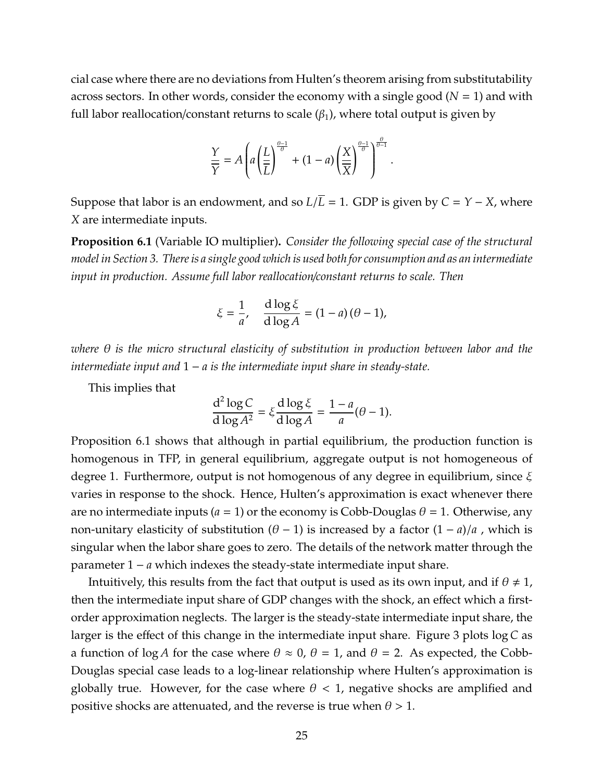cial case where there are no deviations from Hulten's theorem arising from substitutability across sectors. In other words, consider the economy with a single good  $(N = 1)$  and with full labor reallocation/constant returns to scale  $(\beta_1)$ , where total output is given by

$$
\frac{Y}{\overline{Y}} = A \left( a \left( \frac{L}{\overline{L}} \right)^{\frac{\theta-1}{\theta}} + (1-a) \left( \frac{X}{\overline{X}} \right)^{\frac{\theta-1}{\theta}} \right)^{\frac{\theta}{\theta-1}}.
$$

Suppose that labor is an endowment, and so  $L/\overline{L} = 1$ . GDP is given by  $C = Y - X$ , where *X* are intermediate inputs.

<span id="page-24-0"></span>**Proposition 6.1** (Variable IO multiplier)**.** *Consider the following special case of the structural model in Section [3.](#page-16-0) There is a single good which is used both for consumption and as an intermediate input in production. Assume full labor reallocation*/*constant returns to scale. Then*

$$
\xi = \frac{1}{a'}, \quad \frac{\mathrm{d}\log\xi}{\mathrm{d}\log A} = (1-a)(\theta - 1),
$$

*where* θ *is the micro structural elasticity of substitution in production between labor and the intermediate input and* 1 − *a is the intermediate input share in steady-state.*

This implies that

$$
\frac{d^2 \log C}{d \log A^2} = \xi \frac{d \log \xi}{d \log A} = \frac{1 - a}{a} (\theta - 1).
$$

Proposition [6.1](#page-24-0) shows that although in partial equilibrium, the production function is homogenous in TFP, in general equilibrium, aggregate output is not homogeneous of degree 1. Furthermore, output is not homogenous of any degree in equilibrium, since  $\xi$ varies in response to the shock. Hence, Hulten's approximation is exact whenever there are no intermediate inputs ( $a = 1$ ) or the economy is Cobb-Douglas  $\theta = 1$ . Otherwise, any non-unitary elasticity of substitution  $(\theta - 1)$  is increased by a factor  $(1 - a)/a$ , which is singular when the labor share goes to zero. The details of the network matter through the parameter 1 − *a* which indexes the steady-state intermediate input share.

Intuitively, this results from the fact that output is used as its own input, and if  $\theta \neq 1$ , then the intermediate input share of GDP changes with the shock, an effect which a firstorder approximation neglects. The larger is the steady-state intermediate input share, the larger is the effect of this change in the intermediate input share. Figure [3](#page-25-1) plots log *C* as a function of  $\log A$  for the case where  $\theta \approx 0$ ,  $\theta = 1$ , and  $\theta = 2$ . As expected, the Cobb-Douglas special case leads to a log-linear relationship where Hulten's approximation is globally true. However, for the case where  $\theta$  < 1, negative shocks are amplified and positive shocks are attenuated, and the reverse is true when  $\theta > 1$ .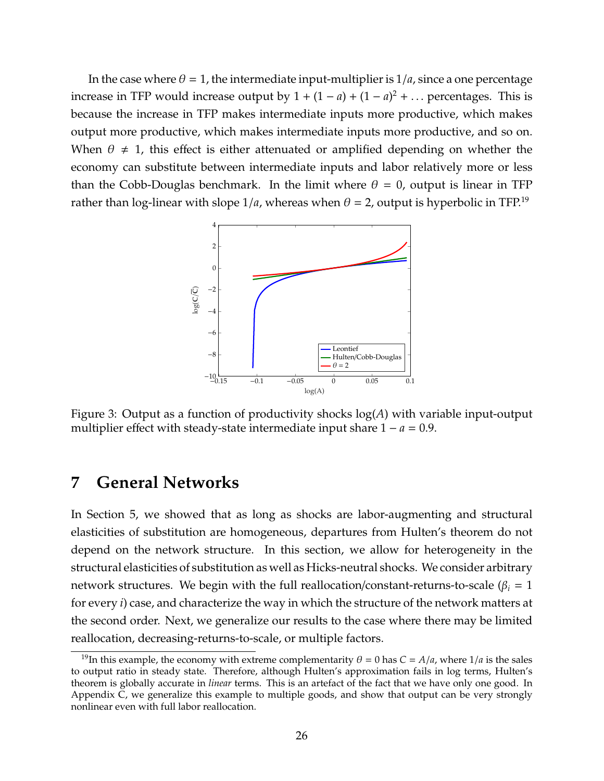In the case where  $\theta = 1$ , the intermediate input-multiplier is  $1/a$ , since a one percentage increase in TFP would increase output by  $1 + (1 - a) + (1 - a)^2 + \dots$  percentages. This is because the increase in TFP makes intermediate inputs more productive, which makes output more productive, which makes intermediate inputs more productive, and so on. When  $\theta \neq 1$ , this effect is either attenuated or amplified depending on whether the economy can substitute between intermediate inputs and labor relatively more or less than the Cobb-Douglas benchmark. In the limit where  $\theta = 0$ , output is linear in TFP rather than log-linear with slope  $1/a$ , whereas when  $\theta = 2$ , output is hyperbolic in TFP.<sup>[19](#page-0-0)</sup>

<span id="page-25-1"></span>

Figure 3: Output as a function of productivity shocks log(*A*) with variable input-output multiplier effect with steady-state intermediate input share  $1 - a = 0.9$ .

### <span id="page-25-0"></span>**7 General Networks**

In Section [5,](#page-21-0) we showed that as long as shocks are labor-augmenting and structural elasticities of substitution are homogeneous, departures from Hulten's theorem do not depend on the network structure. In this section, we allow for heterogeneity in the structural elasticities of substitution as well as Hicks-neutral shocks. We consider arbitrary network structures. We begin with the full reallocation/constant-returns-to-scale ( $\beta_i = 1$ ) for every *i*) case, and characterize the way in which the structure of the network matters at the second order. Next, we generalize our results to the case where there may be limited reallocation, decreasing-returns-to-scale, or multiple factors.

<sup>&</sup>lt;sup>19</sup>In this example, the economy with extreme complementarity  $\theta = 0$  has  $C = A/a$ , where 1/*a* is the sales to output ratio in steady state. Therefore, although Hulten's approximation fails in log terms, Hulten's theorem is globally accurate in *linear* terms. This is an artefact of the fact that we have only one good. In Appendix [C,](#page-60-0) we generalize this example to multiple goods, and show that output can be very strongly nonlinear even with full labor reallocation.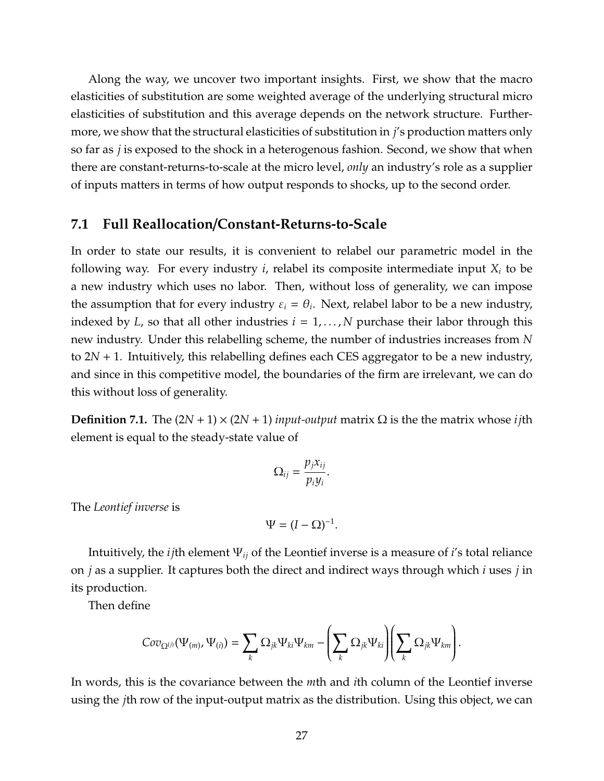Along the way, we uncover two important insights. First, we show that the macro elasticities of substitution are some weighted average of the underlying structural micro elasticities of substitution and this average depends on the network structure. Furthermore, we show that the structural elasticities of substitution in *j*'s production matters only so far as *j* is exposed to the shock in a heterogenous fashion. Second, we show that when there are constant-returns-to-scale at the micro level, *only* an industry's role as a supplier of inputs matters in terms of how output responds to shocks, up to the second order.

### **7.1 Full Reallocation**/**Constant-Returns-to-Scale**

In order to state our results, it is convenient to relabel our parametric model in the following way. For every industry *i*, relabel its composite intermediate input *X<sup>i</sup>* to be a new industry which uses no labor. Then, without loss of generality, we can impose the assumption that for every industry  $\varepsilon_i = \theta_i$ . Next, relabel labor to be a new industry, indexed by *L*, so that all other industries  $i = 1, \ldots, N$  purchase their labor through this new industry. Under this relabelling scheme, the number of industries increases from *N* to 2*N* + 1. Intuitively, this relabelling defines each CES aggregator to be a new industry, and since in this competitive model, the boundaries of the firm are irrelevant, we can do this without loss of generality.

**Definition 7.1.** The  $(2N + 1) \times (2N + 1)$  *input-output* matrix  $\Omega$  is the the matrix whose *i j*th element is equal to the steady-state value of

<span id="page-26-0"></span>
$$
\Omega_{ij}=\frac{p_jx_{ij}}{p_iy_i}.
$$

The *Leontief inverse* is

$$
\Psi = (I - \Omega)^{-1}.
$$

Intuitively, the *i* jth element  $\Psi_{ij}$  of the Leontief inverse is a measure of *i*'s total reliance on *j* as a supplier. It captures both the direct and indirect ways through which *i* uses *j* in its production.

Then define

$$
Cov_{\Omega^{(j)}}(\Psi_{(m)},\Psi_{(i)})=\sum_k\Omega_{jk}\Psi_{ki}\Psi_{km}-\left(\sum_k\Omega_{jk}\Psi_{ki}\right)\left(\sum_k\Omega_{jk}\Psi_{km}\right).
$$

In words, this is the covariance between the *m*th and *i*th column of the Leontief inverse using the *j*th row of the input-output matrix as the distribution. Using this object, we can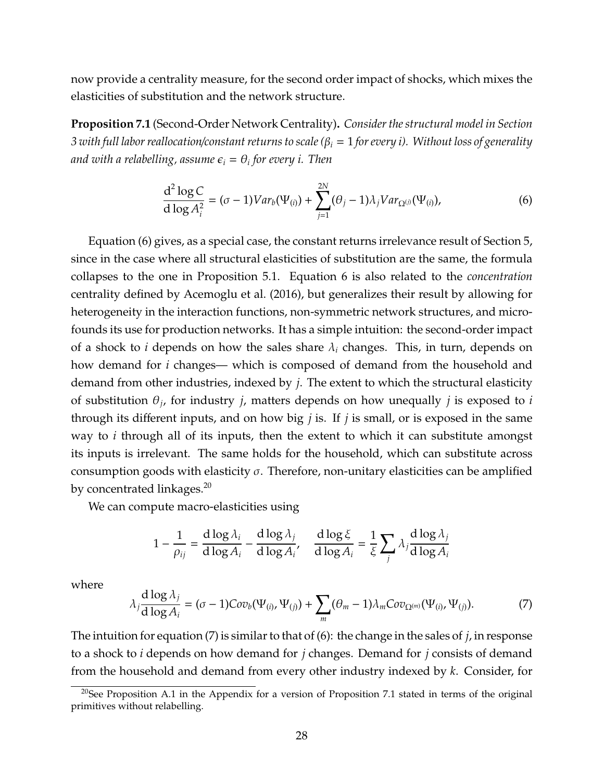now provide a centrality measure, for the second order impact of shocks, which mixes the elasticities of substitution and the network structure.

<span id="page-27-1"></span>**Proposition 7.1** (Second-Order Network Centrality)**.** *Consider the structural model in Section [3](#page-16-0) with full labor reallocation*/*constant returns to scale (*β*<sup>i</sup>* = 1 *for every i). Without loss of generality* and with a relabelling, assume  $\epsilon_i = \theta_i$  for every i. Then

$$
\frac{d^2 \log C}{d \log A_i^2} = (\sigma - 1)Var_b(\Psi_{(i)}) + \sum_{j=1}^{2N} (\theta_j - 1)\lambda_j Var_{\Omega^{(j)}}(\Psi_{(i)}),
$$
\n(6)

Equation [\(6\)](#page-26-0) gives, as a special case, the constant returns irrelevance result of Section [5,](#page-21-0) since in the case where all structural elasticities of substitution are the same, the formula collapses to the one in Proposition [5.1.](#page-22-1) Equation [6](#page-26-0) is also related to the *concentration* centrality defined by [Acemoglu et al.](#page-43-8) [\(2016\)](#page-43-8), but generalizes their result by allowing for heterogeneity in the interaction functions, non-symmetric network structures, and microfounds its use for production networks. It has a simple intuition: the second-order impact of a shock to *i* depends on how the sales share  $\lambda_i$  changes. This, in turn, depends on how demand for *i* changes— which is composed of demand from the household and demand from other industries, indexed by *j*. The extent to which the structural elasticity of substitution θ*<sup>j</sup>* , for industry *j*, matters depends on how unequally *j* is exposed to *i* through its different inputs, and on how big *j* is. If *j* is small, or is exposed in the same way to *i* through all of its inputs, then the extent to which it can substitute amongst its inputs is irrelevant. The same holds for the household, which can substitute across consumption goods with elasticity σ. Therefore, non-unitary elasticities can be amplified by concentrated linkages.<sup>[20](#page-0-0)</sup>

We can compute macro-elasticities using

$$
1 - \frac{1}{\rho_{ij}} = \frac{d \log \lambda_i}{d \log A_i} - \frac{d \log \lambda_j}{d \log A_i}, \quad \frac{d \log \xi}{d \log A_i} = \frac{1}{\xi} \sum_j \lambda_j \frac{d \log \lambda_j}{d \log A_i}
$$

where

<span id="page-27-0"></span>
$$
\lambda_j \frac{\mathrm{d}\log\lambda_j}{\mathrm{d}\log A_i} = (\sigma - 1)Cov_b(\Psi_{(i)}, \Psi_{(j)}) + \sum_m (\theta_m - 1)\lambda_m Cov_{\Omega^{(m)}}(\Psi_{(i)}, \Psi_{(j)}).
$$
(7)

The intuition for equation [\(7\)](#page-27-0) is similar to that of [\(6\)](#page-26-0): the change in the sales of *j*, in response to a shock to *i* depends on how demand for *j* changes. Demand for *j* consists of demand from the household and demand from every other industry indexed by *k*. Consider, for

 $20$ See Proposition [A.1](#page-56-0) in the Appendix for a version of Proposition [7.1](#page-27-1) stated in terms of the original primitives without relabelling.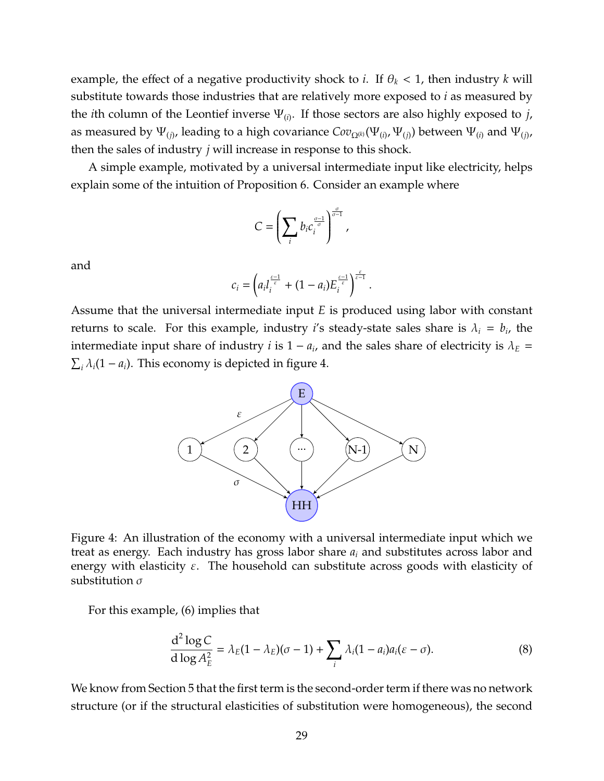example, the effect of a negative productivity shock to *i*. If  $\theta_k$  < 1, then industry *k* will substitute towards those industries that are relatively more exposed to *i* as measured by the *i*th column of the Leontief inverse Ψ(*i*) . If those sectors are also highly exposed to *j*, as measured by  $\Psi_{(j)}$ , leading to a high covariance  $Cov_{\Omega^{(k)}}(\Psi_{(i)},\Psi_{(j)})$  between  $\Psi_{(i)}$  and  $\Psi_{(j)}$ , then the sales of industry *j* will increase in response to this shock.

A simple example, motivated by a universal intermediate input like electricity, helps explain some of the intuition of Proposition [6.](#page-26-0) Consider an example where

<span id="page-28-1"></span>
$$
C = \left(\sum_i b_i c_i^{\frac{\sigma-1}{\sigma}}\right)^{\frac{\sigma}{\sigma-1}},
$$

and

$$
c_i = \left(a_i l_i^{\frac{\varepsilon-1}{\varepsilon}} + (1-a_i) E_i^{\frac{\varepsilon-1}{\varepsilon}}\right)^{\frac{\varepsilon}{\varepsilon-1}}.
$$

<span id="page-28-0"></span>Assume that the universal intermediate input *E* is produced using labor with constant returns to scale. For this example, industry *i*'s steady-state sales share is  $\lambda_i = b_i$ , the intermediate input share of industry *i* is  $1 - a_i$ , and the sales share of electricity is  $\lambda_E =$  $\sum_i \lambda_i (1 - a_i)$ . This economy is depicted in figure [4.](#page-28-0)



Figure 4: An illustration of the economy with a universal intermediate input which we treat as energy. Each industry has gross labor share *a<sup>i</sup>* and substitutes across labor and energy with elasticity  $\varepsilon$ . The household can substitute across goods with elasticity of substitution  $\sigma$ 

For this example, [\(6\)](#page-26-0) implies that

$$
\frac{d^2 \log C}{d \log A_E^2} = \lambda_E (1 - \lambda_E)(\sigma - 1) + \sum_i \lambda_i (1 - a_i) a_i (\varepsilon - \sigma).
$$
 (8)

We know from Section [5](#page-21-0) that the first term is the second-order term if there was no network structure (or if the structural elasticities of substitution were homogeneous), the second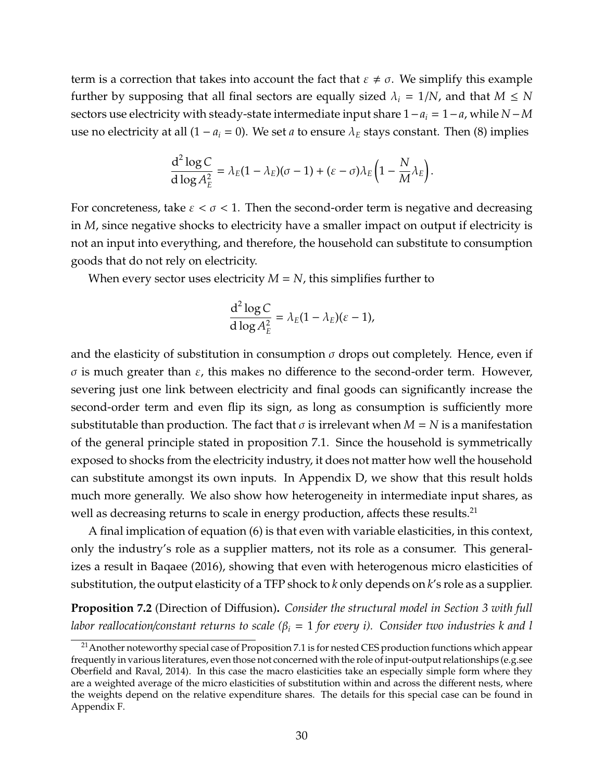term is a correction that takes into account the fact that  $\varepsilon \neq \sigma$ . We simplify this example further by supposing that all final sectors are equally sized  $\lambda_i = 1/N$ , and that  $M \leq N$ sectors use electricity with steady-state intermediate input share 1−*a<sup>i</sup>* = 1−*a*, while *N*−*M* use no electricity at all  $(1 - a_i = 0)$ . We set *a* to ensure  $\lambda_E$  stays constant. Then [\(8\)](#page-28-1) implies

<span id="page-29-0"></span>
$$
\frac{\mathrm{d}^2\log C}{\mathrm{d}\log A_E^2} = \lambda_E(1-\lambda_E)(\sigma-1) + (\varepsilon-\sigma)\lambda_E\left(1-\frac{N}{M}\lambda_E\right).
$$

For concreteness, take  $\varepsilon < \sigma < 1$ . Then the second-order term is negative and decreasing in *M*, since negative shocks to electricity have a smaller impact on output if electricity is not an input into everything, and therefore, the household can substitute to consumption goods that do not rely on electricity.

When every sector uses electricity  $M = N$ , this simplifies further to

$$
\frac{\mathrm{d}^2\log C}{\mathrm{d}\log A_E^2} = \lambda_E(1-\lambda_E)(\varepsilon - 1),
$$

and the elasticity of substitution in consumption  $\sigma$  drops out completely. Hence, even if  $σ$  is much greater than  $ε$ , this makes no difference to the second-order term. However, severing just one link between electricity and final goods can significantly increase the second-order term and even flip its sign, as long as consumption is sufficiently more substitutable than production. The fact that  $\sigma$  is irrelevant when  $M = N$  is a manifestation of the general principle stated in proposition [7.1.](#page-27-1) Since the household is symmetrically exposed to shocks from the electricity industry, it does not matter how well the household can substitute amongst its own inputs. In Appendix [D,](#page-63-0) we show that this result holds much more generally. We also show how heterogeneity in intermediate input shares, as well as decreasing returns to scale in energy production, affects these results.<sup>[21](#page-0-0)</sup>

A final implication of equation [\(6\)](#page-26-0) is that even with variable elasticities, in this context, only the industry's role as a supplier matters, not its role as a consumer. This generalizes a result in [Baqaee](#page-43-2) [\(2016\)](#page-43-2), showing that even with heterogenous micro elasticities of substitution, the output elasticity of a TFP shock to *k* only depends on *k*'s role as a supplier.

<span id="page-29-1"></span>**Proposition 7.2** (Direction of Diffusion)**.** *Consider the structural model in Section [3](#page-16-0) with full labor reallocation*/*constant returns to scale (*β*<sup>i</sup>* = 1 *for every i). Consider two industries k and l*

 $^{21}$ Another noteworthy special case of Proposition [7.1](#page-27-1) is for nested CES production functions which appear frequently in various literatures, even those not concerned with the role of input-output relationships (e.g.see [Oberfield and Raval, 2014\)](#page-45-7). In this case the macro elasticities take an especially simple form where they are a weighted average of the micro elasticities of substitution within and across the different nests, where the weights depend on the relative expenditure shares. The details for this special case can be found in Appendix [F.](#page-70-0)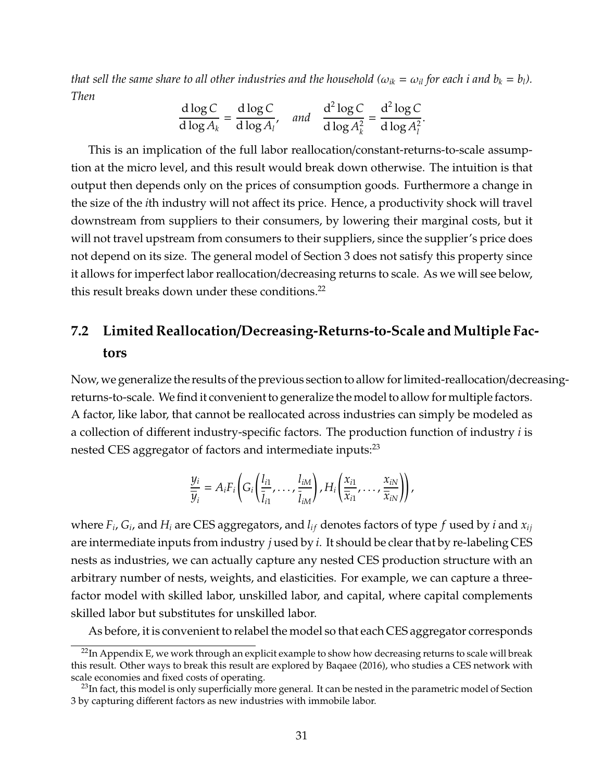*that sell the same share to all other industries and the household (* $\omega_{ik} = \omega_{il}$  *for each i and*  $b_k = b_l$ *). Then*

$$
\frac{\mathrm{d}\log C}{\mathrm{d}\log A_k} = \frac{\mathrm{d}\log C}{\mathrm{d}\log A_l}, \quad \text{and} \quad \frac{\mathrm{d}^2\log C}{\mathrm{d}\log A_k^2} = \frac{\mathrm{d}^2\log C}{\mathrm{d}\log A_l^2}.
$$

This is an implication of the full labor reallocation/constant-returns-to-scale assumption at the micro level, and this result would break down otherwise. The intuition is that output then depends only on the prices of consumption goods. Furthermore a change in the size of the *i*th industry will not affect its price. Hence, a productivity shock will travel downstream from suppliers to their consumers, by lowering their marginal costs, but it will not travel upstream from consumers to their suppliers, since the supplier's price does not depend on its size. The general model of Section [3](#page-16-0) does not satisfy this property since it allows for imperfect labor reallocation/decreasing returns to scale. As we will see below, this result breaks down under these conditions.<sup>[22](#page-0-0)</sup>

# 7.2 Limited Reallocation/Decreasing-Returns-to-Scale and Multiple Fac**tors**

Now, we generalize the results of the previous section to allow for limited-reallocation/decreasingreturns-to-scale. We find it convenient to generalize the model to allow for multiple factors. A factor, like labor, that cannot be reallocated across industries can simply be modeled as a collection of different industry-specific factors. The production function of industry *i* is nested CES aggregator of factors and intermediate inputs:<sup>[23](#page-0-0)</sup>

$$
\frac{y_i}{\overline{y}_i}=A_iF_i\bigg(G_i\bigg(\frac{l_{i1}}{\overline{l}_{i1}},\ldots,\frac{l_{iM}}{\overline{l}_{iM}}\bigg),H_i\bigg(\frac{x_{i1}}{\overline{x}_{i1}},\ldots,\frac{x_{iN}}{\overline{x}_{iN}}\bigg)\bigg),\,
$$

where  $F_i$ ,  $G_i$ , and  $H_i$  are CES aggregators, and  $l_{if}$  denotes factors of type  $f$  used by  $i$  and  $x_{ij}$ are intermediate inputs from industry *j* used by *i*. It should be clear that by re-labeling CES nests as industries, we can actually capture any nested CES production structure with an arbitrary number of nests, weights, and elasticities. For example, we can capture a threefactor model with skilled labor, unskilled labor, and capital, where capital complements skilled labor but substitutes for unskilled labor.

As before, it is convenient to relabel the model so that each CES aggregator corresponds

 $^{22}$ In Appendix [E,](#page-68-0) we work through an explicit example to show how decreasing returns to scale will break this result. Other ways to break this result are explored by [Baqaee](#page-43-2) [\(2016\)](#page-43-2), who studies a CES network with scale economies and fixed costs of operating.

<sup>&</sup>lt;sup>23</sup>In fact, this model is only superficially more general. It can be nested in the parametric model of Section [3](#page-16-0) by capturing different factors as new industries with immobile labor.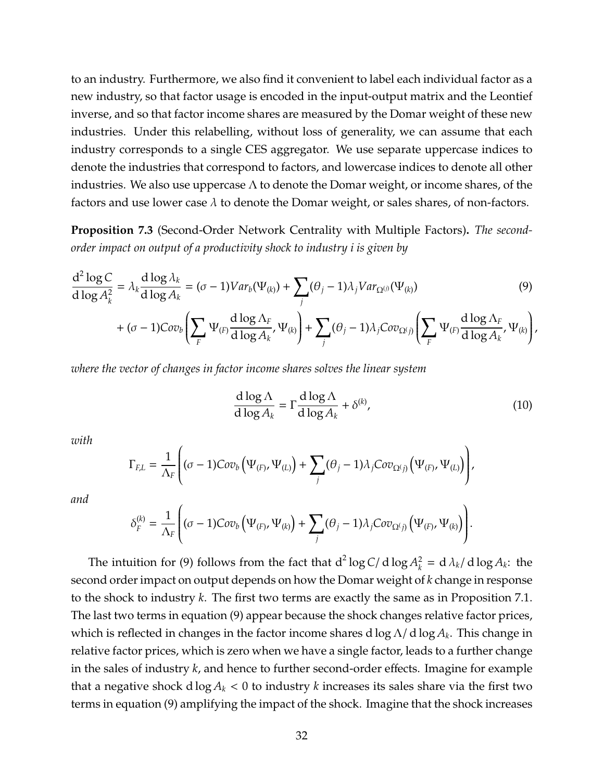to an industry. Furthermore, we also find it convenient to label each individual factor as a new industry, so that factor usage is encoded in the input-output matrix and the Leontief inverse, and so that factor income shares are measured by the Domar weight of these new industries. Under this relabelling, without loss of generality, we can assume that each industry corresponds to a single CES aggregator. We use separate uppercase indices to denote the industries that correspond to factors, and lowercase indices to denote all other industries. We also use uppercase  $\Lambda$  to denote the Domar weight, or income shares, of the factors and use lower case  $\lambda$  to denote the Domar weight, or sales shares, of non-factors.

<span id="page-31-1"></span>**Proposition 7.3** (Second-Order Network Centrality with Multiple Factors)**.** *The secondorder impact on output of a productivity shock to industry i is given by*

$$
\frac{d^2 \log C}{d \log A_k^2} = \lambda_k \frac{d \log \lambda_k}{d \log A_k} = (\sigma - 1)Var_b(\Psi_{(k)}) + \sum_j (\theta_j - 1)\lambda_j Var_{\Omega^{(j)}}(\Psi_{(k)})
$$
(9)  
+  $(\sigma - 1)Cov_b \left( \sum_F \Psi_{(F)} \frac{d \log \Lambda_F}{d \log A_k}, \Psi_{(k)} \right) + \sum_j (\theta_j - 1)\lambda_j Cov_{\Omega^{(j)}} \left( \sum_F \Psi_{(F)} \frac{d \log \Lambda_F}{d \log A_k}, \Psi_{(k)} \right),$ 

*where the vector of changes in factor income shares solves the linear system*

<span id="page-31-0"></span>
$$
\frac{d \log \Lambda}{d \log A_k} = \Gamma \frac{d \log \Lambda}{d \log A_k} + \delta^{(k)},\tag{10}
$$

*with*

$$
\Gamma_{FL} = \frac{1}{\Lambda_F} \Bigg( (\sigma - 1)Cov_b \Big( \Psi_{(F)}, \Psi_{(L)} \Big) + \sum_j (\theta_j - 1) \lambda_j Cov_{\Omega^{\langle j \rangle}} \Big( \Psi_{(F)}, \Psi_{(L)} \Big) \Bigg),
$$

*and*

$$
\delta_F^{(k)} = \frac{1}{\Lambda_F} \Bigg( (\sigma - 1)Cov_b \Big( \Psi_{(F)}, \Psi_{(k)} \Big) + \sum_j (\theta_j - 1) \lambda_j Cov_{\Omega^{\langle j \rangle}} \Big( \Psi_{(F)}, \Psi_{(k)} \Big) \Bigg).
$$

The intuition for [\(9\)](#page-29-0) follows from the fact that  $d^2 \log C/d \log A_k^2$  $\lambda_k^2 = d \lambda_k / d \log A_k$ : the second order impact on output depends on how the Domar weight of *k* change in response to the shock to industry *k*. The first two terms are exactly the same as in Proposition [7.1.](#page-27-1) The last two terms in equation [\(9\)](#page-29-0) appear because the shock changes relative factor prices, which is reflected in changes in the factor income shares d log Λ/ d log *A<sup>k</sup>* . This change in relative factor prices, which is zero when we have a single factor, leads to a further change in the sales of industry *k*, and hence to further second-order effects. Imagine for example that a negative shock  $d \log A_k < 0$  to industry *k* increases its sales share via the first two terms in equation [\(9\)](#page-29-0) amplifying the impact of the shock. Imagine that the shock increases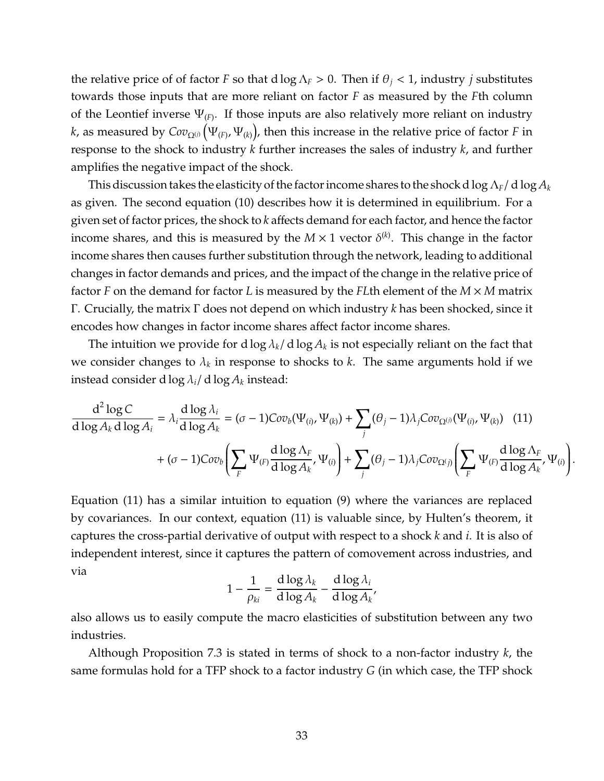the relative price of of factor *F* so that  $d \log \Lambda_F > 0$ . Then if  $\theta_i < 1$ , industry *j* substitutes towards those inputs that are more reliant on factor *F* as measured by the *F*th column of the Leontief inverse  $\Psi_{(F)}$ . If those inputs are also relatively more reliant on industry  $k$ , as measured by  $Cov_{\Omega^{(j)}}\big(\Psi_{(F)} , \Psi_{(k)}\big)$ , then this increase in the relative price of factor  $F$  in response to the shock to industry *k* further increases the sales of industry *k*, and further amplifies the negative impact of the shock.

This discussion takes the elasticity of the factor income shares to the shock d log  $\Lambda_F$ / d log  $A_k$ as given. The second equation [\(10\)](#page-31-0) describes how it is determined in equilibrium. For a given set of factor prices, the shock to *k* affects demand for each factor, and hence the factor income shares, and this is measured by the  $M \times 1$  vector  $\delta^{(k)}$ . This change in the factor income shares then causes further substitution through the network, leading to additional changes in factor demands and prices, and the impact of the change in the relative price of factor *F* on the demand for factor *L* is measured by the *FL*th element of the  $M \times M$  matrix Γ. Crucially, the matrix Γ does not depend on which industry *k* has been shocked, since it encodes how changes in factor income shares affect factor income shares.

The intuition we provide for d  $\log\lambda_k/$  d  $\log A_k$  is not especially reliant on the fact that we consider changes to  $\lambda_k$  in response to shocks to  $k$ . The same arguments hold if we instead consider d log λ*i*/ d log *A<sup>k</sup>* instead:

$$
\frac{d^2 \log C}{d \log A_k d \log A_i} = \lambda_i \frac{d \log \lambda_i}{d \log A_k} = (\sigma - 1)Cov_b(\Psi_{(i)}, \Psi_{(k)}) + \sum_j (\theta_j - 1)\lambda_j Cov_{\Omega^{(j)}}(\Psi_{(i)}, \Psi_{(k)}) \quad (11)
$$

$$
+ (\sigma - 1)Cov_b \left( \sum_F \Psi_{(F)} \frac{d \log \Lambda_F}{d \log A_k}, \Psi_{(i)} \right) + \sum_j (\theta_j - 1)\lambda_j Cov_{\Omega^{(j)}} \left( \sum_F \Psi_{(F)} \frac{d \log \Lambda_F}{d \log A_k}, \Psi_{(i)} \right).
$$

Equation [\(11\)](#page-32-0) has a similar intuition to equation [\(9\)](#page-29-0) where the variances are replaced by covariances. In our context, equation [\(11\)](#page-32-0) is valuable since, by Hulten's theorem, it captures the cross-partial derivative of output with respect to a shock *k* and *i*. It is also of independent interest, since it captures the pattern of comovement across industries, and via

<span id="page-32-0"></span>
$$
1 - \frac{1}{\rho_{ki}} = \frac{d \log \lambda_k}{d \log A_k} - \frac{d \log \lambda_i}{d \log A_k},
$$

also allows us to easily compute the macro elasticities of substitution between any two industries.

Although Proposition [7.3](#page-31-1) is stated in terms of shock to a non-factor industry *k*, the same formulas hold for a TFP shock to a factor industry *G* (in which case, the TFP shock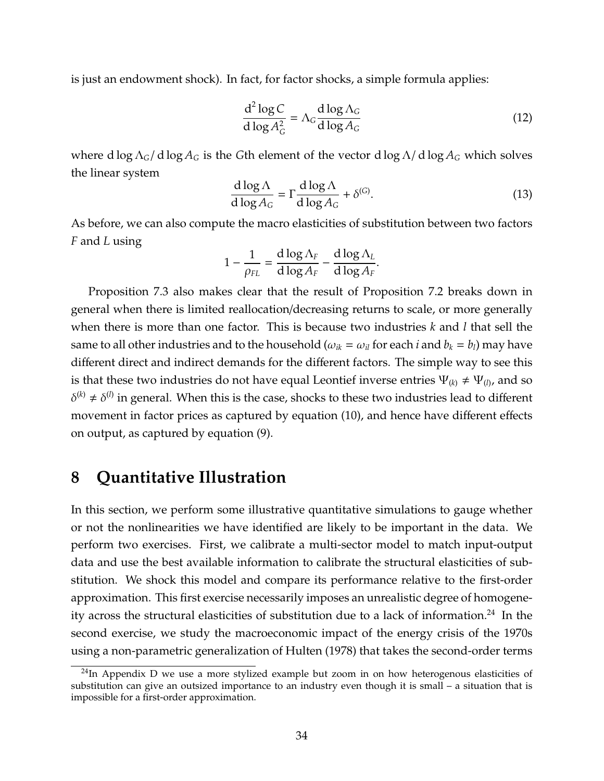is just an endowment shock). In fact, for factor shocks, a simple formula applies:

$$
\frac{d^2 \log C}{d \log A_G^2} = \Lambda_G \frac{d \log \Lambda_G}{d \log A_G} \tag{12}
$$

where d  $\log \Lambda_G / d \log A_G$  is the *G*th element of the vector d  $\log \Lambda / d \log A_G$  which solves the linear system

$$
\frac{d \log \Lambda}{d \log A_G} = \Gamma \frac{d \log \Lambda}{d \log A_G} + \delta^{(G)}.
$$
\n(13)

As before, we can also compute the macro elasticities of substitution between two factors *F* and *L* using

$$
1 - \frac{1}{\rho_{FL}} = \frac{d \log \Lambda_F}{d \log A_F} - \frac{d \log \Lambda_L}{d \log A_F}.
$$

Proposition [7.3](#page-31-1) also makes clear that the result of Proposition [7.2](#page-29-1) breaks down in general when there is limited reallocation/decreasing returns to scale, or more generally when there is more than one factor. This is because two industries *k* and *l* that sell the same to all other industries and to the household ( $\omega_{ik} = \omega_{il}$  for each *i* and  $b_k = b_l$ ) may have different direct and indirect demands for the different factors. The simple way to see this is that these two industries do not have equal Leontief inverse entries  $\Psi_{(k)} \neq \Psi_{(l)}$ , and so  $\delta^{(k)} \neq \delta^{(l)}$  in general. When this is the case, shocks to these two industries lead to different movement in factor prices as captured by equation [\(10\)](#page-31-0), and hence have different effects on output, as captured by equation [\(9\)](#page-29-0).

# <span id="page-33-0"></span>**8 Quantitative Illustration**

In this section, we perform some illustrative quantitative simulations to gauge whether or not the nonlinearities we have identified are likely to be important in the data. We perform two exercises. First, we calibrate a multi-sector model to match input-output data and use the best available information to calibrate the structural elasticities of substitution. We shock this model and compare its performance relative to the first-order approximation. This first exercise necessarily imposes an unrealistic degree of homogene-ity across the structural elasticities of substitution due to a lack of information.<sup>[24](#page-0-0)</sup> In the second exercise, we study the macroeconomic impact of the energy crisis of the 1970s using a non-parametric generalization of [Hulten](#page-44-0) [\(1978\)](#page-44-0) that takes the second-order terms

 $24$ In Appendix [D](#page-63-0) we use a more stylized example but zoom in on how heterogenous elasticities of substitution can give an outsized importance to an industry even though it is small – a situation that is impossible for a first-order approximation.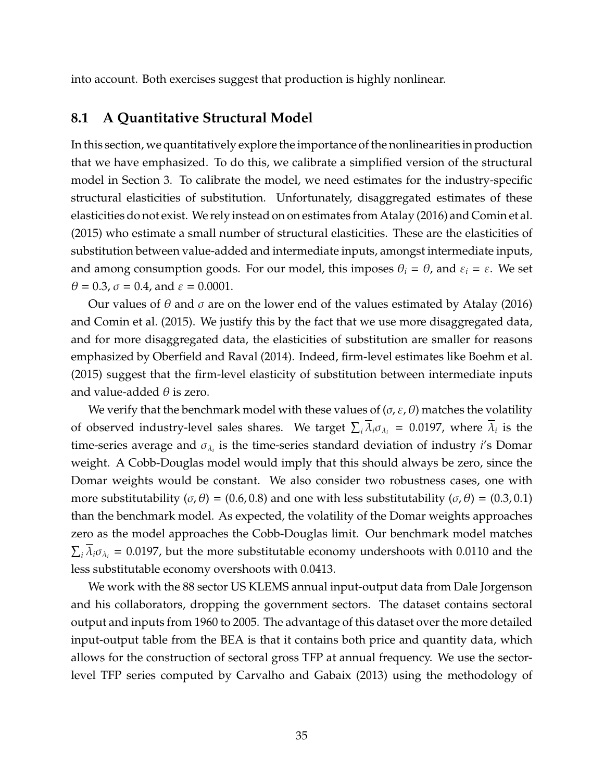into account. Both exercises suggest that production is highly nonlinear.

### **8.1 A Quantitative Structural Model**

In this section, we quantitatively explore the importance of the nonlinearities in production that we have emphasized. To do this, we calibrate a simplified version of the structural model in Section [3.](#page-16-0) To calibrate the model, we need estimates for the industry-specific structural elasticities of substitution. Unfortunately, disaggregated estimates of these elasticities do not exist. We rely instead on on estimates from [Atalay](#page-43-5) [\(2016\)](#page-43-5) and [Comin et al.](#page-44-21) [\(2015\)](#page-44-21) who estimate a small number of structural elasticities. These are the elasticities of substitution between value-added and intermediate inputs, amongst intermediate inputs, and among consumption goods. For our model, this imposes  $\theta_i = \theta$ , and  $\varepsilon_i = \varepsilon$ . We set  $\theta = 0.3$ ,  $\sigma = 0.4$ , and  $\varepsilon = 0.0001$ .

Our values of  $\theta$  and  $\sigma$  are on the lower end of the values estimated by [Atalay](#page-43-5) [\(2016\)](#page-43-5) and [Comin et al.](#page-44-21) [\(2015\)](#page-44-21). We justify this by the fact that we use more disaggregated data, and for more disaggregated data, the elasticities of substitution are smaller for reasons emphasized by [Oberfield and Raval](#page-45-7) [\(2014\)](#page-45-7). Indeed, firm-level estimates like [Boehm et al.](#page-43-10) [\(2015\)](#page-43-10) suggest that the firm-level elasticity of substitution between intermediate inputs and value-added  $\theta$  is zero.

We verify that the benchmark model with these values of ( $\sigma$ ,  $\varepsilon$ ,  $\theta$ ) matches the volatility of observed industry-level sales shares. We target  $\sum_i \lambda_i \sigma_{\lambda_i} = 0.0197$ , where  $\lambda_i$  is the time-series average and σ<sup>λ</sup>*<sup>i</sup>* is the time-series standard deviation of industry *i*'s Domar weight. A Cobb-Douglas model would imply that this should always be zero, since the Domar weights would be constant. We also consider two robustness cases, one with more substitutability ( $\sigma$ ,  $\theta$ ) = (0.6, 0.8) and one with less substitutability ( $\sigma$ ,  $\theta$ ) = (0.3, 0.1) than the benchmark model. As expected, the volatility of the Domar weights approaches zero as the model approaches the Cobb-Douglas limit. Our benchmark model matches  $\sum_i \lambda_i \sigma_{\lambda_i} = 0.0197$ , but the more substitutable economy undershoots with 0.0110 and the less substitutable economy overshoots with 0.0413.

We work with the 88 sector US KLEMS annual input-output data from Dale Jorgenson and his collaborators, dropping the government sectors. The dataset contains sectoral output and inputs from 1960 to 2005. The advantage of this dataset over the more detailed input-output table from the BEA is that it contains both price and quantity data, which allows for the construction of sectoral gross TFP at annual frequency. We use the sectorlevel TFP series computed by [Carvalho and Gabaix](#page-44-3) [\(2013\)](#page-44-3) using the methodology of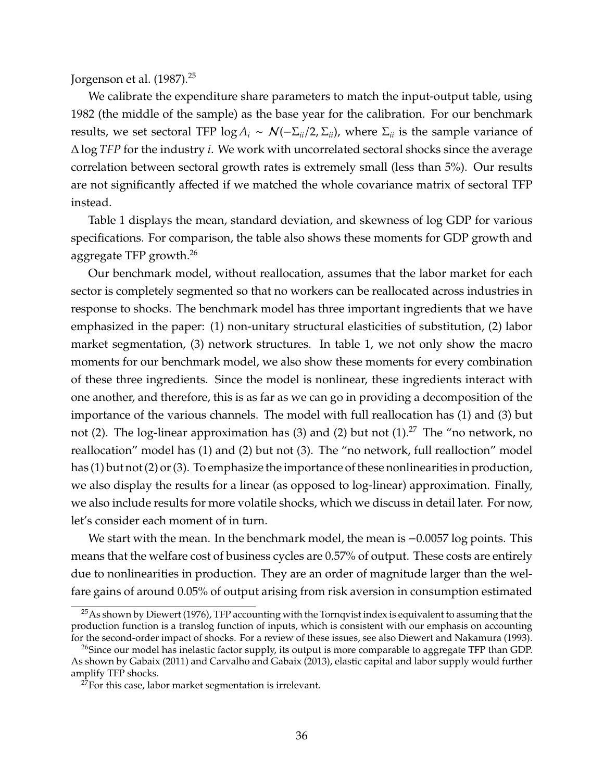[Jorgenson et al.](#page-45-17)  $(1987).^{25}$  $(1987).^{25}$  $(1987).^{25}$  $(1987).^{25}$ 

We calibrate the expenditure share parameters to match the input-output table, using 1982 (the middle of the sample) as the base year for the calibration. For our benchmark results, we set sectoral TFP log *A<sub>i</sub>* ∼  $\mathcal{N}(-\Sigma_{ii}/2, \Sigma_{ii})$ , where  $\Sigma_{ii}$  is the sample variance of ∆log *TFP* for the industry *i*. We work with uncorrelated sectoral shocks since the average correlation between sectoral growth rates is extremely small (less than 5%). Our results are not significantly affected if we matched the whole covariance matrix of sectoral TFP instead.

Table [1](#page-37-0) displays the mean, standard deviation, and skewness of log GDP for various specifications. For comparison, the table also shows these moments for GDP growth and aggregate TFP growth.<sup>[26](#page-0-0)</sup>

Our benchmark model, without reallocation, assumes that the labor market for each sector is completely segmented so that no workers can be reallocated across industries in response to shocks. The benchmark model has three important ingredients that we have emphasized in the paper: (1) non-unitary structural elasticities of substitution, (2) labor market segmentation, (3) network structures. In table [1,](#page-37-0) we not only show the macro moments for our benchmark model, we also show these moments for every combination of these three ingredients. Since the model is nonlinear, these ingredients interact with one another, and therefore, this is as far as we can go in providing a decomposition of the importance of the various channels. The model with full reallocation has (1) and (3) but not (2). The log-linear approximation has (3) and (2) but not (1).<sup>[27](#page-0-0)</sup> The "no network, no reallocation" model has (1) and (2) but not (3). The "no network, full realloction" model has (1) but not (2) or (3). To emphasize the importance of these nonlinearities in production, we also display the results for a linear (as opposed to log-linear) approximation. Finally, we also include results for more volatile shocks, which we discuss in detail later. For now, let's consider each moment of in turn.

We start with the mean. In the benchmark model, the mean is −0.0057 log points. This means that the welfare cost of business cycles are 0.57% of output. These costs are entirely due to nonlinearities in production. They are an order of magnitude larger than the welfare gains of around 0.05% of output arising from risk aversion in consumption estimated

 $^{25}$ As shown by [Diewert](#page-44-22) [\(1976\)](#page-44-22), TFP accounting with the Tornqvist index is equivalent to assuming that the production function is a translog function of inputs, which is consistent with our emphasis on accounting for the second-order impact of shocks. For a review of these issues, see also [Diewert and Nakamura](#page-44-23) [\(1993\)](#page-44-23).

<sup>&</sup>lt;sup>26</sup>Since our model has inelastic factor supply, its output is more comparable to aggregate TFP than GDP. As shown by [Gabaix](#page-44-2) [\(2011\)](#page-44-2) and [Carvalho and Gabaix](#page-44-3) [\(2013\)](#page-44-3), elastic capital and labor supply would further amplify TFP shocks.

 $2^{7}$ For this case, labor market segmentation is irrelevant.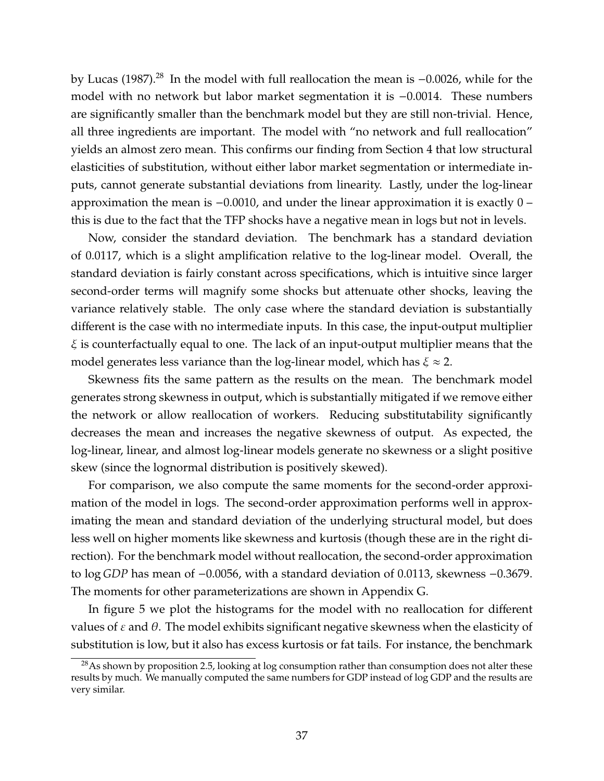by [Lucas](#page-45-0) [\(1987\)](#page-45-0).[28](#page-0-0) In the model with full reallocation the mean is −0.0026, while for the model with no network but labor market segmentation it is −0.0014. These numbers are significantly smaller than the benchmark model but they are still non-trivial. Hence, all three ingredients are important. The model with "no network and full reallocation" yields an almost zero mean. This confirms our finding from Section [4](#page-17-0) that low structural elasticities of substitution, without either labor market segmentation or intermediate inputs, cannot generate substantial deviations from linearity. Lastly, under the log-linear approximation the mean is −0.0010, and under the linear approximation it is exactly 0 – this is due to the fact that the TFP shocks have a negative mean in logs but not in levels.

Now, consider the standard deviation. The benchmark has a standard deviation of 0.0117, which is a slight amplification relative to the log-linear model. Overall, the standard deviation is fairly constant across specifications, which is intuitive since larger second-order terms will magnify some shocks but attenuate other shocks, leaving the variance relatively stable. The only case where the standard deviation is substantially different is the case with no intermediate inputs. In this case, the input-output multiplier  $\xi$  is counterfactually equal to one. The lack of an input-output multiplier means that the model generates less variance than the log-linear model, which has  $\xi \approx 2$ .

Skewness fits the same pattern as the results on the mean. The benchmark model generates strong skewness in output, which is substantially mitigated if we remove either the network or allow reallocation of workers. Reducing substitutability significantly decreases the mean and increases the negative skewness of output. As expected, the log-linear, linear, and almost log-linear models generate no skewness or a slight positive skew (since the lognormal distribution is positively skewed).

For comparison, we also compute the same moments for the second-order approximation of the model in logs. The second-order approximation performs well in approximating the mean and standard deviation of the underlying structural model, but does less well on higher moments like skewness and kurtosis (though these are in the right direction). For the benchmark model without reallocation, the second-order approximation to log *GDP* has mean of −0.0056, with a standard deviation of 0.0113, skewness −0.3679. The moments for other parameterizations are shown in Appendix [G.](#page-72-0)

In figure [5](#page-38-0) we plot the histograms for the model with no reallocation for different values of  $\varepsilon$  and  $\theta$ . The model exhibits significant negative skewness when the elasticity of substitution is low, but it also has excess kurtosis or fat tails. For instance, the benchmark

 $28$ As shown by proposition [2.5,](#page-14-0) looking at log consumption rather than consumption does not alter these results by much. We manually computed the same numbers for GDP instead of log GDP and the results are very similar.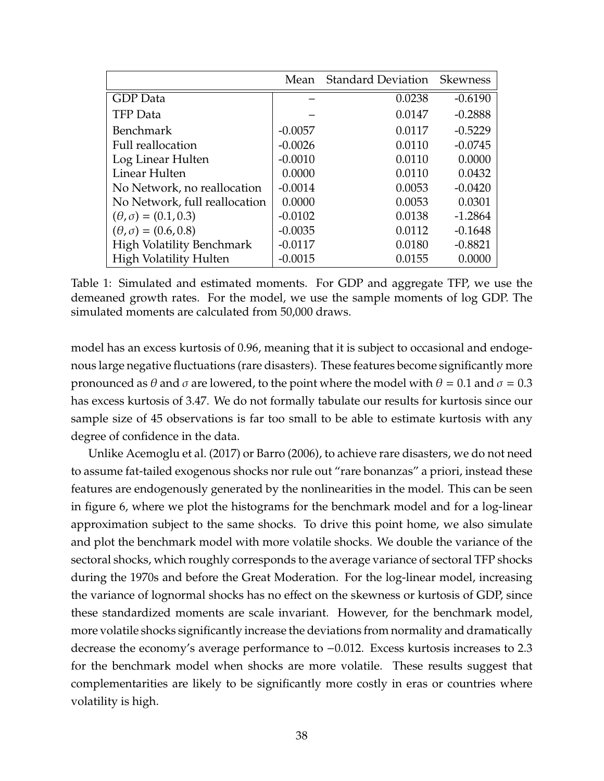|                                  | Mean      | <b>Standard Deviation</b> | <b>Skewness</b> |
|----------------------------------|-----------|---------------------------|-----------------|
| <b>GDP</b> Data                  |           | 0.0238                    | $-0.6190$       |
| <b>TFP</b> Data                  |           | 0.0147                    | $-0.2888$       |
| <b>Benchmark</b>                 | $-0.0057$ | 0.0117                    | $-0.5229$       |
| Full reallocation                | $-0.0026$ | 0.0110                    | $-0.0745$       |
| Log Linear Hulten                | $-0.0010$ | 0.0110                    | 0.0000          |
| Linear Hulten                    | 0.0000    | 0.0110                    | 0.0432          |
| No Network, no reallocation      | $-0.0014$ | 0.0053                    | $-0.0420$       |
| No Network, full reallocation    | 0.0000    | 0.0053                    | 0.0301          |
| $(\theta,\sigma) = (0.1,0.3)$    | $-0.0102$ | 0.0138                    | $-1.2864$       |
| $(\theta, \sigma) = (0.6, 0.8)$  | $-0.0035$ | 0.0112                    | $-0.1648$       |
| <b>High Volatility Benchmark</b> | $-0.0117$ | 0.0180                    | $-0.8821$       |
| <b>High Volatility Hulten</b>    | $-0.0015$ | 0.0155                    | 0.0000          |

Table 1: Simulated and estimated moments. For GDP and aggregate TFP, we use the demeaned growth rates. For the model, we use the sample moments of log GDP. The simulated moments are calculated from 50,000 draws.

model has an excess kurtosis of 0.96, meaning that it is subject to occasional and endogenous large negative fluctuations (rare disasters). These features become significantly more pronounced as θ and σ are lowered, to the point where the model with  $θ = 0.1$  and  $σ = 0.3$ has excess kurtosis of 3.47. We do not formally tabulate our results for kurtosis since our sample size of 45 observations is far too small to be able to estimate kurtosis with any degree of confidence in the data.

Unlike [Acemoglu et al.](#page-43-0) [\(2017\)](#page-43-0) or [Barro](#page-43-1) [\(2006\)](#page-43-1), to achieve rare disasters, we do not need to assume fat-tailed exogenous shocks nor rule out "rare bonanzas" a priori, instead these features are endogenously generated by the nonlinearities in the model. This can be seen in figure [6,](#page-39-0) where we plot the histograms for the benchmark model and for a log-linear approximation subject to the same shocks. To drive this point home, we also simulate and plot the benchmark model with more volatile shocks. We double the variance of the sectoral shocks, which roughly corresponds to the average variance of sectoral TFP shocks during the 1970s and before the Great Moderation. For the log-linear model, increasing the variance of lognormal shocks has no effect on the skewness or kurtosis of GDP, since these standardized moments are scale invariant. However, for the benchmark model, more volatile shocks significantly increase the deviations from normality and dramatically decrease the economy's average performance to −0.012. Excess kurtosis increases to 2.3 for the benchmark model when shocks are more volatile. These results suggest that complementarities are likely to be significantly more costly in eras or countries where volatility is high.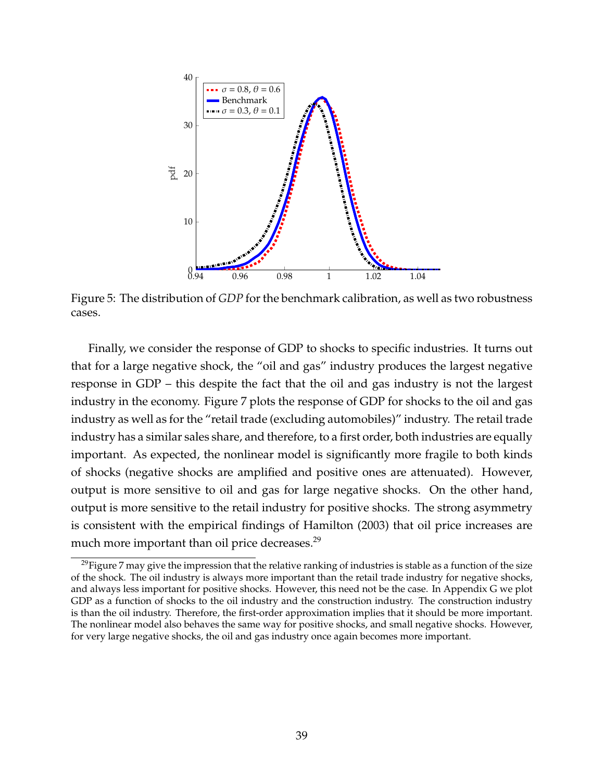<span id="page-38-0"></span>

Figure 5: The distribution of *GDP* for the benchmark calibration, as well as two robustness cases.

Finally, we consider the response of GDP to shocks to specific industries. It turns out that for a large negative shock, the "oil and gas" industry produces the largest negative response in GDP – this despite the fact that the oil and gas industry is not the largest industry in the economy. Figure [7](#page-40-0) plots the response of GDP for shocks to the oil and gas industry as well as for the "retail trade (excluding automobiles)" industry. The retail trade industry has a similar sales share, and therefore, to a first order, both industries are equally important. As expected, the nonlinear model is significantly more fragile to both kinds of shocks (negative shocks are amplified and positive ones are attenuated). However, output is more sensitive to oil and gas for large negative shocks. On the other hand, output is more sensitive to the retail industry for positive shocks. The strong asymmetry is consistent with the empirical findings of [Hamilton](#page-44-0) [\(2003\)](#page-44-0) that oil price increases are much more important than oil price decreases.<sup>[29](#page-0-0)</sup>

<sup>&</sup>lt;sup>29</sup>Figure [7](#page-40-0) may give the impression that the relative ranking of industries is stable as a function of the size of the shock. The oil industry is always more important than the retail trade industry for negative shocks, and always less important for positive shocks. However, this need not be the case. In Appendix [G](#page-72-0) we plot GDP as a function of shocks to the oil industry and the construction industry. The construction industry is than the oil industry. Therefore, the first-order approximation implies that it should be more important. The nonlinear model also behaves the same way for positive shocks, and small negative shocks. However, for very large negative shocks, the oil and gas industry once again becomes more important.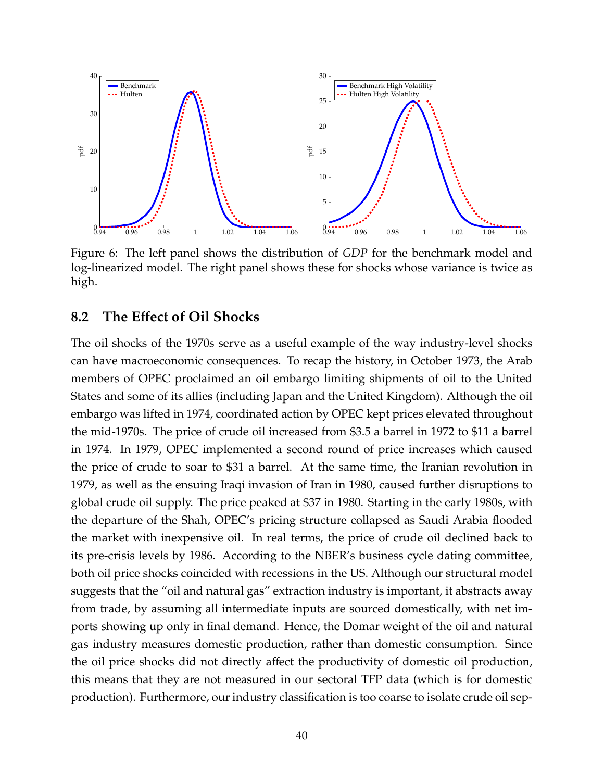<span id="page-39-0"></span>

Figure 6: The left panel shows the distribution of *GDP* for the benchmark model and log-linearized model. The right panel shows these for shocks whose variance is twice as high.

#### **8.2 The E**ff**ect of Oil Shocks**

The oil shocks of the 1970s serve as a useful example of the way industry-level shocks can have macroeconomic consequences. To recap the history, in October 1973, the Arab members of OPEC proclaimed an oil embargo limiting shipments of oil to the United States and some of its allies (including Japan and the United Kingdom). Although the oil embargo was lifted in 1974, coordinated action by OPEC kept prices elevated throughout the mid-1970s. The price of crude oil increased from \$3.5 a barrel in 1972 to \$11 a barrel in 1974. In 1979, OPEC implemented a second round of price increases which caused the price of crude to soar to \$31 a barrel. At the same time, the Iranian revolution in 1979, as well as the ensuing Iraqi invasion of Iran in 1980, caused further disruptions to global crude oil supply. The price peaked at \$37 in 1980. Starting in the early 1980s, with the departure of the Shah, OPEC's pricing structure collapsed as Saudi Arabia flooded the market with inexpensive oil. In real terms, the price of crude oil declined back to its pre-crisis levels by 1986. According to the NBER's business cycle dating committee, both oil price shocks coincided with recessions in the US. Although our structural model suggests that the "oil and natural gas" extraction industry is important, it abstracts away from trade, by assuming all intermediate inputs are sourced domestically, with net imports showing up only in final demand. Hence, the Domar weight of the oil and natural gas industry measures domestic production, rather than domestic consumption. Since the oil price shocks did not directly affect the productivity of domestic oil production, this means that they are not measured in our sectoral TFP data (which is for domestic production). Furthermore, our industry classification is too coarse to isolate crude oil sep-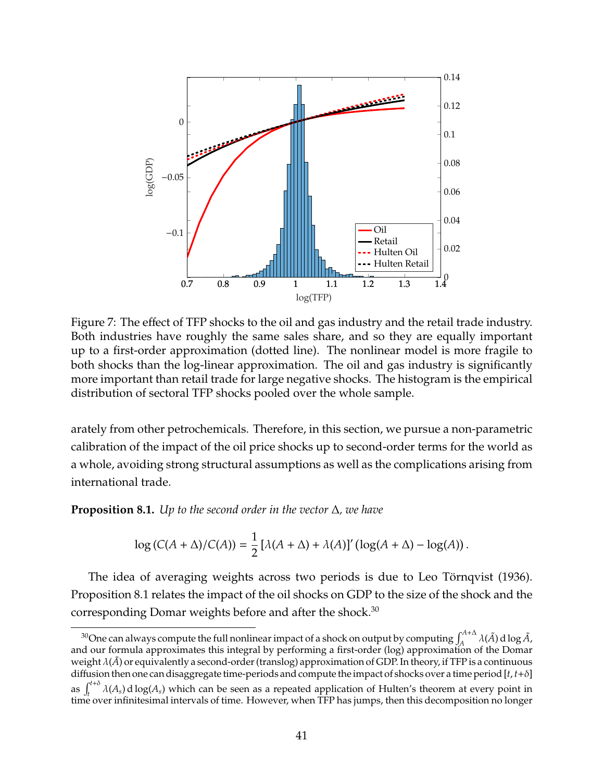<span id="page-40-0"></span>

Figure 7: The effect of TFP shocks to the oil and gas industry and the retail trade industry. Both industries have roughly the same sales share, and so they are equally important up to a first-order approximation (dotted line). The nonlinear model is more fragile to both shocks than the log-linear approximation. The oil and gas industry is significantly more important than retail trade for large negative shocks. The histogram is the empirical distribution of sectoral TFP shocks pooled over the whole sample.

arately from other petrochemicals. Therefore, in this section, we pursue a non-parametric calibration of the impact of the oil price shocks up to second-order terms for the world as a whole, avoiding strong structural assumptions as well as the complications arising from international trade.

<span id="page-40-1"></span>**Proposition 8.1.** *Up to the second order in the vector* ∆*, we have*

$$
\log (C(A + \Delta)/C(A)) = \frac{1}{2} [\lambda(A + \Delta) + \lambda(A)]' (\log(A + \Delta) - \log(A)).
$$

The idea of averaging weights across two periods is due to Leo Törnqvist [\(1936\)](#page-45-1). Proposition [8.1](#page-40-1) relates the impact of the oil shocks on GDP to the size of the shock and the corresponding Domar weights before and after the shock.<sup>[30](#page-0-0)</sup>

<sup>&</sup>lt;sup>30</sup>One can always compute the full nonlinear impact of a shock on output by computing  $\int_A^{A+\Delta} \lambda(\tilde{A}) d\log \tilde{A}$ , and our formula approximates this integral by performing a first-order (log) approximation of the Domar weight  $\lambda(\tilde{A})$  or equivalently a second-order (translog) approximation of GDP. In theory, if TFP is a continuous diffusion then one can disaggregate time-periods and compute the impact of shocks over a time period [*t*, *t*+δ]

as  $\int_t^{t+\delta} \lambda(A_s) d \log(A_s)$  which can be seen as a repeated application of Hulten's theorem at every point in time over infinitesimal intervals of time. However, when TFP has jumps, then this decomposition no longer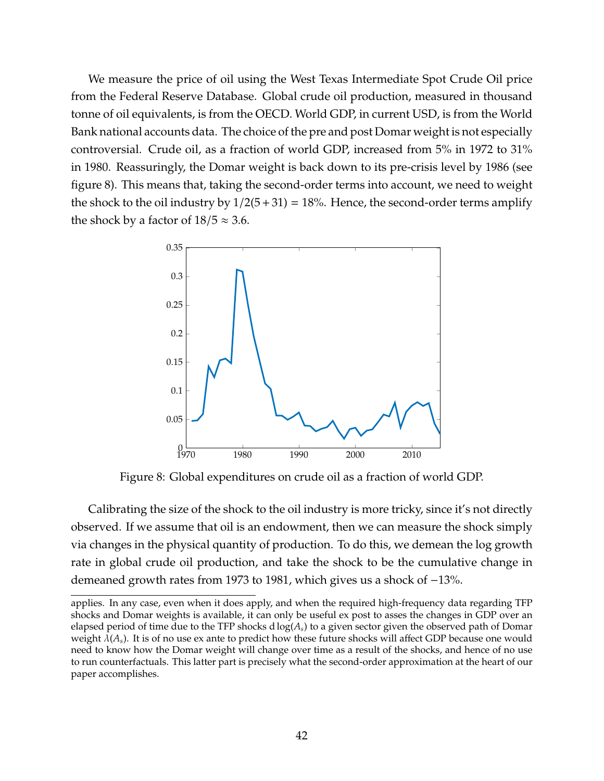We measure the price of oil using the West Texas Intermediate Spot Crude Oil price from the Federal Reserve Database. Global crude oil production, measured in thousand tonne of oil equivalents, is from the OECD. World GDP, in current USD, is from the World Bank national accounts data. The choice of the pre and post Domar weight is not especially controversial. Crude oil, as a fraction of world GDP, increased from 5% in 1972 to 31% in 1980. Reassuringly, the Domar weight is back down to its pre-crisis level by 1986 (see figure [8\)](#page-41-0). This means that, taking the second-order terms into account, we need to weight the shock to the oil industry by  $1/2(5+31) = 18%$ . Hence, the second-order terms amplify the shock by a factor of  $18/5 \approx 3.6$ .

<span id="page-41-0"></span>

Figure 8: Global expenditures on crude oil as a fraction of world GDP.

Calibrating the size of the shock to the oil industry is more tricky, since it's not directly observed. If we assume that oil is an endowment, then we can measure the shock simply via changes in the physical quantity of production. To do this, we demean the log growth rate in global crude oil production, and take the shock to be the cumulative change in demeaned growth rates from 1973 to 1981, which gives us a shock of −13%.

applies. In any case, even when it does apply, and when the required high-frequency data regarding TFP shocks and Domar weights is available, it can only be useful ex post to asses the changes in GDP over an elapsed period of time due to the TFP shocks d log(*As*) to a given sector given the observed path of Domar weight  $\lambda(A_s)$ . It is of no use ex ante to predict how these future shocks will affect GDP because one would need to know how the Domar weight will change over time as a result of the shocks, and hence of no use to run counterfactuals. This latter part is precisely what the second-order approximation at the heart of our paper accomplishes.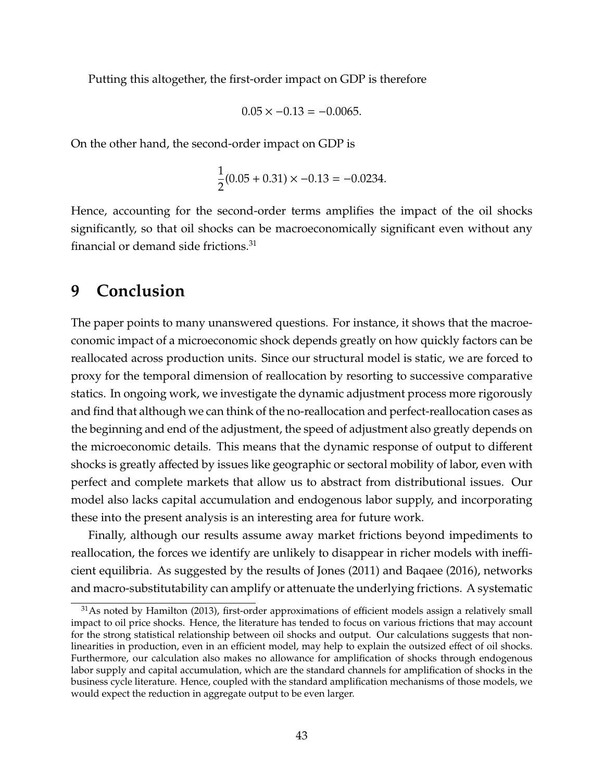Putting this altogether, the first-order impact on GDP is therefore

$$
0.05 \times -0.13 = -0.0065.
$$

On the other hand, the second-order impact on GDP is

$$
\frac{1}{2}(0.05 + 0.31) \times -0.13 = -0.0234.
$$

Hence, accounting for the second-order terms amplifies the impact of the oil shocks significantly, so that oil shocks can be macroeconomically significant even without any financial or demand side frictions. $31$ 

## **9 Conclusion**

The paper points to many unanswered questions. For instance, it shows that the macroeconomic impact of a microeconomic shock depends greatly on how quickly factors can be reallocated across production units. Since our structural model is static, we are forced to proxy for the temporal dimension of reallocation by resorting to successive comparative statics. In ongoing work, we investigate the dynamic adjustment process more rigorously and find that although we can think of the no-reallocation and perfect-reallocation cases as the beginning and end of the adjustment, the speed of adjustment also greatly depends on the microeconomic details. This means that the dynamic response of output to different shocks is greatly affected by issues like geographic or sectoral mobility of labor, even with perfect and complete markets that allow us to abstract from distributional issues. Our model also lacks capital accumulation and endogenous labor supply, and incorporating these into the present analysis is an interesting area for future work.

Finally, although our results assume away market frictions beyond impediments to reallocation, the forces we identify are unlikely to disappear in richer models with inefficient equilibria. As suggested by the results of [Jones](#page-45-2) [\(2011\)](#page-45-2) and [Baqaee](#page-43-2) [\(2016\)](#page-43-2), networks and macro-substitutability can amplify or attenuate the underlying frictions. A systematic

 $31$ As noted by [Hamilton](#page-44-1) [\(2013\)](#page-44-1), first-order approximations of efficient models assign a relatively small impact to oil price shocks. Hence, the literature has tended to focus on various frictions that may account for the strong statistical relationship between oil shocks and output. Our calculations suggests that nonlinearities in production, even in an efficient model, may help to explain the outsized effect of oil shocks. Furthermore, our calculation also makes no allowance for amplification of shocks through endogenous labor supply and capital accumulation, which are the standard channels for amplification of shocks in the business cycle literature. Hence, coupled with the standard amplification mechanisms of those models, we would expect the reduction in aggregate output to be even larger.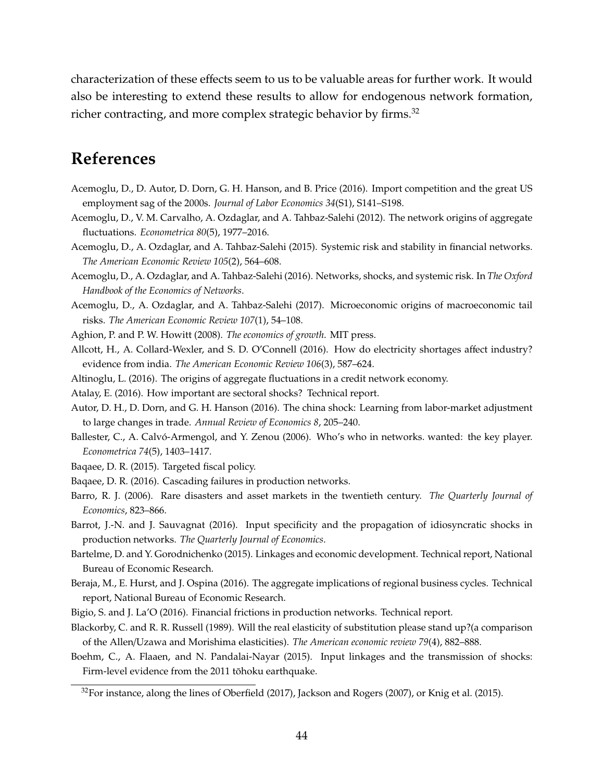characterization of these effects seem to us to be valuable areas for further work. It would also be interesting to extend these results to allow for endogenous network formation, richer contracting, and more complex strategic behavior by firms.<sup>[32](#page-0-0)</sup>

## **References**

- Acemoglu, D., D. Autor, D. Dorn, G. H. Hanson, and B. Price (2016). Import competition and the great US employment sag of the 2000s. *Journal of Labor Economics 34*(S1), S141–S198.
- Acemoglu, D., V. M. Carvalho, A. Ozdaglar, and A. Tahbaz-Salehi (2012). The network origins of aggregate fluctuations. *Econometrica 80*(5), 1977–2016.
- Acemoglu, D., A. Ozdaglar, and A. Tahbaz-Salehi (2015). Systemic risk and stability in financial networks. *The American Economic Review 105*(2), 564–608.
- Acemoglu, D., A. Ozdaglar, and A. Tahbaz-Salehi (2016). Networks, shocks, and systemic risk. In *The Oxford Handbook of the Economics of Networks*.
- <span id="page-43-0"></span>Acemoglu, D., A. Ozdaglar, and A. Tahbaz-Salehi (2017). Microeconomic origins of macroeconomic tail risks. *The American Economic Review 107*(1), 54–108.
- Aghion, P. and P. W. Howitt (2008). *The economics of growth*. MIT press.
- <span id="page-43-3"></span>Allcott, H., A. Collard-Wexler, and S. D. O'Connell (2016). How do electricity shortages affect industry? evidence from india. *The American Economic Review 106*(3), 587–624.
- Altinoglu, L. (2016). The origins of aggregate fluctuations in a credit network economy.
- Atalay, E. (2016). How important are sectoral shocks? Technical report.
- Autor, D. H., D. Dorn, and G. H. Hanson (2016). The china shock: Learning from labor-market adjustment to large changes in trade. *Annual Review of Economics 8*, 205–240.
- Ballester, C., A. Calvó-Armengol, and Y. Zenou (2006). Who's who in networks. wanted: the key player. *Econometrica 74*(5), 1403–1417.
- <span id="page-43-2"></span>Baqaee, D. R. (2015). Targeted fiscal policy.
- Baqaee, D. R. (2016). Cascading failures in production networks.
- <span id="page-43-1"></span>Barro, R. J. (2006). Rare disasters and asset markets in the twentieth century. *The Quarterly Journal of Economics*, 823–866.
- Barrot, J.-N. and J. Sauvagnat (2016). Input specificity and the propagation of idiosyncratic shocks in production networks. *The Quarterly Journal of Economics*.
- Bartelme, D. and Y. Gorodnichenko (2015). Linkages and economic development. Technical report, National Bureau of Economic Research.
- Beraja, M., E. Hurst, and J. Ospina (2016). The aggregate implications of regional business cycles. Technical report, National Bureau of Economic Research.
- Bigio, S. and J. La'O (2016). Financial frictions in production networks. Technical report.
- Blackorby, C. and R. R. Russell (1989). Will the real elasticity of substitution please stand up?(a comparison of the Allen/Uzawa and Morishima elasticities). *The American economic review 79*(4), 882–888.
- Boehm, C., A. Flaaen, and N. Pandalai-Nayar (2015). Input linkages and the transmission of shocks: Firm-level evidence from the 2011 tōhoku earthquake.

<sup>&</sup>lt;sup>32</sup>For instance, along the lines of [Oberfield](#page-45-3) [\(2017\)](#page-45-3), [Jackson and Rogers](#page-44-2) [\(2007\)](#page-44-2), or [Knig et al.](#page-45-4) [\(2015\)](#page-45-4).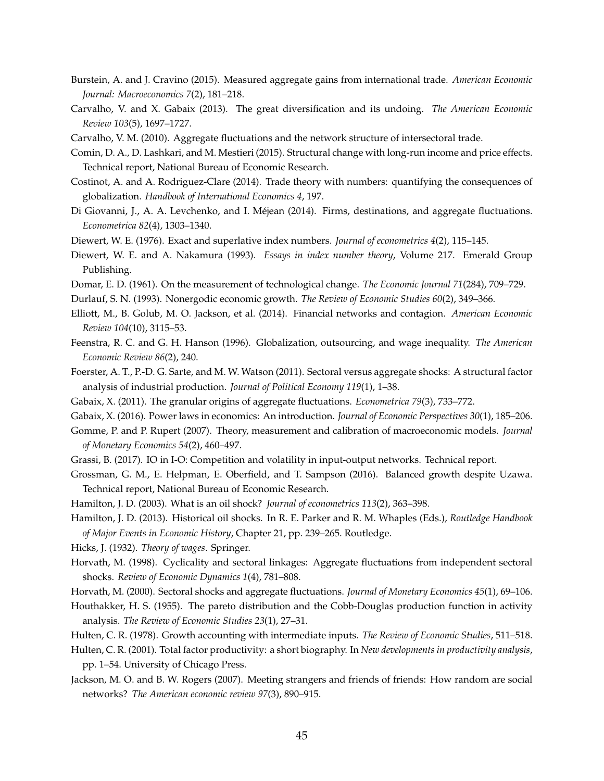- Burstein, A. and J. Cravino (2015). Measured aggregate gains from international trade. *American Economic Journal: Macroeconomics 7*(2), 181–218.
- Carvalho, V. and X. Gabaix (2013). The great diversification and its undoing. *The American Economic Review 103*(5), 1697–1727.
- Carvalho, V. M. (2010). Aggregate fluctuations and the network structure of intersectoral trade.
- Comin, D. A., D. Lashkari, and M. Mestieri (2015). Structural change with long-run income and price effects. Technical report, National Bureau of Economic Research.
- Costinot, A. and A. Rodriguez-Clare (2014). Trade theory with numbers: quantifying the consequences of globalization. *Handbook of International Economics 4*, 197.
- Di Giovanni, J., A. A. Levchenko, and I. Méjean (2014). Firms, destinations, and aggregate fluctuations. *Econometrica 82*(4), 1303–1340.
- Diewert, W. E. (1976). Exact and superlative index numbers. *Journal of econometrics 4*(2), 115–145.
- Diewert, W. E. and A. Nakamura (1993). *Essays in index number theory*, Volume 217. Emerald Group Publishing.
- Domar, E. D. (1961). On the measurement of technological change. *The Economic Journal 71*(284), 709–729.
- Durlauf, S. N. (1993). Nonergodic economic growth. *The Review of Economic Studies 60*(2), 349–366.
- Elliott, M., B. Golub, M. O. Jackson, et al. (2014). Financial networks and contagion. *American Economic Review 104*(10), 3115–53.
- Feenstra, R. C. and G. H. Hanson (1996). Globalization, outsourcing, and wage inequality. *The American Economic Review 86*(2), 240.
- Foerster, A. T., P.-D. G. Sarte, and M. W. Watson (2011). Sectoral versus aggregate shocks: A structural factor analysis of industrial production. *Journal of Political Economy 119*(1), 1–38.
- Gabaix, X. (2011). The granular origins of aggregate fluctuations. *Econometrica 79*(3), 733–772.
- Gabaix, X. (2016). Power laws in economics: An introduction. *Journal of Economic Perspectives 30*(1), 185–206.
- Gomme, P. and P. Rupert (2007). Theory, measurement and calibration of macroeconomic models. *Journal of Monetary Economics 54*(2), 460–497.
- Grassi, B. (2017). IO in I-O: Competition and volatility in input-output networks. Technical report.
- Grossman, G. M., E. Helpman, E. Oberfield, and T. Sampson (2016). Balanced growth despite Uzawa. Technical report, National Bureau of Economic Research.
- <span id="page-44-1"></span><span id="page-44-0"></span>Hamilton, J. D. (2003). What is an oil shock? *Journal of econometrics 113*(2), 363–398.
- Hamilton, J. D. (2013). Historical oil shocks. In R. E. Parker and R. M. Whaples (Eds.), *Routledge Handbook of Major Events in Economic History*, Chapter 21, pp. 239–265. Routledge.
- Hicks, J. (1932). *Theory of wages*. Springer.
- Horvath, M. (1998). Cyclicality and sectoral linkages: Aggregate fluctuations from independent sectoral shocks. *Review of Economic Dynamics 1*(4), 781–808.
- Horvath, M. (2000). Sectoral shocks and aggregate fluctuations. *Journal of Monetary Economics 45*(1), 69–106.
- Houthakker, H. S. (1955). The pareto distribution and the Cobb-Douglas production function in activity analysis. *The Review of Economic Studies 23*(1), 27–31.
- <span id="page-44-3"></span>Hulten, C. R. (1978). Growth accounting with intermediate inputs. *The Review of Economic Studies*, 511–518.
- Hulten, C. R. (2001). Total factor productivity: a short biography. In *New developments in productivity analysis*, pp. 1–54. University of Chicago Press.
- <span id="page-44-2"></span>Jackson, M. O. and B. W. Rogers (2007). Meeting strangers and friends of friends: How random are social networks? *The American economic review 97*(3), 890–915.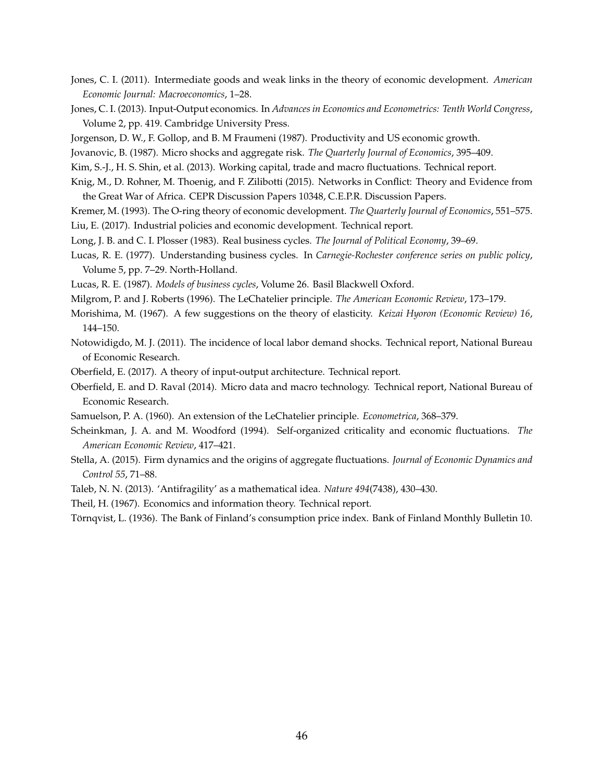- <span id="page-45-2"></span>Jones, C. I. (2011). Intermediate goods and weak links in the theory of economic development. *American Economic Journal: Macroeconomics*, 1–28.
- Jones, C. I. (2013). Input-Output economics. In *Advances in Economics and Econometrics: Tenth World Congress*, Volume 2, pp. 419. Cambridge University Press.
- Jorgenson, D. W., F. Gollop, and B. M Fraumeni (1987). Productivity and US economic growth.
- Jovanovic, B. (1987). Micro shocks and aggregate risk. *The Quarterly Journal of Economics*, 395–409.
- <span id="page-45-4"></span>Kim, S.-J., H. S. Shin, et al. (2013). Working capital, trade and macro fluctuations. Technical report.
- Knig, M., D. Rohner, M. Thoenig, and F. Zilibotti (2015). Networks in Conflict: Theory and Evidence from the Great War of Africa. CEPR Discussion Papers 10348, C.E.P.R. Discussion Papers.
- Kremer, M. (1993). The O-ring theory of economic development. *The Quarterly Journal of Economics*, 551–575.
- Liu, E. (2017). Industrial policies and economic development. Technical report.
- Long, J. B. and C. I. Plosser (1983). Real business cycles. *The Journal of Political Economy*, 39–69.
- Lucas, R. E. (1977). Understanding business cycles. In *Carnegie-Rochester conference series on public policy*, Volume 5, pp. 7–29. North-Holland.
- <span id="page-45-0"></span>Lucas, R. E. (1987). *Models of business cycles*, Volume 26. Basil Blackwell Oxford.
- Milgrom, P. and J. Roberts (1996). The LeChatelier principle. *The American Economic Review*, 173–179.
- Morishima, M. (1967). A few suggestions on the theory of elasticity. *Keizai Hyoron (Economic Review) 16*, 144–150.
- Notowidigdo, M. J. (2011). The incidence of local labor demand shocks. Technical report, National Bureau of Economic Research.
- <span id="page-45-3"></span>Oberfield, E. (2017). A theory of input-output architecture. Technical report.
- Oberfield, E. and D. Raval (2014). Micro data and macro technology. Technical report, National Bureau of Economic Research.
- Samuelson, P. A. (1960). An extension of the LeChatelier principle. *Econometrica*, 368–379.
- Scheinkman, J. A. and M. Woodford (1994). Self-organized criticality and economic fluctuations. *The American Economic Review*, 417–421.
- Stella, A. (2015). Firm dynamics and the origins of aggregate fluctuations. *Journal of Economic Dynamics and Control 55*, 71–88.
- Taleb, N. N. (2013). 'Antifragility' as a mathematical idea. *Nature 494*(7438), 430–430.
- <span id="page-45-5"></span><span id="page-45-1"></span>Theil, H. (1967). Economics and information theory. Technical report.

Törnqvist, L. (1936). The Bank of Finland's consumption price index. Bank of Finland Monthly Bulletin 10.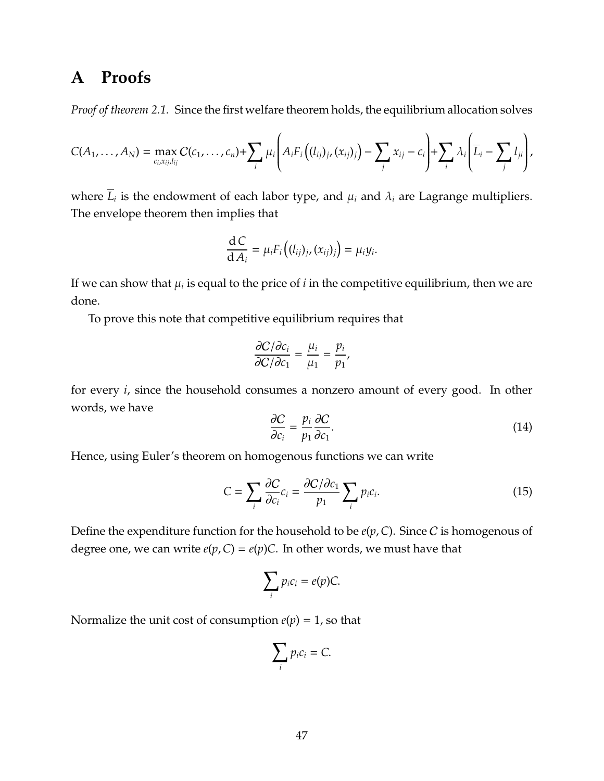## **A Proofs**

*Proof of theorem [2.1.](#page-7-0)* Since the first welfare theorem holds, the equilibrium allocation solves

$$
C(A_1,\ldots,A_N)=\max_{c_i,x_{ij},l_{ij}}C(c_1,\ldots,c_n)+\sum_i\mu_i\left(A_iF_i\left((l_{ij})_j,(x_{ij})_j\right)-\sum_jx_{ij}-c_i\right)+\sum_i\lambda_i\left(\overline{L}_i-\sum_jl_{ji}\right),
$$

where  $L_i$  is the endowment of each labor type, and  $\mu_i$  and  $\lambda_i$  are Lagrange multipliers. The envelope theorem then implies that

$$
\frac{\mathrm{d}\,C}{\mathrm{d}\,A_i}=\mu_iF_i\big((l_{ij})_j,(x_{ij})_j\big)=\mu_iy_i.
$$

If we can show that  $\mu_i$  is equal to the price of  $i$  in the competitive equilibrium, then we are done.

To prove this note that competitive equilibrium requires that

$$
\frac{\partial C/\partial c_i}{\partial C/\partial c_1}=\frac{\mu_i}{\mu_1}=\frac{p_i}{p_1},
$$

for every *i*, since the household consumes a nonzero amount of every good. In other words, we have

<span id="page-46-1"></span>
$$
\frac{\partial C}{\partial c_i} = \frac{p_i}{p_1} \frac{\partial C}{\partial c_1}.
$$
\n(14)

Hence, using Euler's theorem on homogenous functions we can write

<span id="page-46-0"></span>
$$
C = \sum_{i} \frac{\partial C}{\partial c_i} c_i = \frac{\partial C/\partial c_1}{p_1} \sum_{i} p_i c_i.
$$
 (15)

Define the expenditure function for the household to be *e*(*p*,*C*). Since C is homogenous of degree one, we can write  $e(p, C) = e(p)C$ . In other words, we must have that

$$
\sum_i p_i c_i = e(p) C.
$$

Normalize the unit cost of consumption  $e(p) = 1$ , so that

$$
\sum_i p_i c_i = C.
$$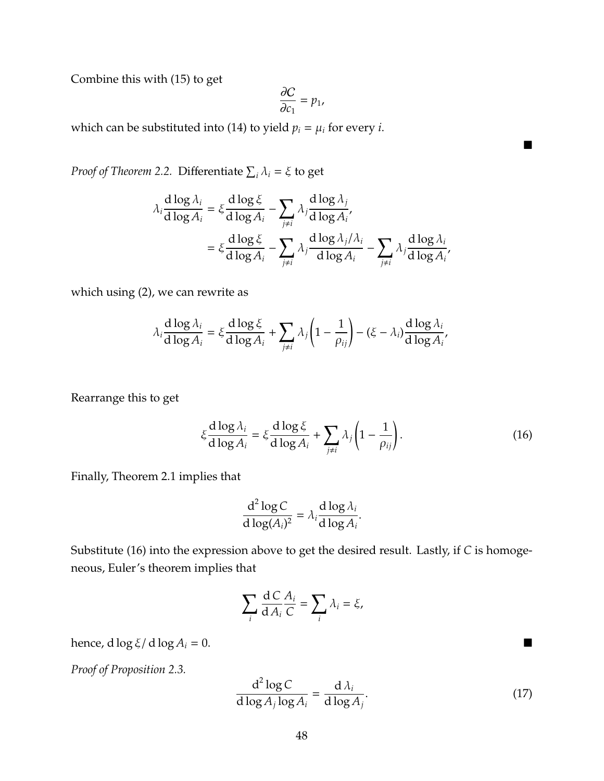Combine this with [\(15\)](#page-46-0) to get

$$
\frac{\partial C}{\partial c_1} = p_1,
$$

which can be substituted into [\(14\)](#page-46-1) to yield  $p_i = \mu_i$  for every *i*.

*Proof of Theorem [2.2.](#page-9-0)* Differentiate  $\sum_i \lambda_i = \xi$  to get

$$
\lambda_i \frac{d \log \lambda_i}{d \log A_i} = \xi \frac{d \log \xi}{d \log A_i} - \sum_{j \neq i} \lambda_j \frac{d \log \lambda_j}{d \log A_i'}
$$

$$
= \xi \frac{d \log \xi}{d \log A_i} - \sum_{j \neq i} \lambda_j \frac{d \log \lambda_j}{d \log A_i} - \sum_{j \neq i} \lambda_j \frac{d \log \lambda_i}{d \log A_i'}
$$

which using [\(2\)](#page-8-0), we can rewrite as

$$
\lambda_i \frac{d \log \lambda_i}{d \log A_i} = \xi \frac{d \log \xi}{d \log A_i} + \sum_{j \neq i} \lambda_j \left(1 - \frac{1}{\rho_{ij}}\right) - (\xi - \lambda_i) \frac{d \log \lambda_i}{d \log A_i},
$$

Rearrange this to get

<span id="page-47-0"></span>
$$
\xi \frac{d \log \lambda_i}{d \log A_i} = \xi \frac{d \log \xi}{d \log A_i} + \sum_{j \neq i} \lambda_j \left(1 - \frac{1}{\rho_{ij}}\right).
$$
 (16)

Finally, Theorem [2.1](#page-7-0) implies that

$$
\frac{d^2 \log C}{d \log(A_i)^2} = \lambda_i \frac{d \log \lambda_i}{d \log A_i}.
$$

Substitute [\(16\)](#page-47-0) into the expression above to get the desired result. Lastly, if *C* is homogeneous, Euler's theorem implies that

$$
\sum_{i} \frac{\mathrm{d}\, \mathcal{C}}{\mathrm{d}\, A_{i}} \frac{A_{i}}{C} = \sum_{i} \lambda_{i} = \xi,
$$

hence,  $d \log \xi / d \log A_i = 0$ .

*Proof of Proposition [2.3.](#page-11-0)*

$$
\frac{d^2 \log C}{d \log A_j \log A_i} = \frac{d \lambda_i}{d \log A_j}.
$$
 (17)

 $\blacksquare$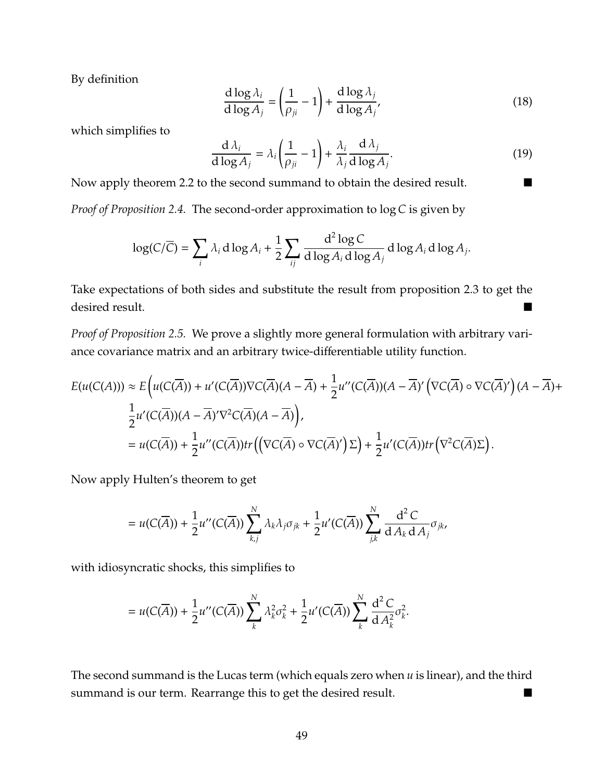By definition

$$
\frac{\mathrm{d}\log\lambda_i}{\mathrm{d}\log A_j} = \left(\frac{1}{\rho_{ji}} - 1\right) + \frac{\mathrm{d}\log\lambda_j}{\mathrm{d}\log A_j'},\tag{18}
$$

which simplifies to

$$
\frac{d\lambda_i}{d\log A_j} = \lambda_i \left(\frac{1}{\rho_{ji}} - 1\right) + \frac{\lambda_i}{\lambda_j} \frac{d\lambda_j}{d\log A_j}.
$$
\n(19)

Now apply theorem [2.2](#page-9-0) to the second summand to obtain the desired result.

*Proof of Proposition [2.4.](#page-12-0)* The second-order approximation to log*C* is given by

$$
\log(C/\overline{C}) = \sum_{i} \lambda_i d \log A_i + \frac{1}{2} \sum_{ij} \frac{d^2 \log C}{d \log A_i d \log A_j} d \log A_i d \log A_j.
$$

Take expectations of both sides and substitute the result from proposition [2.3](#page-11-0) to get the desired result.

*Proof of Proposition [2.5.](#page-14-0)* We prove a slightly more general formulation with arbitrary variance covariance matrix and an arbitrary twice-differentiable utility function.

$$
E(u(C(A))) \approx E\left(u(C(\overline{A})) + u'(C(\overline{A}))\nabla C(\overline{A})(A - \overline{A}) + \frac{1}{2}u''(C(\overline{A}))(A - \overline{A})'\left(\nabla C(\overline{A})\circ\nabla C(\overline{A})'\right)(A - \overline{A}) + \frac{1}{2}u'(C(\overline{A}))(A - \overline{A})'\nabla^2 C(\overline{A})(A - \overline{A})\right),
$$
  
\n
$$
= u(C(\overline{A})) + \frac{1}{2}u''(C(\overline{A}))\text{tr}\left(\left(\nabla C(\overline{A})\circ\nabla C(\overline{A})'\right)\Sigma\right) + \frac{1}{2}u'(C(\overline{A}))\text{tr}\left(\nabla^2 C(\overline{A})\Sigma\right).
$$

Now apply Hulten's theorem to get

$$
=u(C(\overline{A}))+\frac{1}{2}u''(C(\overline{A}))\sum_{k,j}^N\lambda_k\lambda_j\sigma_{jk}+\frac{1}{2}u'(C(\overline{A}))\sum_{j,k}^N\frac{\operatorname{d}^2C}{\operatorname{d}A_k\operatorname{d}A_j}\sigma_{jk},
$$

with idiosyncratic shocks, this simplifies to

$$
=u(C(\overline{A})) + \frac{1}{2}u''(C(\overline{A})) \sum_{k}^{N} \lambda_{k}^{2} \sigma_{k}^{2} + \frac{1}{2}u'(C(\overline{A})) \sum_{k}^{N} \frac{d^{2}C}{d A_{k}^{2}} \sigma_{k}^{2}.
$$

The second summand is the Lucas term (which equals zero when *u* is linear), and the third summand is our term. Rearrange this to get the desired result.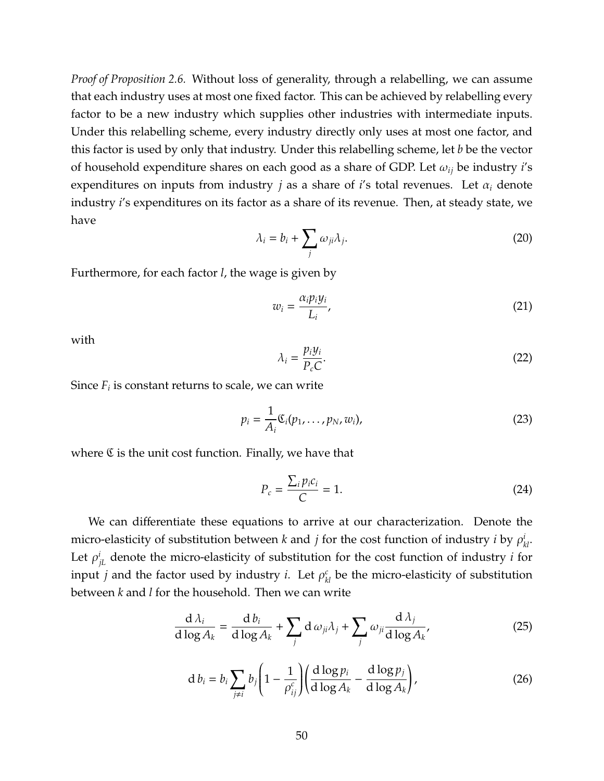*Proof of Proposition [2.6.](#page-15-0)* Without loss of generality, through a relabelling, we can assume that each industry uses at most one fixed factor. This can be achieved by relabelling every factor to be a new industry which supplies other industries with intermediate inputs. Under this relabelling scheme, every industry directly only uses at most one factor, and this factor is used by only that industry. Under this relabelling scheme, let *b* be the vector of household expenditure shares on each good as a share of GDP. Let ω*ij* be industry *i*'s expenditures on inputs from industry *j* as a share of *i*'s total revenues. Let  $\alpha_i$  denote industry *i*'s expenditures on its factor as a share of its revenue. Then, at steady state, we have

$$
\lambda_i = b_i + \sum_j \omega_{ji} \lambda_j. \tag{20}
$$

Furthermore, for each factor *l*, the wage is given by

$$
w_i = \frac{\alpha_i p_i y_i}{L_i},\tag{21}
$$

with

$$
\lambda_i = \frac{p_i y_i}{P_c C}.\tag{22}
$$

Since  $F_i$  is constant returns to scale, we can write

$$
p_i = \frac{1}{A_i} \mathfrak{C}_i(p_1, \dots, p_N, w_i), \tag{23}
$$

where  $\mathfrak C$  is the unit cost function. Finally, we have that

$$
P_c = \frac{\sum_i p_i c_i}{C} = 1.
$$
\n(24)

We can differentiate these equations to arrive at our characterization. Denote the micro-elasticity of substitution between *k* and *j* for the cost function of industry *i* by  $\rho^i_{kl}$ . Let  $\rho^i_{jL}$  denote the micro-elasticity of substitution for the cost function of industry  $i$  for input *j* and the factor used by industry *i*. Let  $\rho_k^c$  be the micro-elasticity of substitution between *k* and *l* for the household. Then we can write

$$
\frac{d\lambda_i}{d\log A_k} = \frac{d b_i}{d\log A_k} + \sum_j d \omega_{ji} \lambda_j + \sum_j \omega_{ji} \frac{d \lambda_j}{d\log A_k},
$$
(25)

$$
d b_i = b_i \sum_{j \neq i} b_j \left( 1 - \frac{1}{\rho_{ij}^c} \right) \left( \frac{d \log p_i}{d \log A_k} - \frac{d \log p_j}{d \log A_k} \right),\tag{26}
$$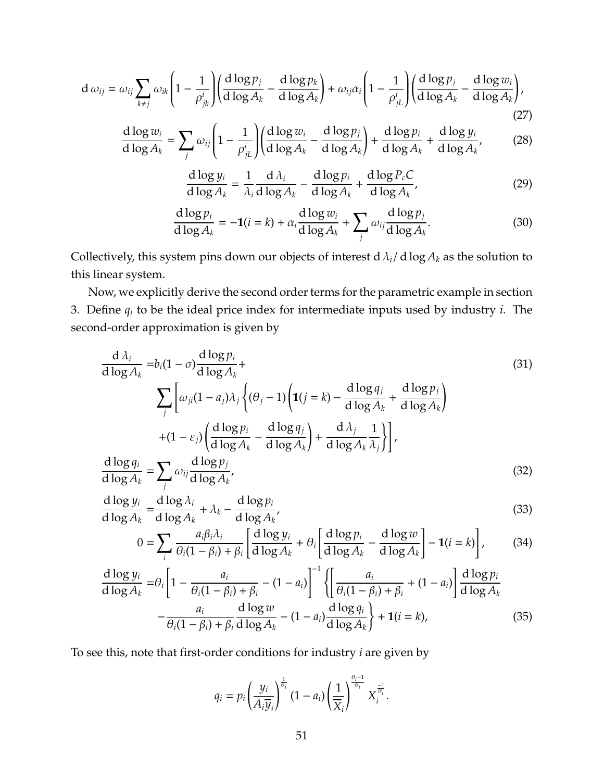$$
d\omega_{ij} = \omega_{ij} \sum_{k \neq j} \omega_{ik} \left( 1 - \frac{1}{\rho_{jk}^i} \right) \left( \frac{d \log p_j}{d \log A_k} - \frac{d \log p_k}{d \log A_k} \right) + \omega_{ij} \alpha_i \left( 1 - \frac{1}{\rho_{jL}^i} \right) \left( \frac{d \log p_j}{d \log A_k} - \frac{d \log w_i}{d \log A_k} \right),\tag{27}
$$

$$
\frac{d \log w_i}{d \log A_k} = \sum_j \omega_{ij} \left( 1 - \frac{1}{\rho_{jL}^i} \right) \left( \frac{d \log w_i}{d \log A_k} - \frac{d \log p_j}{d \log A_k} \right) + \frac{d \log p_i}{d \log A_k} + \frac{d \log y_i}{d \log A_k'},\tag{28}
$$

$$
\frac{\mathrm{d}\log y_i}{\mathrm{d}\log A_k} = \frac{1}{\lambda_i} \frac{\mathrm{d}\lambda_i}{\mathrm{d}\log A_k} - \frac{\mathrm{d}\log p_i}{\mathrm{d}\log A_k} + \frac{\mathrm{d}\log P_c C}{\mathrm{d}\log A_k},\tag{29}
$$

$$
\frac{\mathrm{d}\log p_i}{\mathrm{d}\log A_k} = -1(i=k) + \alpha_i \frac{\mathrm{d}\log w_i}{\mathrm{d}\log A_k} + \sum_j \omega_{ij} \frac{\mathrm{d}\log p_j}{\mathrm{d}\log A_k}.\tag{30}
$$

Collectively, this system pins down our objects of interest  $d \lambda_i / d \log A_k$  as the solution to this linear system.

Now, we explicitly derive the second order terms for the parametric example in section [3.](#page-16-0) Define *q<sup>i</sup>* to be the ideal price index for intermediate inputs used by industry *i*. The second-order approximation is given by

$$
\frac{d \lambda_i}{d \log A_k} = b_i (1 - \sigma) \frac{d \log p_i}{d \log A_k} + \sum_j \left[ \omega_{ji} (1 - a_j) \lambda_j \left\{ (\theta_j - 1) \left( 1(j = k) - \frac{d \log q_j}{d \log A_k} + \frac{d \log p_j}{d \log A_k} \right) + (1 - \varepsilon_j) \left( \frac{d \log p_i}{d \log A_k} - \frac{d \log q_j}{d \log A_k} \right) + \frac{d \lambda_j}{d \log A_k} \frac{1}{\lambda_j} \right] \right\},\tag{32}
$$

$$
\frac{\mathrm{d}\log y_i}{\mathrm{d}\log A_k} = \frac{\mathrm{d}\log\lambda_i}{\mathrm{d}\log A_k} + \lambda_k - \frac{\mathrm{d}\log p_i}{\mathrm{d}\log A_k'},\tag{33}
$$

$$
0 = \sum_{i} \frac{a_{i}\beta_{i}\lambda_{i}}{\theta_{i}(1-\beta_{i}) + \beta_{i}} \left[ \frac{\mathrm{d}\log y_{i}}{\mathrm{d}\log A_{k}} + \theta_{i} \left[ \frac{\mathrm{d}\log p_{i}}{\mathrm{d}\log A_{k}} - \frac{\mathrm{d}\log w}{\mathrm{d}\log A_{k}} \right] - \mathbf{1}(i=k) \right],
$$
(34)

$$
\frac{d \log y_i}{d \log A_k} = \theta_i \left[ 1 - \frac{a_i}{\theta_i (1 - \beta_i) + \beta_i} - (1 - a_i) \right]^{-1} \left\{ \left[ \frac{a_i}{\theta_i (1 - \beta_i) + \beta_i} + (1 - a_i) \right] \frac{d \log p_i}{d \log A_k} - \frac{a_i}{\theta_i (1 - \beta_i) + \beta_i} \frac{d \log w}{d \log A_k} - (1 - a_i) \frac{d \log q_i}{d \log A_k} \right\} + \mathbf{1}(i = k),
$$
\n(35)

To see this, note that first-order conditions for industry *i* are given by

<span id="page-50-0"></span>
$$
q_i = p_i \left(\frac{y_i}{A_i \overline{y}_i}\right)^{\frac{1}{\theta_i}} (1 - a_i) \left(\frac{1}{\overline{X}_i}\right)^{\frac{\theta_i - 1}{\theta_i}} X_i^{\frac{-1}{\theta_i}}.
$$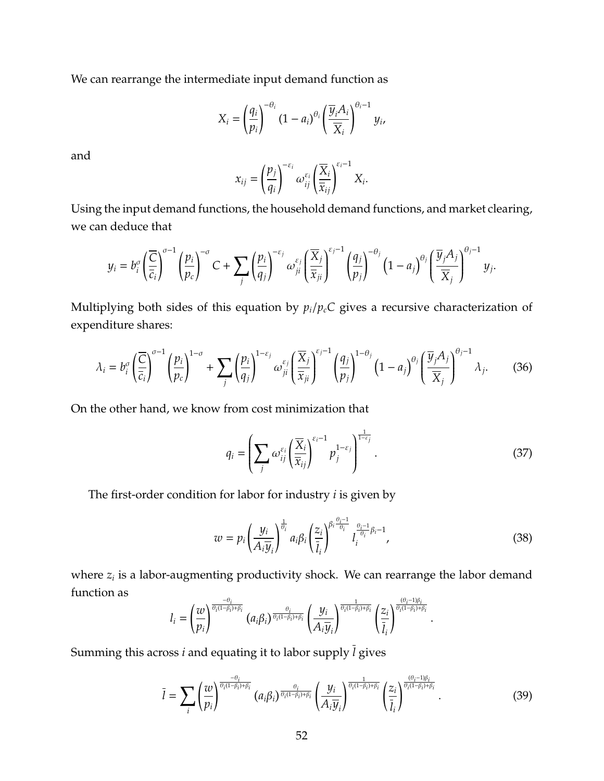We can rearrange the intermediate input demand function as

$$
X_i = \left(\frac{q_i}{p_i}\right)^{-\theta_i} \left(1-a_i\right)^{\theta_i} \left(\frac{\overline{y}_i A_i}{\overline{X}_i}\right)^{\theta_i-1} y_i,
$$

and

$$
x_{ij} = \left(\frac{p_j}{q_i}\right)^{-\varepsilon_i} \omega_{ij}^{\varepsilon_i} \left(\frac{\overline{X}_i}{\overline{x}_{ij}}\right)^{\varepsilon_i-1} X_i.
$$

Using the input demand functions, the household demand functions, and market clearing, we can deduce that

$$
y_i = b_i^{\sigma} \left(\frac{\overline{C}}{\overline{c}_i}\right)^{\sigma-1} \left(\frac{p_i}{p_c}\right)^{-\sigma} C + \sum_j \left(\frac{p_i}{q_j}\right)^{-\epsilon_j} \omega_{ji}^{\epsilon_j} \left(\frac{\overline{X}_j}{\overline{x}_{ji}}\right)^{\epsilon_j-1} \left(\frac{q_j}{p_j}\right)^{-\theta_j} \left(1-a_j\right)^{\theta_j} \left(\frac{\overline{y}_j A_j}{\overline{X}_j}\right)^{\theta_j-1} y_j.
$$

Multiplying both sides of this equation by  $p_i/p_cC$  gives a recursive characterization of expenditure shares:

$$
\lambda_i = b_i^{\sigma} \left(\frac{\overline{C}}{\overline{c}_i}\right)^{\sigma-1} \left(\frac{p_i}{p_c}\right)^{1-\sigma} + \sum_j \left(\frac{p_i}{q_j}\right)^{1-\epsilon_j} \omega_{ji}^{\epsilon_j} \left(\frac{\overline{X}_j}{\overline{x}_{ji}}\right)^{\epsilon_j-1} \left(\frac{q_j}{p_j}\right)^{1-\theta_j} \left(1-a_j\right)^{\theta_j} \left(\frac{\overline{y}_j A_j}{\overline{X}_j}\right)^{\theta_j-1} \lambda_j. \tag{36}
$$

On the other hand, we know from cost minimization that

<span id="page-51-0"></span>
$$
q_i = \left(\sum_j \omega_{ij}^{\varepsilon_i} \left(\frac{\overline{X}_i}{\overline{x}_{ij}}\right)^{\varepsilon_i - 1} p_j^{1 - \varepsilon_j}\right)^{\frac{1}{1 - \varepsilon_j}}.
$$
\n(37)

The first-order condition for labor for industry *i* is given by

$$
w = p_i \left(\frac{y_i}{A_i \overline{y}_i}\right)^{\frac{1}{\theta_i}} a_i \beta_i \left(\frac{z_i}{\overline{l}_i}\right)^{\beta_i \frac{\theta_i - 1}{\theta_i}} l_i^{\frac{\theta_i - 1}{\theta_i} \beta_i - 1}, \qquad (38)
$$

.

where *z<sup>i</sup>* is a labor-augmenting productivity shock. We can rearrange the labor demand function as

<span id="page-51-1"></span>
$$
l_i = \left(\frac{w}{p_i}\right)^{\frac{-\theta_i}{\theta_i(1-\beta_i)+\beta_i}} (a_i\beta_i)^{\frac{\theta_i}{\theta_i(1-\beta_i)+\beta_i}} \left(\frac{y_i}{A_i\overline{y}_i}\right)^{\frac{1}{\theta_i(1-\beta_i)+\beta_i}} \left(\frac{z_i}{\overline{l}_i}\right)^{\frac{(\theta_i-1)\beta_i}{\theta_i(1-\beta_i)+\beta_i}}
$$

Summing this across *i* and equating it to labor supply *l* gives

$$
\overline{l} = \sum_{i} \left(\frac{w}{p_i}\right)^{\frac{-\theta_i}{\theta_i(1-\beta_i)+\beta_i}} (a_i\beta_i)^{\frac{\theta_i}{\theta_i(1-\beta_i)+\beta_i}} \left(\frac{y_i}{A_i\overline{y}_i}\right)^{\frac{1}{\theta_i(1-\beta_i)+\beta_i}} \left(\frac{z_i}{\overline{l}_i}\right)^{\frac{(\theta_i-1)\beta_i}{\theta_i(1-\beta_i)+\beta_i}}.
$$
(39)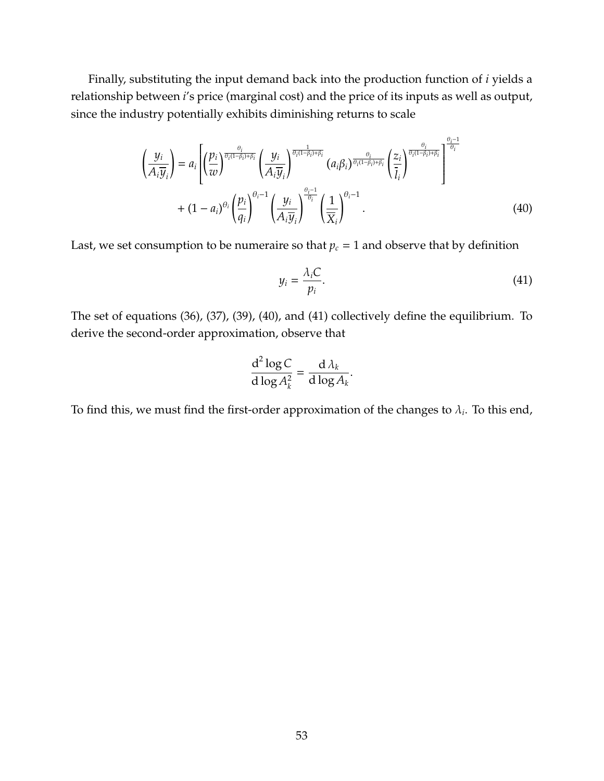Finally, substituting the input demand back into the production function of *i* yields a relationship between *i*'s price (marginal cost) and the price of its inputs as well as output, since the industry potentially exhibits diminishing returns to scale

$$
\left(\frac{y_i}{A_i\overline{y}_i}\right) = a_i \left[ \left(\frac{p_i}{w}\right)^{\frac{\theta_i}{\theta_i(1-\beta_i)+\beta_i}} \left(\frac{y_i}{A_i\overline{y}_i}\right)^{\frac{1}{\theta_i(1-\beta_i)+\beta_i}} (a_i\beta_i)^{\frac{\theta_i}{\theta_i(1-\beta_i)+\beta_i}} \left(\frac{z_i}{\overline{l}_i}\right)^{\frac{\theta_i-1}{\theta_i(1-\beta_i)+\beta_i}} \right]^{\frac{\theta_i-1}{\theta_i}} + (1-a_i)^{\theta_i} \left(\frac{p_i}{q_i}\right)^{\theta_i-1} \left(\frac{y_i}{A_i\overline{y}_i}\right)^{\frac{\theta_i-1}{\theta_i}} \left(\frac{1}{\overline{X}_i}\right)^{\theta_i-1}.
$$
\n(40)

Last, we set consumption to be numeraire so that  $p_c = 1$  and observe that by definition

<span id="page-52-1"></span><span id="page-52-0"></span>
$$
y_i = \frac{\lambda_i C}{p_i}.\tag{41}
$$

The set of equations [\(36\)](#page-50-0), [\(37\)](#page-51-0), [\(39\)](#page-51-1), [\(40\)](#page-52-0), and [\(41\)](#page-52-1) collectively define the equilibrium. To derive the second-order approximation, observe that

$$
\frac{d^2 \log C}{d \log A_k^2} = \frac{d \lambda_k}{d \log A_k}.
$$

To find this, we must find the first-order approximation of the changes to  $\lambda_i$ . To this end,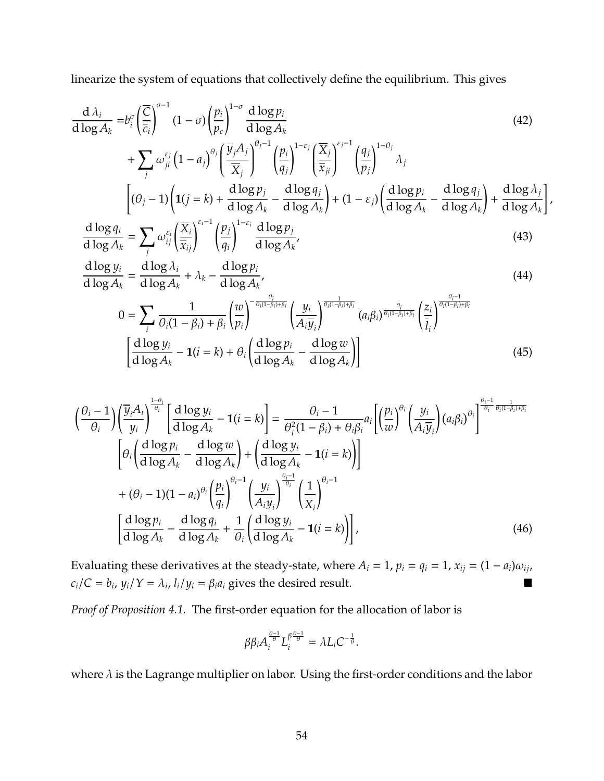linearize the system of equations that collectively define the equilibrium. This gives

$$
\frac{d \lambda_i}{d \log A_k} = b_i^{\sigma} \left( \frac{\overline{C}}{\overline{c}_i} \right)^{\sigma-1} (1 - \sigma) \left( \frac{p_i}{p_c} \right)^{1 - \sigma} \frac{d \log p_i}{d \log A_k} + \sum_j \omega_{ji}^{\varepsilon_j} (1 - a_j)^{\theta_j} \left( \frac{\overline{y}_j A_j}{\overline{X}_j} \right)^{\theta_j - 1} \left( \frac{p_i}{q_j} \right)^{1 - \varepsilon_j} \left( \frac{\overline{X}_j}{\overline{x}_{ji}} \right)^{\varepsilon_j - 1} \left( \frac{q_j}{p_j} \right)^{1 - \theta_j} \lambda_j
$$
\n
$$
\left[ (\theta_j - 1) \left( 1 (j = k) + \frac{d \log p_j}{d \log A_k} - \frac{d \log q_j}{d \log A_k} \right) + (1 - \varepsilon_j) \left( \frac{d \log p_i}{d \log A_k} - \frac{d \log q_j}{d \log A_k} \right) + \frac{d \log \lambda_j}{d \log A_k} \right],
$$
\ndles  $\sigma$ 

$$
\frac{\mathrm{d}\log q_i}{\mathrm{d}\log A_k} = \sum_j \omega_{ij}^{\varepsilon_i} \left(\frac{\overline{X}_i}{\overline{x}_{ij}}\right)^{\varepsilon_i-1} \left(\frac{p_j}{q_i}\right)^{1-\varepsilon_i} \frac{\mathrm{d}\log p_j}{\mathrm{d}\log A_k},\tag{43}
$$

$$
\frac{\mathrm{d}\log y_i}{\mathrm{d}\log A_k} = \frac{\mathrm{d}\log\lambda_i}{\mathrm{d}\log A_k} + \lambda_k - \frac{\mathrm{d}\log p_i}{\mathrm{d}\log A_k},\tag{44}
$$

$$
0 = \sum_{i} \frac{1}{\theta_i (1 - \beta_i) + \beta_i} \left(\frac{w}{p_i}\right)^{-\frac{\theta_i}{\theta_i (1 - \beta_i) + \beta_i}} \left(\frac{y_i}{A_i \overline{y}_i}\right)^{\frac{1}{\theta_i (1 - \beta_i) + \beta_i}} (a_i \beta_i)^{\frac{\theta_i}{\theta_i (1 - \beta_i) + \beta_i}} \left(\frac{z_i}{\overline{l}_i}\right)^{\frac{\theta_i - 1}{\theta_i (1 - \beta_i) + \beta_i}} \left(\frac{z_i}{\overline{l}_i}\right)^{\frac{\theta_i - 1}{\theta_i (1 - \beta_i) + \beta_i}}
$$
\n
$$
\left[\frac{d \log y_i}{d \log A_k} - \mathbf{1}(i = k) + \theta_i \left(\frac{d \log p_i}{d \log A_k} - \frac{d \log w}{d \log A_k}\right)\right]
$$
\n(45)

$$
\left(\frac{\theta_{i}-1}{\theta_{i}}\right)\left(\frac{\overline{y}_{i}A_{i}}{y_{i}}\right)^{\frac{1-\theta_{i}}{\theta_{i}}}\left[\frac{d\log y_{i}}{d\log A_{k}}-1(i=k)\right]=\frac{\theta_{i}-1}{\theta_{i}^{2}(1-\beta_{i})+\theta_{i}\beta_{i}}a_{i}\left[\left(\frac{p_{i}}{w}\right)^{\theta_{i}}\left(\frac{y_{i}}{A_{i}\overline{y}_{i}}\right)\left(a_{i}\beta_{i}\right)^{\theta_{i}}\right]^{\frac{\theta_{i}-1}{\theta_{i}}}\frac{1}{\theta_{i}(1-\beta_{i})+\theta_{i}}a_{i}\left[\theta_{i}\left(\frac{d\log p_{i}}{d\log A_{k}}-\frac{d\log w}{d\log A_{k}}\right)+\left(\frac{d\log y_{i}}{d\log A_{k}}-1(i=k)\right)\right]
$$
\n
$$
+(\theta_{i}-1)(1-a_{i})^{\theta_{i}}\left(\frac{p_{i}}{q_{i}}\right)^{\theta_{i}-1}\left(\frac{y_{i}}{A_{i}\overline{y}_{i}}\right)^{\frac{\theta_{i}-1}{\theta_{i}}}\left(\frac{1}{\overline{X}_{i}}\right)^{\theta_{i}-1}
$$
\n
$$
\left[\frac{d\log p_{i}}{d\log A_{k}}-\frac{d\log q_{i}}{d\log A_{k}}+\frac{1}{\theta_{i}}\left(\frac{d\log y_{i}}{d\log A_{k}}-1(i=k)\right)\right],
$$
\n(46)

Evaluating these derivatives at the steady-state, where  $A_i = 1$ ,  $p_i = q_i = 1$ ,  $\bar{x}_{ij} = (1 - a_i)\omega_{ij}$ ,  $c_i/C = b_i$ ,  $y_i/Y = \lambda_i$ ,  $l_i/y_i = \beta_i a_i$  gives the desired result.

*Proof of Proposition [4.1.](#page-17-1)* The first-order equation for the allocation of labor is

$$
\beta \beta_i A_i^{\frac{\theta-1}{\theta}} L_i^{\beta \frac{\theta-1}{\theta}} = \lambda L_i C^{-\frac{1}{\theta}}.
$$

where  $\lambda$  is the Lagrange multiplier on labor. Using the first-order conditions and the labor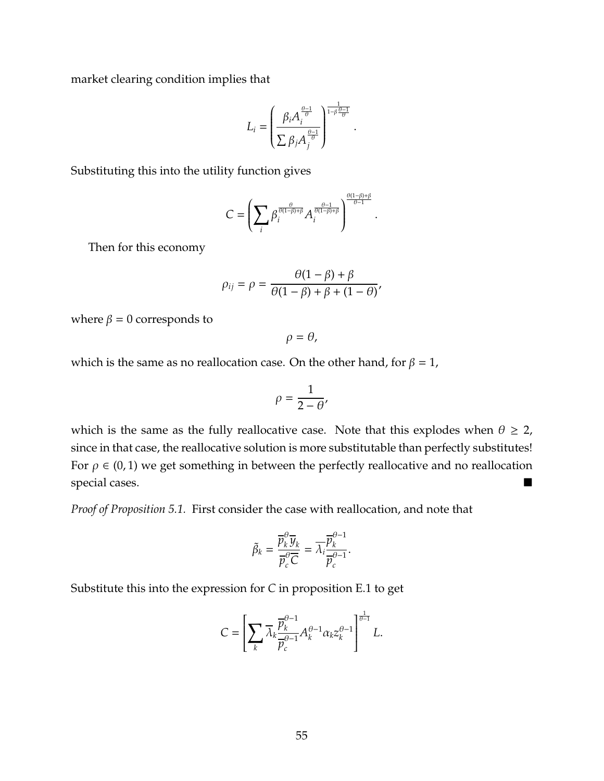market clearing condition implies that

$$
L_i = \left(\frac{\beta_i A_i^{\frac{\theta-1}{\theta}}}{\sum \beta_j A_j^{\frac{\theta-1}{\theta}}}\right)^{\frac{1}{1-\beta \frac{\theta-1}{\theta}}}
$$

.

.

Substituting this into the utility function gives

$$
C = \left(\sum_i \beta_i^{\frac{\theta}{\theta(1-\beta)+\beta}} A_i^{\frac{\theta-1}{\theta(1-\beta)+\beta}}\right)^{\frac{\theta(1-\beta)+\beta}{\theta-1}}
$$

Then for this economy

$$
\rho_{ij} = \rho = \frac{\theta(1-\beta) + \beta}{\theta(1-\beta) + \beta + (1-\theta)}
$$

where  $\beta = 0$  corresponds to

$$
\rho = \theta,
$$

which is the same as no reallocation case. On the other hand, for  $\beta = 1$ ,

$$
\rho=\frac{1}{2-\theta},
$$

which is the same as the fully reallocative case. Note that this explodes when  $\theta \geq 2$ , since in that case, the reallocative solution is more substitutable than perfectly substitutes! For  $\rho \in (0, 1)$  we get something in between the perfectly reallocative and no reallocation special cases.

*Proof of Proposition [5.1.](#page-22-0)* First consider the case with reallocation, and note that

$$
\tilde{\beta}_k = \frac{\overline{p}_k^{\theta}\overline{y}_k}{\overline{p}_c^{\theta}\overline{C}} = \overline{\lambda}_i \frac{\overline{p}_k^{\theta-1}}{\overline{p}_c^{\theta-1}}.
$$

Substitute this into the expression for *C* in proposition [E.1](#page-69-0) to get

$$
C = \left[ \sum_{k} \overline{\lambda}_{k} \frac{\overline{p}_{k}^{\theta-1}}{\overline{p}_{c}^{\theta-1}} A_{k}^{\theta-1} \alpha_{k} z_{k}^{\theta-1} \right]^{\frac{1}{\theta-1}} L.
$$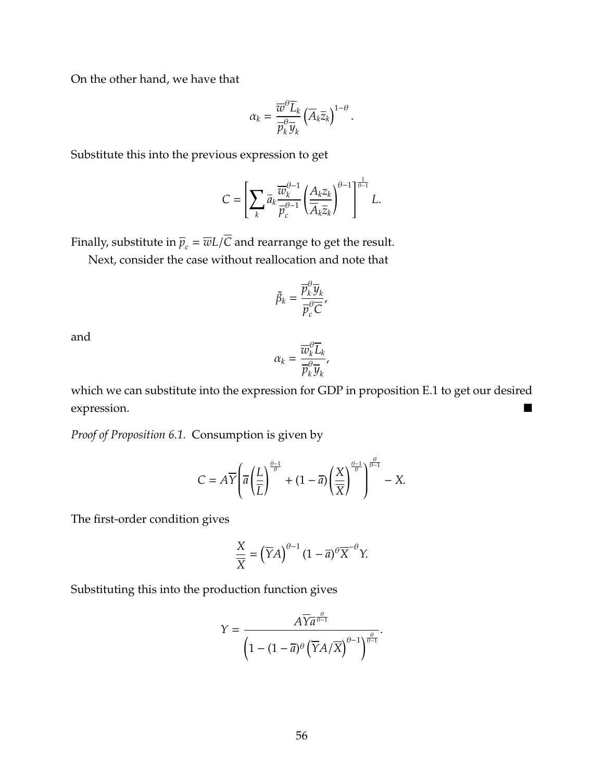On the other hand, we have that

$$
\alpha_k = \frac{\overline{w}^{\theta} \overline{L}_k}{\overline{p}_k^{\theta} \overline{y}_k} \left(\overline{A}_k \overline{z}_k\right)^{1-\theta}.
$$

Substitute this into the previous expression to get

$$
C = \left[ \sum_{k} \overline{a}_{k} \frac{\overline{w}_{k}^{\theta-1}}{\overline{p}_{c}^{\theta-1}} \left( \frac{A_{k} z_{k}}{\overline{A}_{k} \overline{z}_{k}} \right)^{\theta-1} \right]^{\frac{1}{\theta-1}} L.
$$

Finally, substitute in  $\overline{p}_c = \overline{w}L/\overline{C}$  and rearrange to get the result.

Next, consider the case without reallocation and note that

$$
\tilde{\beta}_k = \frac{\overline{p}_k^{\theta} \overline{y}_k}{\overline{p}_c^{\theta} \overline{C}},
$$

and

$$
\alpha_k = \frac{\overline{w}_k^{\theta} \overline{L}_k}{\overline{p}_k^{\theta} \overline{y}_k},
$$

which we can substitute into the expression for GDP in proposition [E.1](#page-69-0) to get our desired expression.

*Proof of Proposition [6.1.](#page-24-0)* Consumption is given by

$$
C = A\overline{Y}\left(\overline{a}\left(\frac{L}{\overline{L}}\right)^{\frac{\theta-1}{\theta}} + (1-\overline{a})\left(\frac{X}{\overline{X}}\right)^{\frac{\theta-1}{\theta}}\right)^{\frac{\theta}{\theta-1}} - X.
$$

The first-order condition gives

$$
\frac{X}{X} = (\overline{Y}A)^{\theta - 1} (1 - \overline{a})^{\theta} \overline{X}^{-\theta} Y.
$$

Substituting this into the production function gives

$$
Y = \frac{A\overline{Y} \overline{a}^{\frac{\theta}{\theta-1}}}{\left(1 - (1 - \overline{a})^{\theta} \left(\overline{Y} A / \overline{X}\right)^{\theta-1}\right)^{\frac{\theta}{\theta-1}}}.
$$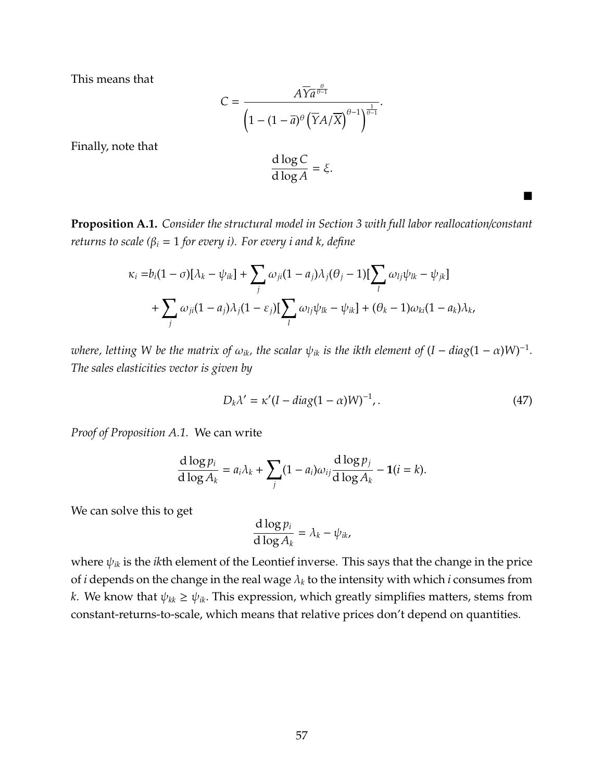This means that

$$
C = \frac{A\overline{Y} \overline{a}^{\frac{\theta}{\theta-1}}}{\left(1 - (1 - \overline{a})^{\theta} \left(\overline{Y} A / \overline{X}\right)^{\theta-1}\right)^{\frac{1}{\theta-1}}}.
$$

Finally, note that

$$
\frac{\mathrm{d}\log C}{\mathrm{d}\log A} = \xi.
$$

<span id="page-56-0"></span>**Proposition A.1.** *Consider the structural model in Section [3](#page-16-0) with full labor reallocation*/*constant returns to scale* ( $\beta_i = 1$  *for every i). For every i and k, define* 

$$
\kappa_i = b_i (1 - \sigma) [\lambda_k - \psi_{ik}] + \sum_j \omega_{ji} (1 - a_j) \lambda_j (\theta_j - 1) [\sum_l \omega_{lj} \psi_{lk} - \psi_{jk}]
$$
  
+ 
$$
\sum_j \omega_{ji} (1 - a_j) \lambda_j (1 - \varepsilon_j) [\sum_l \omega_{lj} \psi_{lk} - \psi_{ik}] + (\theta_k - 1) \omega_{ki} (1 - a_k) \lambda_k,
$$

*where, letting W be the matrix of*  $\omega_{ik}$ *, the scalar*  $\psi_{ik}$  *is the ikth element of*  $(I - diag(1 - \alpha)W)^{-1}$ *. The sales elasticities vector is given by*

$$
D_k \lambda' = \kappa' (I - diag(1 - \alpha)W)^{-1}, \qquad (47)
$$

п

*Proof of Proposition [A.1.](#page-56-0)* We can write

$$
\frac{\mathrm{d}\log p_i}{\mathrm{d}\log A_k} = a_i\lambda_k + \sum_j (1-a_i)\omega_{ij}\frac{\mathrm{d}\log p_j}{\mathrm{d}\log A_k} - \mathbf{1}(i=k).
$$

We can solve this to get

$$
\frac{\mathrm{d}\log p_i}{\mathrm{d}\log A_k} = \lambda_k - \psi_{ik},
$$

where  $\psi_{ik}$  is the *ik*th element of the Leontief inverse. This says that the change in the price of *i* depends on the change in the real wage  $\lambda_k$  to the intensity with which *i* consumes from *k*. We know that  $\psi_{kk} \ge \psi_{ik}$ . This expression, which greatly simplifies matters, stems from constant-returns-to-scale, which means that relative prices don't depend on quantities.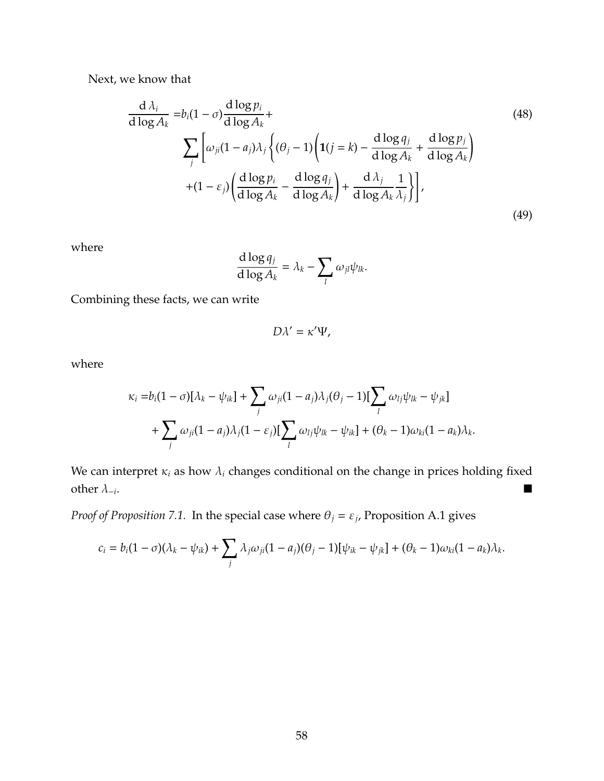Next, we know that

$$
\frac{d \lambda_i}{d \log A_k} = b_i (1 - \sigma) \frac{d \log p_i}{d \log A_k} + \sum_{j} \left[ \omega_{ji} (1 - a_j) \lambda_j \left\{ (\theta_j - 1) \left( 1(j = k) - \frac{d \log q_j}{d \log A_k} + \frac{d \log p_j}{d \log A_k} \right) + (1 - \varepsilon_j) \left( \frac{d \log p_i}{d \log A_k} - \frac{d \log q_j}{d \log A_k} \right) + \frac{d \lambda_j}{d \log A_k} \frac{1}{\lambda_j} \right\} \right],
$$
\n(49)

where

$$
\frac{\mathrm{d}\log q_j}{\mathrm{d}\log A_k} = \lambda_k - \sum_l \omega_{jl} \psi_{lk}.
$$

Combining these facts, we can write

 $Dλ' = κ'Ψ,$ 

where

$$
\kappa_i = b_i (1 - \sigma) [\lambda_k - \psi_{ik}] + \sum_j \omega_{ji} (1 - a_j) \lambda_j (\theta_j - 1) [\sum_l \omega_{lj} \psi_{lk} - \psi_{jk}] + \sum_j \omega_{ji} (1 - a_j) \lambda_j (1 - \varepsilon_j) [\sum_l \omega_{lj} \psi_{lk} - \psi_{ik}] + (\theta_k - 1) \omega_{ki} (1 - a_k) \lambda_k.
$$

We can interpret  $\kappa_i$  as how  $\lambda_i$  changes conditional on the change in prices holding fixed other  $\lambda_{-i}$ *.* . In the second control of the second control of the second control of the second control of the second control

*Proof of Proposition* [7.1.](#page-27-0) In the special case where  $\theta_j = \varepsilon_j$ , Proposition [A.1](#page-56-0) gives

$$
c_i = b_i(1-\sigma)(\lambda_k - \psi_{ik}) + \sum_j \lambda_j \omega_{ji}(1-a_j)(\theta_j - 1)[\psi_{ik} - \psi_{jk}] + (\theta_k - 1)\omega_{ki}(1-a_k)\lambda_k.
$$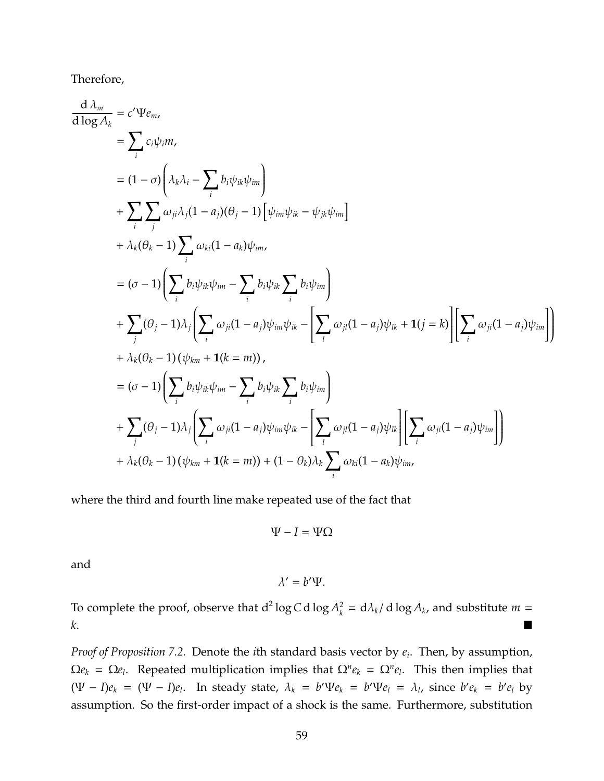Therefore,

$$
\frac{d \lambda_m}{d \log A_k} = c' \Psi e_m,
$$
\n
$$
= \sum_i c_i \psi_i m,
$$
\n
$$
= (1 - \sigma) \left( \lambda_k \lambda_i - \sum_i b_i \psi_{ik} \psi_{im} \right)
$$
\n
$$
+ \sum_i \sum_j \omega_{ji} \lambda_j (1 - a_j) (\theta_j - 1) \left[ \psi_{im} \psi_{ik} - \psi_{jk} \psi_{im} \right]
$$
\n
$$
+ \lambda_k (\theta_k - 1) \sum_i \omega_{ki} (1 - a_k) \psi_{im},
$$
\n
$$
= (\sigma - 1) \left( \sum_i b_i \psi_{ik} \psi_{im} - \sum_i b_i \psi_{ik} \sum_i b_i \psi_{im} \right)
$$
\n
$$
+ \sum_j (\theta_j - 1) \lambda_j \left( \sum_i \omega_{ji} (1 - a_j) \psi_{im} \psi_{ik} - \left[ \sum_i \omega_{ji} (1 - a_j) \psi_{ik} + 1 (j = k) \right] \left[ \sum_i \omega_{ji} (1 - a_j) \psi_{im} \right] \right)
$$
\n
$$
+ \lambda_k (\theta_k - 1) \left( \psi_{km} + 1 (k = m) \right),
$$
\n
$$
= (\sigma - 1) \left( \sum_i b_i \psi_{ik} \psi_{im} - \sum_i b_i \psi_{ik} \sum_i b_i \psi_{im} \right)
$$
\n
$$
+ \sum_j (\theta_j - 1) \lambda_j \left( \sum_i \omega_{ji} (1 - a_j) \psi_{im} \psi_{ik} - \left[ \sum_i \omega_{ji} (1 - a_j) \psi_{ik} \right] \left[ \sum_i \omega_{ji} (1 - a_j) \psi_{im} \right] \right)
$$
\n
$$
+ \lambda_k (\theta_k - 1) (\psi_{km} + 1 (k = m)) + (1 - \theta_k) \lambda_k \sum_i \omega_{ki} (1 - a_k) \psi_{im},
$$

where the third and fourth line make repeated use of the fact that

$$
\Psi-I=\Psi\Omega
$$

and

$$
\lambda'=b'\Psi.
$$

To complete the proof, observe that  $d^2 \log C \, d \log A_k^2$  $\alpha_k^2 = d\lambda_k / d \log A_k$ , and substitute  $m =$ *k*.

*Proof of Proposition [7.2.](#page-29-0)* Denote the *i*th standard basis vector by *e<sup>i</sup>* . Then, by assumption,  $Ωe_k = Ωe_l$ . Repeated multiplication implies that  $Ω^n e_k = Ω^n e_l$ . This then implies that  $(\Psi - I)e_k = (\Psi - I)e_l$ . In steady state,  $\lambda_k = b'\Psi e_k = b'\Psi e_l = \lambda_l$ , since  $b'e_k = b'e_l$  by assumption. So the first-order impact of a shock is the same. Furthermore, substitution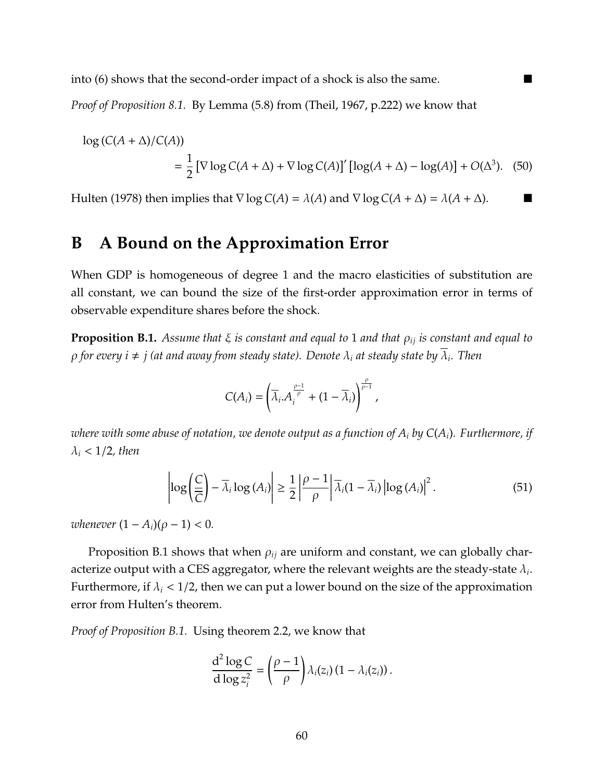into [\(6\)](#page-26-0) shows that the second-order impact of a shock is also the same.  $\blacksquare$ 

*Proof of Proposition [8.1.](#page-40-1)* By Lemma (5.8) from [\(Theil, 1967,](#page-45-5) p.222) we know that

$$
\log (C(A + \Delta)/C(A))
$$
  
=  $\frac{1}{2} [\nabla \log C(A + \Delta) + \nabla \log C(A)]' [\log(A + \Delta) - \log(A)] + O(\Delta^3)$ . (50)

[Hulten](#page-44-3) [\(1978\)](#page-44-3) then implies that  $\nabla \log C(A) = \lambda(A)$  and  $\nabla \log C(A + \Delta) = \lambda(A + \Delta)$ .

## **B A Bound on the Approximation Error**

When GDP is homogeneous of degree 1 and the macro elasticities of substitution are all constant, we can bound the size of the first-order approximation error in terms of observable expenditure shares before the shock.

<span id="page-59-0"></span>**Proposition B.1.** *Assume that* ξ *is constant and equal to* 1 *and that* ρ*ij is constant and equal to*  $\rho$  for every  $i\neq j$  (at and away from steady state). Denote  $\lambda_i$  at steady state by  $\overline{\lambda}_i.$  Then

$$
C(A_i) = \left(\overline{\lambda}_i.A_i^{\frac{\rho-1}{\rho}} + (1-\overline{\lambda}_i)\right)^{\frac{\rho}{\rho-1}},
$$

*where with some abuse of notation, we denote output as a function of A<sup>i</sup> by C*(*Ai*)*. Furthermore, if*  $\lambda_i$  < 1/2, then

$$
\left|\log\left(\frac{C}{\overline{C}}\right) - \overline{\lambda}_i \log\left(A_i\right)\right| \ge \frac{1}{2} \left|\frac{\rho - 1}{\rho}\right| \overline{\lambda}_i (1 - \overline{\lambda}_i) \left|\log\left(A_i\right)\right|^2. \tag{51}
$$

*whenever*  $(1 - A_i)(\rho - 1) < 0$ *.* 

Proposition [B.1](#page-59-0) shows that when  $\rho_{ij}$  are uniform and constant, we can globally characterize output with a CES aggregator, where the relevant weights are the steady-state  $\lambda_i$ . Furthermore, if  $\lambda_i < 1/2$ , then we can put a lower bound on the size of the approximation error from Hulten's theorem.

*Proof of Proposition [B.1.](#page-59-0)* Using theorem [2.2,](#page-9-0) we know that

$$
\frac{\mathrm{d}^2\log C}{\mathrm{d}\log z_i^2} = \left(\frac{\rho-1}{\rho}\right)\lambda_i(z_i)\left(1-\lambda_i(z_i)\right).
$$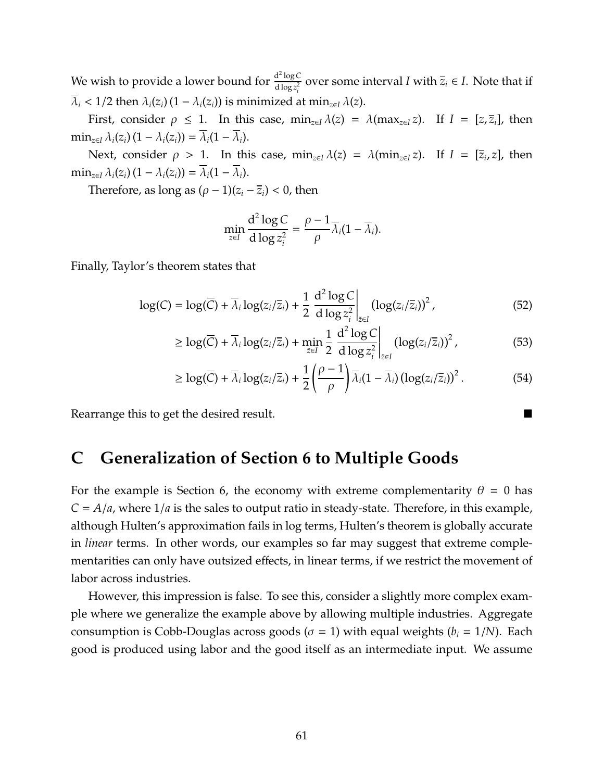We wish to provide a lower bound for  $\frac{d^2 \log C}{d \log z^2}$  $\frac{d^2 \log C}{d \log z_i^2}$  over some interval *I* with  $\overline{z}_i \in I$ . Note that if  $\overline{\lambda}_i$  < 1/2 then  $\lambda_i(z_i)$  (1 −  $\lambda_i(z_i)$ ) is minimized at min<sub>z∈*I*</sub>  $\lambda(z)$ .

First, consider  $\rho \le 1$ . In this case,  $\min_{z \in I} \lambda(z) = \lambda(\max_{z \in I} z)$ . If  $I = [z, \overline{z}_i]$ , then  $\min_{z \in I} \lambda_i(z_i) (1 - \lambda_i(z_i)) = \overline{\lambda}_i (1 - \overline{\lambda}_i).$ 

Next, consider  $\rho > 1$ . In this case,  $\min_{z \in I} \lambda(z) = \lambda(\min_{z \in I} z)$ . If  $I = [\overline{z}_i, z]$ , then  $\min_{z \in I} \lambda_i(z_i) (1 - \lambda_i(z_i)) = \overline{\lambda}_i (1 - \overline{\lambda}_i).$ 

Therefore, as long as  $(\rho - 1)(z_i - \overline{z}_i) < 0$ , then

$$
\min_{z \in I} \frac{d^2 \log C}{d \log z_i^2} = \frac{\rho - 1}{\rho} \overline{\lambda}_i (1 - \overline{\lambda}_i).
$$

Finally, Taylor's theorem states that

$$
\log(C) = \log(\overline{C}) + \overline{\lambda}_i \log(z_i/\overline{z}_i) + \frac{1}{2} \frac{d^2 \log C}{d \log z_i^2} \bigg|_{\overline{z} \in I} \left( \log(z_i/\overline{z}_i) \right)^2, \tag{52}
$$

$$
\geq \log(\overline{C}) + \overline{\lambda}_i \log(z_i/\overline{z}_i) + \min_{\overline{z} \in I} \frac{1}{2} \frac{d^2 \log C}{d \log z_i^2} \bigg|_{\overline{z} \in I} \left( \log(z_i/\overline{z}_i) \right)^2, \tag{53}
$$

$$
\geq \log(\overline{C}) + \overline{\lambda}_i \log(z_i/\overline{z}_i) + \frac{1}{2} \left( \frac{\rho - 1}{\rho} \right) \overline{\lambda}_i (1 - \overline{\lambda}_i) \left( \log(z_i/\overline{z}_i) \right)^2. \tag{54}
$$

Rearrange this to get the desired result.

#### **C Generalization of Section [6](#page-23-0) to Multiple Goods**

For the example is Section [6,](#page-23-0) the economy with extreme complementarity  $\theta = 0$  has  $C = A/a$ , where  $1/a$  is the sales to output ratio in steady-state. Therefore, in this example, although Hulten's approximation fails in log terms, Hulten's theorem is globally accurate in *linear* terms. In other words, our examples so far may suggest that extreme complementarities can only have outsized effects, in linear terms, if we restrict the movement of labor across industries.

However, this impression is false. To see this, consider a slightly more complex example where we generalize the example above by allowing multiple industries. Aggregate consumption is Cobb-Douglas across goods ( $\sigma = 1$ ) with equal weights ( $b_i = 1/N$ ). Each good is produced using labor and the good itself as an intermediate input. We assume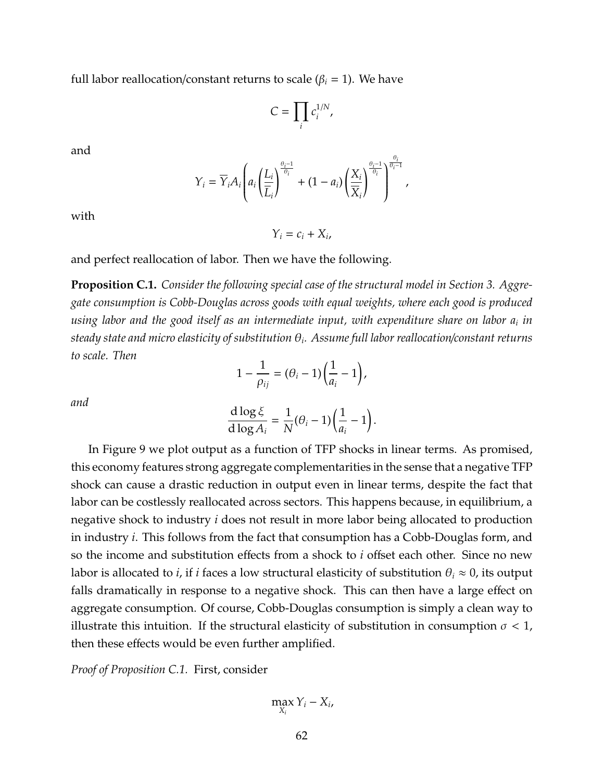full labor reallocation/constant returns to scale  $(\beta_i = 1)$ . We have

$$
C=\prod_i c_i^{1/N},
$$

and

$$
Y_i = \overline{Y}_i A_i \left( a_i \left( \frac{L_i}{\overline{L}_i} \right)^{\frac{\theta_i - 1}{\theta_i}} + (1 - a_i) \left( \frac{X_i}{\overline{X}_i} \right)^{\frac{\theta_i - 1}{\theta_i}} \right)^{\frac{\theta_i}{\theta_i - 1}},
$$

with

$$
Y_i = c_i + X_i,
$$

and perfect reallocation of labor. Then we have the following.

<span id="page-61-0"></span>**Proposition C.1.** *Consider the following special case of the structural model in Section [3.](#page-16-0) Aggregate consumption is Cobb-Douglas across goods with equal weights, where each good is produced using labor and the good itself as an intermediate input, with expenditure share on labor a<sup>i</sup> in steady state and micro elasticity of substitution* θ*<sup>i</sup> . Assume full labor reallocation*/*constant returns to scale. Then*

$$
1-\frac{1}{\rho_{ij}}=(\theta_i-1)\bigg(\frac{1}{a_i}-1\bigg),
$$

*and*

$$
\frac{d \log \xi}{d \log A_i} = \frac{1}{N} (\theta_i - 1) \left( \frac{1}{a_i} - 1 \right).
$$

In Figure [9](#page-62-0) we plot output as a function of TFP shocks in linear terms. As promised, this economy features strong aggregate complementarities in the sense that a negative TFP shock can cause a drastic reduction in output even in linear terms, despite the fact that labor can be costlessly reallocated across sectors. This happens because, in equilibrium, a negative shock to industry *i* does not result in more labor being allocated to production in industry *i*. This follows from the fact that consumption has a Cobb-Douglas form, and so the income and substitution effects from a shock to *i* offset each other. Since no new labor is allocated to *i*, if *i* faces a low structural elasticity of substitution  $\theta_i \approx 0$ , its output falls dramatically in response to a negative shock. This can then have a large effect on aggregate consumption. Of course, Cobb-Douglas consumption is simply a clean way to illustrate this intuition. If the structural elasticity of substitution in consumption  $\sigma < 1$ , then these effects would be even further amplified.

*Proof of Proposition [C.1.](#page-61-0)* First, consider

$$
\max_{X_i} Y_i - X_i,
$$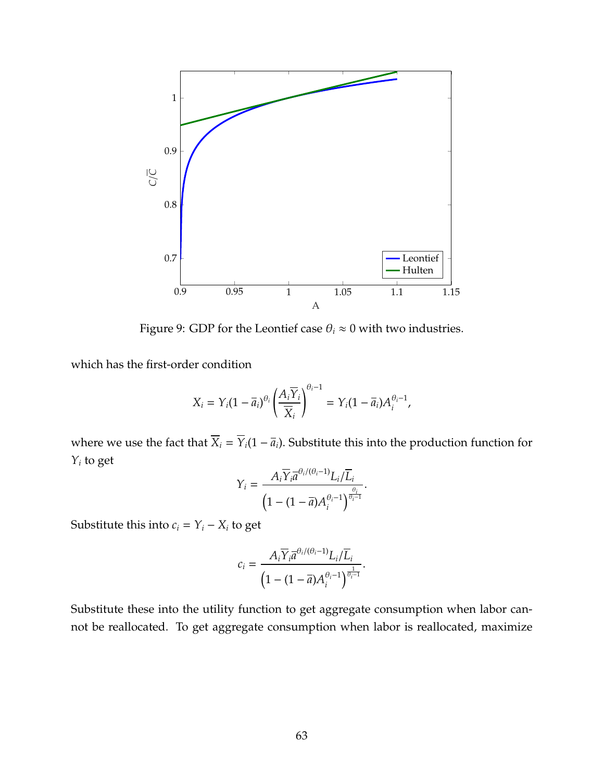<span id="page-62-0"></span>

Figure 9: GDP for the Leontief case  $\theta_i \approx 0$  with two industries.

which has the first-order condition

$$
X_i = Y_i(1 - \overline{a}_i)^{\theta_i} \left(\frac{A_i \overline{Y}_i}{\overline{X}_i}\right)^{\theta_i - 1} = Y_i(1 - \overline{a}_i) A_i^{\theta_i - 1},
$$

where we use the fact that  $\overline{X}_i = \overline{Y}_i(1 - \overline{a}_i)$ . Substitute this into the production function for *Y<sup>i</sup>* to get

$$
Y_i = \frac{A_i \overline{Y}_i \overline{a}^{\theta_i/(\theta_i - 1)} L_i / \overline{L}_i}{\left(1 - (1 - \overline{a}) A_i^{\theta_i - 1}\right)^{\frac{\theta_i}{\theta_i - 1}}}.
$$

Substitute this into  $c_i = Y_i - X_i$  to get

$$
c_i = \frac{A_i \overline{Y}_i \overline{a}^{\theta_i/(\theta_i - 1)} L_i / \overline{L}_i}{\left(1 - (1 - \overline{a}) A_i^{\theta_i - 1}\right)^{\frac{1}{\theta_i - 1}}}.
$$

Substitute these into the utility function to get aggregate consumption when labor cannot be reallocated. To get aggregate consumption when labor is reallocated, maximize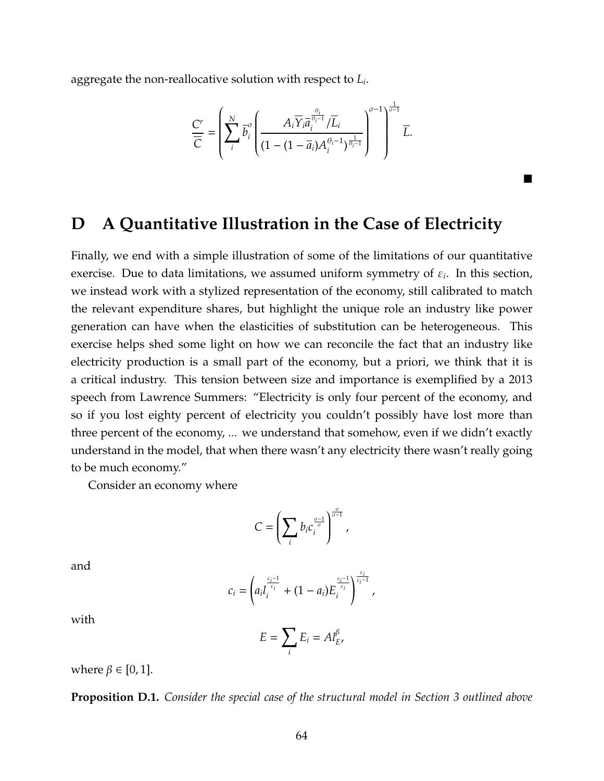aggregate the non-reallocative solution with respect to *L<sup>i</sup>* .

$$
\frac{C^r}{\overline{C}} = \left(\sum_i^N \overline{b}_i^{\sigma} \left(\frac{A_i \overline{Y}_i \overline{a}_i^{\frac{\theta_i}{\theta_i-1}}/\overline{L}_i}{(1-(1-\overline{a}_i)A_i^{\theta_i-1})^{\frac{1}{\theta_i-1}}}\right)^{\sigma-1}\right)^{\frac{1}{\sigma-1}} \overline{L}.
$$

 $\blacksquare$ 

#### **D A Quantitative Illustration in the Case of Electricity**

Finally, we end with a simple illustration of some of the limitations of our quantitative exercise. Due to data limitations, we assumed uniform symmetry of  $\varepsilon_i$ . In this section, we instead work with a stylized representation of the economy, still calibrated to match the relevant expenditure shares, but highlight the unique role an industry like power generation can have when the elasticities of substitution can be heterogeneous. This exercise helps shed some light on how we can reconcile the fact that an industry like electricity production is a small part of the economy, but a priori, we think that it is a critical industry. This tension between size and importance is exemplified by a 2013 speech from Lawrence Summers: "Electricity is only four percent of the economy, and so if you lost eighty percent of electricity you couldn't possibly have lost more than three percent of the economy, ... we understand that somehow, even if we didn't exactly understand in the model, that when there wasn't any electricity there wasn't really going to be much economy."

Consider an economy where

<span id="page-63-0"></span>
$$
C=\left(\sum_i b_i c_i^{\frac{\sigma-1}{\sigma}}\right)^{\frac{\sigma}{\sigma-1}},
$$

and

$$
c_i = \left(a_i l_i^{\frac{\varepsilon_i-1}{\varepsilon_i}} + (1-a_i) E_i^{\frac{\varepsilon_i-1}{\varepsilon_i}}\right)^{\frac{\varepsilon_i}{\varepsilon_i-1}},
$$

with

$$
E=\sum_i E_i = A l_E^{\beta},
$$

where  $\beta \in [0, 1]$ .

<span id="page-63-1"></span>**Proposition D.1.** *Consider the special case of the structural model in Section [3](#page-16-0) outlined above*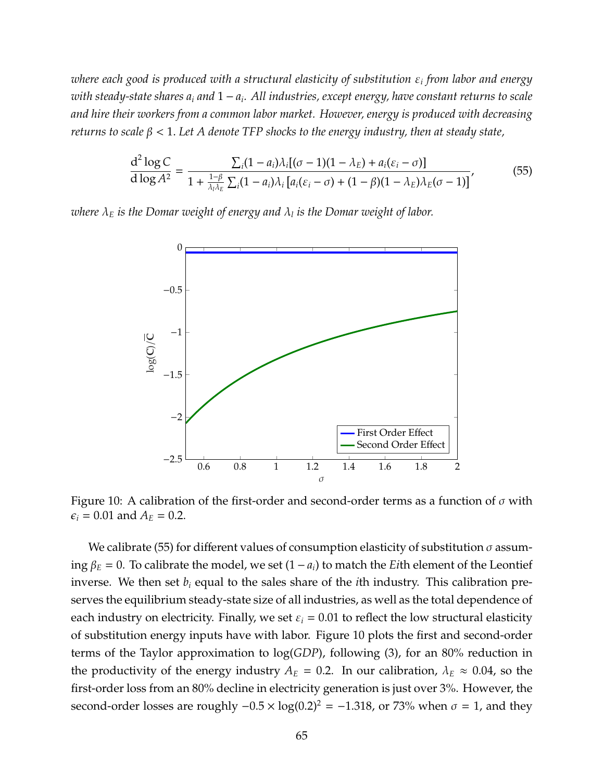*where each good is produced with a structural elasticity of substitution* ε*<sup>i</sup> from labor and energy with steady-state shares a<sup>i</sup> and* 1 − *a<sup>i</sup> . All industries, except energy, have constant returns to scale and hire their workers from a common labor market. However, energy is produced with decreasing returns to scale* β < 1. *Let A denote TFP shocks to the energy industry, then at steady state,*

$$
\frac{d^2 \log C}{d \log A^2} = \frac{\sum_i (1 - a_i) \lambda_i [(\sigma - 1)(1 - \lambda_E) + a_i(\varepsilon_i - \sigma)]}{1 + \frac{1 - \beta}{\lambda_i \lambda_E} \sum_i (1 - a_i) \lambda_i [a_i(\varepsilon_i - \sigma) + (1 - \beta)(1 - \lambda_E) \lambda_E(\sigma - 1)]},
$$
(55)

<span id="page-64-0"></span>*where* λ*<sup>E</sup> is the Domar weight of energy and* λ*<sup>l</sup> is the Domar weight of labor.*



Figure 10: A calibration of the first-order and second-order terms as a function of  $\sigma$  with  $\varepsilon_i = 0.01$  and  $A_E = 0.2$ .

We calibrate [\(55\)](#page-63-0) for different values of consumption elasticity of substitution  $\sigma$  assuming β*<sup>E</sup>* = 0. To calibrate the model, we set (1 − *ai*) to match the *Ei*th element of the Leontief inverse. We then set *b<sup>i</sup>* equal to the sales share of the *i*th industry. This calibration preserves the equilibrium steady-state size of all industries, as well as the total dependence of each industry on electricity. Finally, we set  $\varepsilon_i = 0.01$  to reflect the low structural elasticity of substitution energy inputs have with labor. Figure [10](#page-64-0) plots the first and second-order terms of the Taylor approximation to log(*GDP*), following [\(3\)](#page-9-1), for an 80% reduction in the productivity of the energy industry  $A_E = 0.2$ . In our calibration,  $\lambda_E \approx 0.04$ , so the first-order loss from an 80% decline in electricity generation is just over 3%. However, the second-order losses are roughly  $-0.5 \times \log(0.2)^2 = -1.318$ , or 73% when  $\sigma = 1$ , and they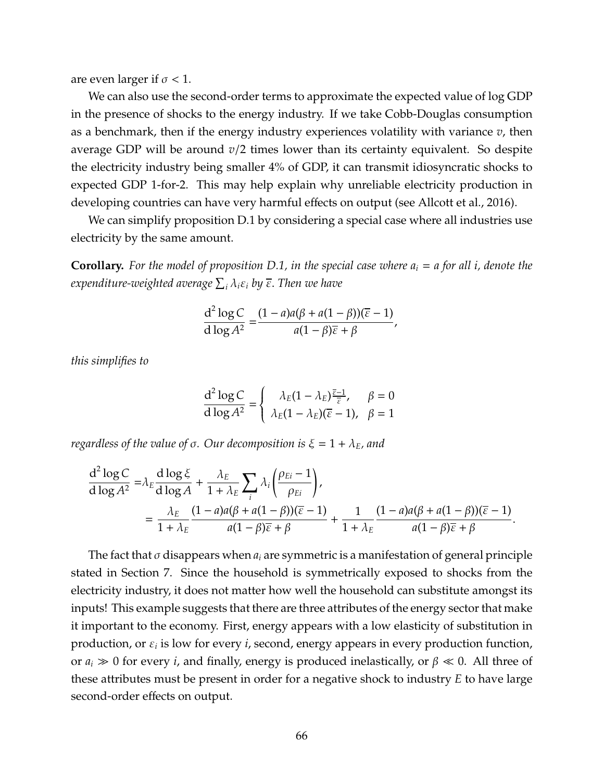are even larger if  $\sigma$  < 1.

We can also use the second-order terms to approximate the expected value of log GDP in the presence of shocks to the energy industry. If we take Cobb-Douglas consumption as a benchmark, then if the energy industry experiences volatility with variance *v*, then average GDP will be around *v*/2 times lower than its certainty equivalent. So despite the electricity industry being smaller 4% of GDP, it can transmit idiosyncratic shocks to expected GDP 1-for-2. This may help explain why unreliable electricity production in developing countries can have very harmful effects on output (see [Allcott et al., 2016\)](#page-43-3).

We can simplify proposition [D.1](#page-63-1) by considering a special case where all industries use electricity by the same amount.

**Corollary.** For the model of proposition [D.1,](#page-63-1) in the special case where  $a_i = a$  for all i, denote the  $e$ xpenditure-weighted average  $\sum_i \lambda_i \varepsilon_i$  by  $\overline{\varepsilon}.$  Then we have

$$
\frac{d^2 \log C}{d \log A^2} = \frac{(1-a)a(\beta + a(1-\beta))(\overline{\varepsilon} - 1)}{a(1-\beta)\overline{\varepsilon} + \beta},
$$

*this simplifies to*

$$
\frac{\mathrm{d}^2 \log C}{\mathrm{d} \log A^2} = \begin{cases} \lambda_E (1 - \lambda_E) \frac{\bar{\varepsilon} - 1}{\bar{\varepsilon}}, & \beta = 0 \\ \lambda_E (1 - \lambda_E) (\bar{\varepsilon} - 1), & \beta = 1 \end{cases}
$$

*regardless of the value of*  $\sigma$ *. Our decomposition is*  $\xi = 1 + \lambda_E$ , and

$$
\frac{d^2 \log C}{d \log A^2} = \lambda_E \frac{d \log \xi}{d \log A} + \frac{\lambda_E}{1 + \lambda_E} \sum_i \lambda_i \left( \frac{\rho_{Ei} - 1}{\rho_{Ei}} \right),
$$
  
= 
$$
\frac{\lambda_E}{1 + \lambda_E} \frac{(1 - a)a(\beta + a(1 - \beta))(\overline{\varepsilon} - 1)}{a(1 - \beta)\overline{\varepsilon} + \beta} + \frac{1}{1 + \lambda_E} \frac{(1 - a)a(\beta + a(1 - \beta))(\overline{\varepsilon} - 1)}{a(1 - \beta)\overline{\varepsilon} + \beta}.
$$

The fact that σ disappears when *a<sup>i</sup>* are symmetric is a manifestation of general principle stated in Section [7.](#page-25-0) Since the household is symmetrically exposed to shocks from the electricity industry, it does not matter how well the household can substitute amongst its inputs! This example suggests that there are three attributes of the energy sector that make it important to the economy. First, energy appears with a low elasticity of substitution in production, or ε*<sup>i</sup>* is low for every *i*, second, energy appears in every production function, or  $a_i \gg 0$  for every *i*, and finally, energy is produced inelastically, or  $\beta \ll 0$ . All three of these attributes must be present in order for a negative shock to industry *E* to have large second-order effects on output.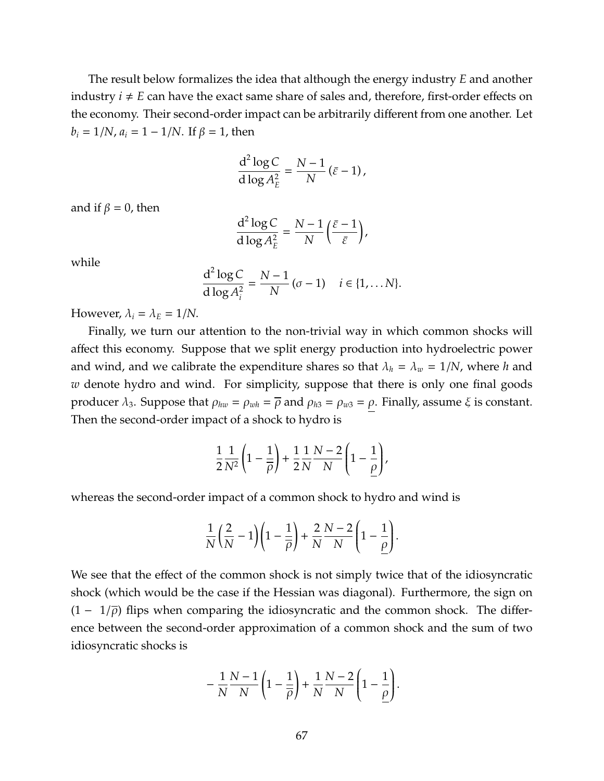The result below formalizes the idea that although the energy industry *E* and another industry  $i \neq E$  can have the exact same share of sales and, therefore, first-order effects on the economy. Their second-order impact can be arbitrarily different from one another. Let  $b_i = 1/N$ ,  $a_i = 1 - 1/N$ . If  $\beta = 1$ , then

<span id="page-66-0"></span>
$$
\frac{\mathrm{d}^2\log C}{\mathrm{d}\log A_E^2} = \frac{N-1}{N}\left(\bar{\varepsilon} - 1\right),\,
$$

and if  $\beta = 0$ , then

$$
\frac{\mathrm{d}^2\log C}{\mathrm{d}\log A_E^2} = \frac{N-1}{N}\left(\frac{\bar{\varepsilon}-1}{\bar{\varepsilon}}\right),\,
$$

while

$$
\frac{\mathrm{d}^2\log C}{\mathrm{d}\log A_i^2} = \frac{N-1}{N} \left(\sigma - 1\right) \quad i \in \{1, \dots N\}.
$$

However,  $\lambda_i = \lambda_E = 1/N$ .

Finally, we turn our attention to the non-trivial way in which common shocks will affect this economy. Suppose that we split energy production into hydroelectric power and wind, and we calibrate the expenditure shares so that  $\lambda_h = \lambda_w = 1/N$ , where h and *w* denote hydro and wind. For simplicity, suppose that there is only one final goods producer  $λ_3$ . Suppose that  $ρ_{hw} = ρ_{wh} = \overline{ρ}$  and  $ρ_{h3} = ρ_{w3} = ρ$ . Finally, assume *ξ* is constant. Then the second-order impact of a shock to hydro is

$$
\frac{1}{2}\frac{1}{N^2}\left(1-\frac{1}{\overline{\rho}}\right)+\frac{1}{2}\frac{1}{N}\frac{N-2}{N}\left(1-\frac{1}{\underline{\rho}}\right),
$$

whereas the second-order impact of a common shock to hydro and wind is

$$
\frac{1}{N}\left(\frac{2}{N}-1\right)\left(1-\frac{1}{\overline{\rho}}\right)+\frac{2}{N}\frac{N-2}{N}\left(1-\frac{1}{\underline{\rho}}\right).
$$

We see that the effect of the common shock is not simply twice that of the idiosyncratic shock (which would be the case if the Hessian was diagonal). Furthermore, the sign on  $(1 - 1/\overline{\rho})$  flips when comparing the idiosyncratic and the common shock. The difference between the second-order approximation of a common shock and the sum of two idiosyncratic shocks is

$$
-\frac{1}{N}\frac{N-1}{N}\left(1-\frac{1}{\overline{\rho}}\right)+\frac{1}{N}\frac{N-2}{N}\left(1-\frac{1}{\underline{\rho}}\right).
$$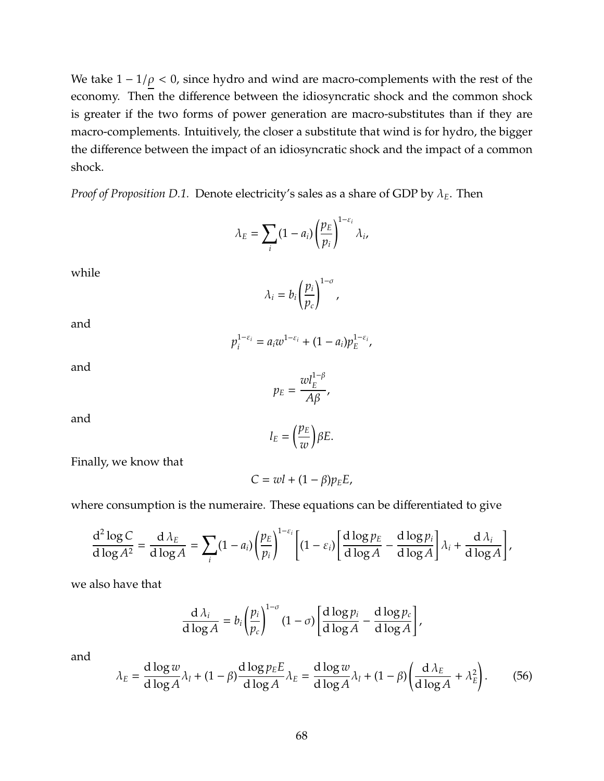We take  $1 - 1/\rho < 0$ , since hydro and wind are macro-complements with the rest of the economy. Then the difference between the idiosyncratic shock and the common shock is greater if the two forms of power generation are macro-substitutes than if they are macro-complements. Intuitively, the closer a substitute that wind is for hydro, the bigger the difference between the impact of an idiosyncratic shock and the impact of a common shock.

*Proof of Proposition [D.1.](#page-63-1)* Denote electricity's sales as a share of GDP by λ*E*. Then

$$
\lambda_E = \sum_i (1 - a_i) \left(\frac{p_E}{p_i}\right)^{1 - \varepsilon_i} \lambda_i,
$$

while

$$
\lambda_i = b_i \left(\frac{p_i}{p_c}\right)^{1-\sigma},
$$

and

$$
p_i^{1-\varepsilon_i} = a_i w^{1-\varepsilon_i} + (1-a_i) p_E^{1-\varepsilon_i},
$$

and

$$
p_E = \frac{w l_E^{1-p}}{A \beta},
$$

1 B

and

$$
l_E = \left(\frac{p_E}{w}\right) \beta E.
$$

Finally, we know that

$$
C = w l + (1 - \beta) p_E E,
$$

where consumption is the numeraire. These equations can be differentiated to give

$$
\frac{d^2 \log C}{d \log A^2} = \frac{d \lambda_E}{d \log A} = \sum_i (1 - a_i) \left(\frac{p_E}{p_i}\right)^{1 - \varepsilon_i} \left[ (1 - \varepsilon_i) \left[\frac{d \log p_E}{d \log A} - \frac{d \log p_i}{d \log A} \right] \lambda_i + \frac{d \lambda_i}{d \log A} \right],
$$

we also have that

$$
\frac{d \lambda_i}{d \log A} = b_i \left(\frac{p_i}{p_c}\right)^{1-\sigma} (1-\sigma) \left[\frac{d \log p_i}{d \log A} - \frac{d \log p_c}{d \log A}\right],
$$

and

$$
\lambda_E = \frac{d \log w}{d \log A} \lambda_l + (1 - \beta) \frac{d \log p_E E}{d \log A} \lambda_E = \frac{d \log w}{d \log A} \lambda_l + (1 - \beta) \left( \frac{d \lambda_E}{d \log A} + \lambda_E^2 \right). \tag{56}
$$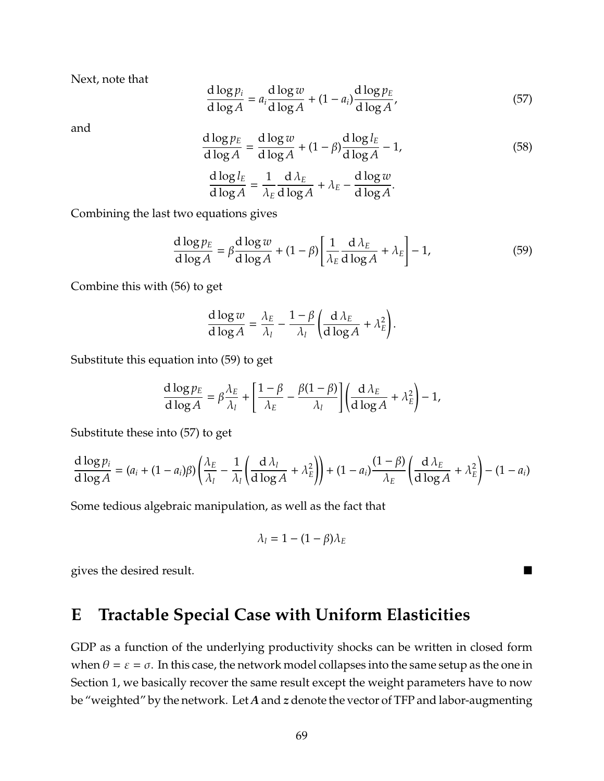Next, note that

<span id="page-68-1"></span>
$$
\frac{d \log p_i}{d \log A} = a_i \frac{d \log w}{d \log A} + (1 - a_i) \frac{d \log p_E}{d \log A},
$$
\n(57)

and

<span id="page-68-0"></span>
$$
\frac{d \log p_E}{d \log A} = \frac{d \log w}{d \log A} + (1 - \beta) \frac{d \log l_E}{d \log A} - 1,
$$
\n
$$
\frac{d \log l_E}{d \log A} = \frac{1}{\lambda_E} \frac{d \lambda_E}{d \log A} + \lambda_E - \frac{d \log w}{d \log A}.
$$
\n(58)

Combining the last two equations gives

$$
\frac{d \log p_E}{d \log A} = \beta \frac{d \log w}{d \log A} + (1 - \beta) \left[ \frac{1}{\lambda_E} \frac{d \lambda_E}{d \log A} + \lambda_E \right] - 1,\tag{59}
$$

Combine this with [\(56\)](#page-66-0) to get

$$
\frac{\mathrm{d}\log w}{\mathrm{d}\log A} = \frac{\lambda_E}{\lambda_l} - \frac{1-\beta}{\lambda_l}\left(\frac{\mathrm{d}\lambda_E}{\mathrm{d}\log A} + \lambda_E^2\right).
$$

Substitute this equation into [\(59\)](#page-68-0) to get

$$
\frac{\mathrm{d}\log p_E}{\mathrm{d}\log A} = \beta \frac{\lambda_E}{\lambda_l} + \left[\frac{1-\beta}{\lambda_E} - \frac{\beta(1-\beta)}{\lambda_l}\right] \left(\frac{\mathrm{d}\lambda_E}{\mathrm{d}\log A} + \lambda_E^2\right) - 1,
$$

Substitute these into [\(57\)](#page-68-1) to get

$$
\frac{\mathrm{d} \log p_i}{\mathrm{d} \log A} = (a_i + (1-a_i)\beta)\left(\frac{\lambda_E}{\lambda_l} - \frac{1}{\lambda_l}\left(\frac{\mathrm{d}\,\lambda_l}{\mathrm{d}\log A} + \lambda_E^2\right)\right) + (1-a_i)\frac{(1-\beta)}{\lambda_E}\left(\frac{\mathrm{d}\,\lambda_E}{\mathrm{d}\log A} + \lambda_E^2\right) - (1-a_i)
$$

Some tedious algebraic manipulation, as well as the fact that

$$
\lambda_l = 1 - (1 - \beta)\lambda_E
$$

gives the desired result.

# **E Tractable Special Case with Uniform Elasticities**

GDP as a function of the underlying productivity shocks can be written in closed form when  $\theta = \varepsilon = \sigma$ . In this case, the network model collapses into the same setup as the one in Section 1, we basically recover the same result except the weight parameters have to now be "weighted" by the network. Let *A* and *z* denote the vector of TFP and labor-augmenting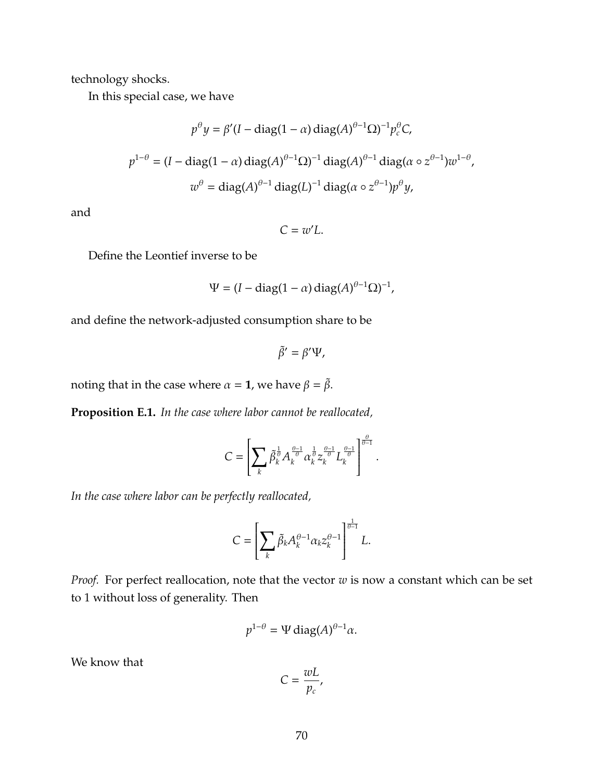technology shocks.

In this special case, we have

$$
p^{\theta}y = \beta'(I - \text{diag}(1 - \alpha)\,\text{diag}(A)^{\theta - 1}\Omega)^{-1}p_c^{\theta}C,
$$
  

$$
p^{1-\theta} = (I - \text{diag}(1 - \alpha)\,\text{diag}(A)^{\theta - 1}\Omega)^{-1}\,\text{diag}(A)^{\theta - 1}\,\text{diag}(\alpha \circ z^{\theta - 1})w^{1-\theta},
$$
  

$$
w^{\theta} = \text{diag}(A)^{\theta - 1}\,\text{diag}(L)^{-1}\,\text{diag}(\alpha \circ z^{\theta - 1})p^{\theta}y,
$$

and

$$
C=w'L.
$$

Define the Leontief inverse to be

$$
\Psi = (I - \text{diag}(1 - \alpha) \text{diag}(A)^{\theta - 1} \Omega)^{-1},
$$

and define the network-adjusted consumption share to be

$$
\tilde{\beta}'=\beta' \Psi,
$$

noting that in the case where  $\alpha = 1$ , we have  $\beta = \tilde{\beta}$ .

<span id="page-69-0"></span>**Proposition E.1.** *In the case where labor cannot be reallocated,*

$$
C=\left[\sum_k \tilde{\beta}_k^{\frac{1}{\theta}}A_k^{\frac{\theta-1}{\theta}}\alpha_k^{\frac{1}{\theta}}z_k^{\frac{\theta-1}{\theta}}L_k^{\frac{\theta-1}{\theta}}\right]^{\frac{\theta}{\theta-1}}
$$

.

*In the case where labor can be perfectly reallocated,*

$$
C = \left[\sum_{k} \tilde{\beta}_{k} A_{k}^{\theta-1} \alpha_{k} z_{k}^{\theta-1}\right]^{\frac{1}{\theta-1}} L.
$$

*Proof.* For perfect reallocation, note that the vector *w* is now a constant which can be set to 1 without loss of generality. Then

$$
p^{1-\theta} = \Psi \operatorname{diag}(A)^{\theta-1} \alpha.
$$

We know that

$$
C=\frac{wL}{p_c},
$$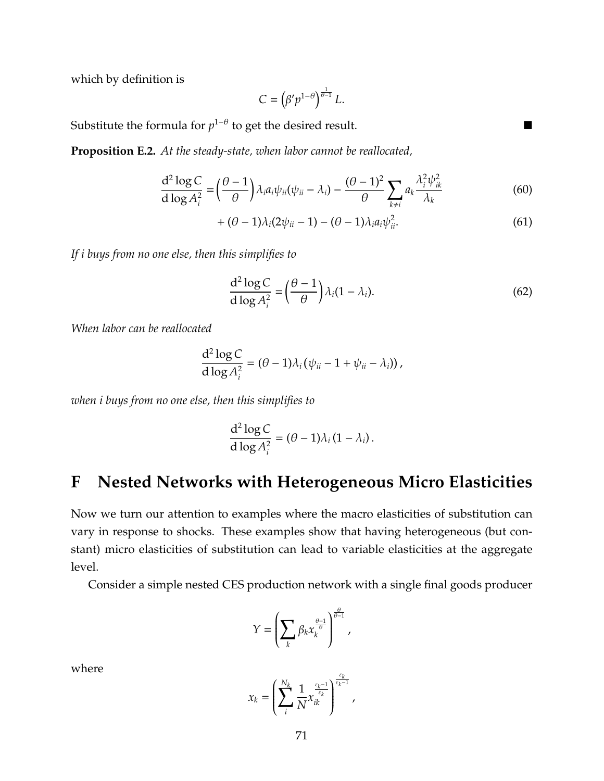which by definition is

$$
C = \left(\beta' p^{1-\theta}\right)^{\frac{1}{\theta-1}} L.
$$

Substitute the formula for  $p^{1-\theta}$  to get the desired result.  $■$ 

**Proposition E.2.** *At the steady-state, when labor cannot be reallocated,*

$$
\frac{\mathrm{d}^2 \log C}{\mathrm{d} \log A_i^2} = \left(\frac{\theta - 1}{\theta}\right) \lambda_i a_i \psi_{ii} (\psi_{ii} - \lambda_i) - \frac{(\theta - 1)^2}{\theta} \sum_{k \neq i} a_k \frac{\lambda_i^2 \psi_{ik}^2}{\lambda_k} \tag{60}
$$

$$
+(\theta-1)\lambda_i(2\psi_{ii}-1)-(\theta-1)\lambda_ia_i\psi_{ii}^2.
$$
\n(61)

*If i buys from no one else, then this simplifies to*

$$
\frac{d^2 \log C}{d \log A_i^2} = \left(\frac{\theta - 1}{\theta}\right) \lambda_i (1 - \lambda_i).
$$
\n(62)

*When labor can be reallocated*

$$
\frac{\mathrm{d}^2\log C}{\mathrm{d}\log A_i^2} = (\theta - 1)\lambda_i(\psi_{ii} - 1 + \psi_{ii} - \lambda_i)),
$$

*when i buys from no one else, then this simplifies to*

$$
\frac{\mathrm{d}^2\log C}{\mathrm{d}\log A_i^2} = (\theta - 1)\lambda_i(1 - \lambda_i).
$$

#### **F Nested Networks with Heterogeneous Micro Elasticities**

Now we turn our attention to examples where the macro elasticities of substitution can vary in response to shocks. These examples show that having heterogeneous (but constant) micro elasticities of substitution can lead to variable elasticities at the aggregate level.

Consider a simple nested CES production network with a single final goods producer

$$
Y = \left(\sum_{k} \beta_k x_k^{\frac{\theta-1}{\theta}}\right)^{\frac{\theta}{\theta-1}},
$$

where

$$
x_k = \left(\sum_i^{N_k} \frac{1}{N} x_{ik}^{\frac{\varepsilon_k - 1}{\varepsilon_k}}\right)^{\frac{\varepsilon_k}{\varepsilon_k - 1}},
$$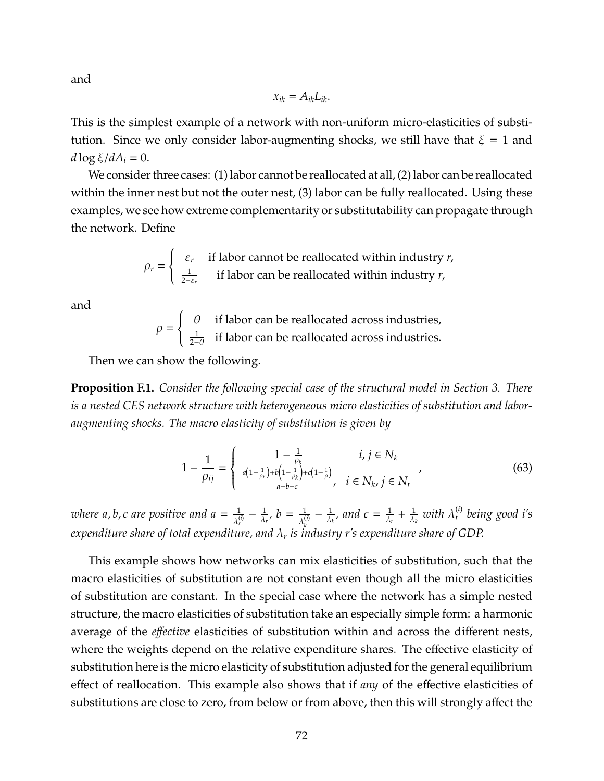and

$$
x_{ik}=A_{ik}L_{ik}.
$$

This is the simplest example of a network with non-uniform micro-elasticities of substitution. Since we only consider labor-augmenting shocks, we still have that  $\xi = 1$  and  $d \log \xi/dA_i = 0$ .

We consider three cases: (1) labor cannot be reallocated at all, (2) labor can be reallocated within the inner nest but not the outer nest, (3) labor can be fully reallocated. Using these examples, we see how extreme complementarity or substitutability can propagate through the network. Define

$$
\rho_r = \begin{cases} \varepsilon_r & \text{if labor cannot be reallocated within industry } r, \\ \frac{1}{2-\varepsilon_r} & \text{if labor can be reallocated within industry } r, \end{cases}
$$

and

$$
\rho = \begin{cases} \theta & \text{if labor can be reallocated across industries,} \\ \frac{1}{2-\theta} & \text{if labor can be reallocated across industries.} \end{cases}
$$

Then we can show the following.

**Proposition F.1.** *Consider the following special case of the structural model in Section [3.](#page-16-0) There is a nested CES network structure with heterogeneous micro elasticities of substitution and laboraugmenting shocks. The macro elasticity of substitution is given by*

$$
1 - \frac{1}{\rho_{ij}} = \begin{cases} 1 - \frac{1}{\rho_k} & i, j \in N_k \\ \frac{a(1 - \frac{1}{\rho_r}) + b(1 - \frac{1}{\rho_k}) + c(1 - \frac{1}{\rho})}{a + b + c}, & i \in N_k, j \in N_r \end{cases}
$$
(63)

*where a, b, c are positive and a* =  $\frac{1}{10}$  $\lambda_r^{(i)}$ − 1  $\frac{1}{\lambda_r}$ *, b* =  $\frac{1}{\lambda_r^0}$  $\lambda_k^{(j)}$  $-\frac{1}{2}$  $\frac{1}{\lambda_k}$ , and  $c = \frac{1}{\lambda_k}$  $\frac{1}{\lambda_r} + \frac{1}{\lambda_l}$  $\frac{1}{\lambda_k}$  with  $\lambda_r^{(i)}$  being good i's *expenditure share of total expenditure, and* λ*<sup>r</sup> is industry r's expenditure share of GDP.*

This example shows how networks can mix elasticities of substitution, such that the macro elasticities of substitution are not constant even though all the micro elasticities of substitution are constant. In the special case where the network has a simple nested structure, the macro elasticities of substitution take an especially simple form: a harmonic average of the *e*ff*ective* elasticities of substitution within and across the different nests, where the weights depend on the relative expenditure shares. The effective elasticity of substitution here is the micro elasticity of substitution adjusted for the general equilibrium effect of reallocation. This example also shows that if *any* of the effective elasticities of substitutions are close to zero, from below or from above, then this will strongly affect the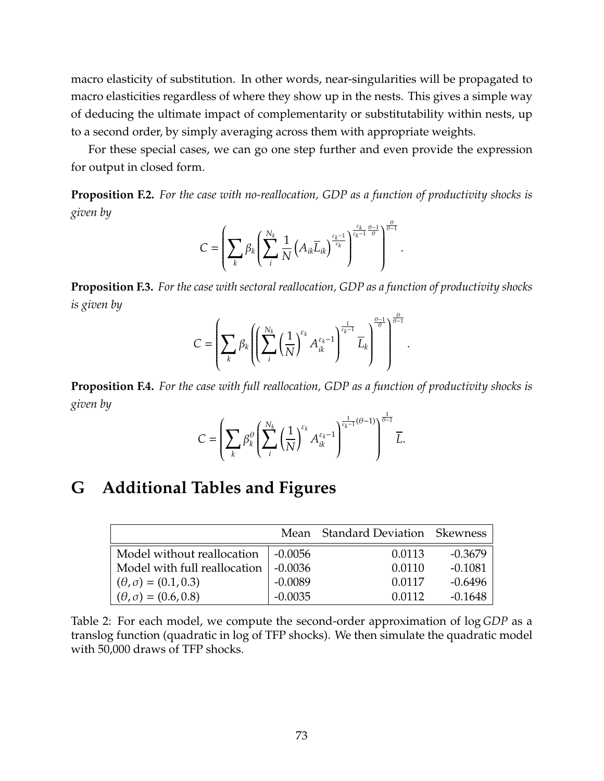macro elasticity of substitution. In other words, near-singularities will be propagated to macro elasticities regardless of where they show up in the nests. This gives a simple way of deducing the ultimate impact of complementarity or substitutability within nests, up to a second order, by simply averaging across them with appropriate weights.

For these special cases, we can go one step further and even provide the expression for output in closed form.

**Proposition F.2.** *For the case with no-reallocation, GDP as a function of productivity shocks is given by*

$$
C = \left(\sum_{k} \beta_k \left(\sum_{i}^{N_k} \frac{1}{N} \left(A_{ik}\overline{L}_{ik}\right)^{\frac{\varepsilon_{k}-1}{\varepsilon_{k}}}\right)^{\frac{\varepsilon_{k}}{\varepsilon_{k}-1} \frac{\theta-1}{\theta}}\right)^{\frac{\theta}{\theta-1}}.
$$

**Proposition F.3.** *For the case with sectoral reallocation, GDP as a function of productivity shocks is given by* θ

$$
C = \left(\sum_{k} \beta_k \left(\left(\sum_{i}^{N_k} \left(\frac{1}{N}\right)^{\varepsilon_k} A_{ik}^{\varepsilon_k-1}\right)^{\frac{1}{\varepsilon_k-1}} \overline{L}_k\right)^{\frac{\theta-1}{\theta}}\right)^{\frac{1}{\theta-1}}.
$$

**Proposition F.4.** *For the case with full reallocation, GDP as a function of productivity shocks is given by*

$$
C = \left(\sum_{k} \beta_k^{\theta} \left(\sum_{i}^{N_k} \left(\frac{1}{N}\right)^{\varepsilon_k} A_{ik}^{\varepsilon_k - 1}\right)^{\frac{1}{\varepsilon_k - 1}(\theta - 1)}\right)^{\frac{1}{\theta - 1}} \overline{L}.
$$

## **G Additional Tables and Figures**

|                                 |           | Mean Standard Deviation Skewness |           |
|---------------------------------|-----------|----------------------------------|-----------|
| Model without reallocation      | -0.0056   | 0.0113                           | $-0.3679$ |
| Model with full reallocation    | -0.0036   | 0.0110                           | $-0.1081$ |
| $(\theta, \sigma) = (0.1, 0.3)$ | $-0.0089$ | 0.0117                           | $-0.6496$ |
| $(\theta, \sigma) = (0.6, 0.8)$ | $-0.0035$ | 0.0112                           | $-0.1648$ |

Table 2: For each model, we compute the second-order approximation of log *GDP* as a translog function (quadratic in log of TFP shocks). We then simulate the quadratic model with 50,000 draws of TFP shocks.